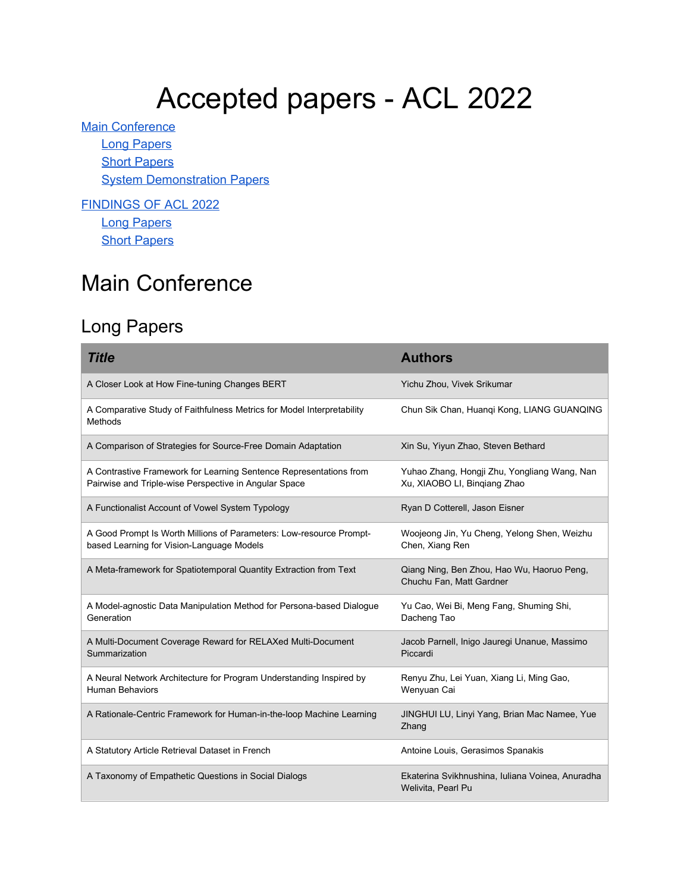# Accepted papers - ACL 2022

**[Main Conference](#page-0-1)** [Long Papers](#page-0-0) **Short Papers System Demonstration Papers** 

[FINDINGS OF ACL 2022](#page-38-1) [Long Papers](#page-38-0) **[Short Papers](#page-52-0)** 

## <span id="page-0-1"></span>Main Conference

#### <span id="page-0-0"></span>Long Papers

| <b>Title</b>                                                                                                                | <b>Authors</b>                                                               |
|-----------------------------------------------------------------------------------------------------------------------------|------------------------------------------------------------------------------|
| A Closer Look at How Fine-tuning Changes BERT                                                                               | Yichu Zhou, Vivek Srikumar                                                   |
| A Comparative Study of Faithfulness Metrics for Model Interpretability<br>Methods                                           | Chun Sik Chan, Huangi Kong, LIANG GUANQING                                   |
| A Comparison of Strategies for Source-Free Domain Adaptation                                                                | Xin Su, Yiyun Zhao, Steven Bethard                                           |
| A Contrastive Framework for Learning Sentence Representations from<br>Pairwise and Triple-wise Perspective in Angular Space | Yuhao Zhang, Hongji Zhu, Yongliang Wang, Nan<br>Xu, XIAOBO LI, Binqiang Zhao |
| A Functionalist Account of Vowel System Typology                                                                            | Ryan D Cotterell, Jason Eisner                                               |
| A Good Prompt Is Worth Millions of Parameters: Low-resource Prompt-<br>based Learning for Vision-Language Models            | Woojeong Jin, Yu Cheng, Yelong Shen, Weizhu<br>Chen, Xiang Ren               |
| A Meta-framework for Spatiotemporal Quantity Extraction from Text                                                           | Qiang Ning, Ben Zhou, Hao Wu, Haoruo Peng,<br>Chuchu Fan, Matt Gardner       |
| A Model-agnostic Data Manipulation Method for Persona-based Dialogue<br>Generation                                          | Yu Cao, Wei Bi, Meng Fang, Shuming Shi,<br>Dacheng Tao                       |
| A Multi-Document Coverage Reward for RELAXed Multi-Document<br>Summarization                                                | Jacob Parnell, Inigo Jauregi Unanue, Massimo<br>Piccardi                     |
| A Neural Network Architecture for Program Understanding Inspired by<br><b>Human Behaviors</b>                               | Renyu Zhu, Lei Yuan, Xiang Li, Ming Gao,<br>Wenyuan Cai                      |
| A Rationale-Centric Framework for Human-in-the-loop Machine Learning                                                        | JINGHUI LU, Linyi Yang, Brian Mac Namee, Yue<br>Zhang                        |
| A Statutory Article Retrieval Dataset in French                                                                             | Antoine Louis, Gerasimos Spanakis                                            |
| A Taxonomy of Empathetic Questions in Social Dialogs                                                                        | Ekaterina Svikhnushina, Iuliana Voinea, Anuradha<br>Welivita, Pearl Pu       |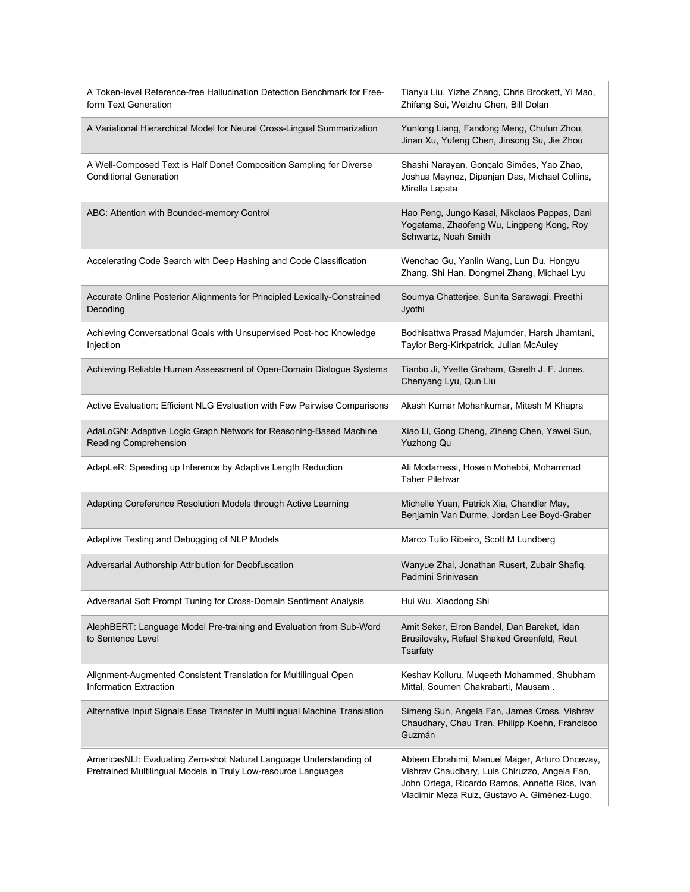| A Token-level Reference-free Hallucination Detection Benchmark for Free-<br>form Text Generation                                      | Tianyu Liu, Yizhe Zhang, Chris Brockett, Yi Mao,<br>Zhifang Sui, Weizhu Chen, Bill Dolan                                                                                                          |
|---------------------------------------------------------------------------------------------------------------------------------------|---------------------------------------------------------------------------------------------------------------------------------------------------------------------------------------------------|
| A Variational Hierarchical Model for Neural Cross-Lingual Summarization                                                               | Yunlong Liang, Fandong Meng, Chulun Zhou,<br>Jinan Xu, Yufeng Chen, Jinsong Su, Jie Zhou                                                                                                          |
| A Well-Composed Text is Half Done! Composition Sampling for Diverse<br><b>Conditional Generation</b>                                  | Shashi Narayan, Gonçalo Simões, Yao Zhao,<br>Joshua Maynez, Dipanjan Das, Michael Collins,<br>Mirella Lapata                                                                                      |
| ABC: Attention with Bounded-memory Control                                                                                            | Hao Peng, Jungo Kasai, Nikolaos Pappas, Dani<br>Yogatama, Zhaofeng Wu, Lingpeng Kong, Roy<br>Schwartz, Noah Smith                                                                                 |
| Accelerating Code Search with Deep Hashing and Code Classification                                                                    | Wenchao Gu, Yanlin Wang, Lun Du, Hongyu<br>Zhang, Shi Han, Dongmei Zhang, Michael Lyu                                                                                                             |
| Accurate Online Posterior Alignments for Principled Lexically-Constrained<br>Decoding                                                 | Soumya Chatterjee, Sunita Sarawagi, Preethi<br>Jyothi                                                                                                                                             |
| Achieving Conversational Goals with Unsupervised Post-hoc Knowledge<br>Injection                                                      | Bodhisattwa Prasad Majumder, Harsh Jhamtani,<br>Taylor Berg-Kirkpatrick, Julian McAuley                                                                                                           |
| Achieving Reliable Human Assessment of Open-Domain Dialogue Systems                                                                   | Tianbo Ji, Yvette Graham, Gareth J. F. Jones,<br>Chenyang Lyu, Qun Liu                                                                                                                            |
| Active Evaluation: Efficient NLG Evaluation with Few Pairwise Comparisons                                                             | Akash Kumar Mohankumar, Mitesh M Khapra                                                                                                                                                           |
| AdaLoGN: Adaptive Logic Graph Network for Reasoning-Based Machine<br>Reading Comprehension                                            | Xiao Li, Gong Cheng, Ziheng Chen, Yawei Sun,<br>Yuzhong Qu                                                                                                                                        |
| AdapLeR: Speeding up Inference by Adaptive Length Reduction                                                                           | Ali Modarressi, Hosein Mohebbi, Mohammad<br><b>Taher Pilehvar</b>                                                                                                                                 |
| Adapting Coreference Resolution Models through Active Learning                                                                        | Michelle Yuan, Patrick Xia, Chandler May,<br>Benjamin Van Durme, Jordan Lee Boyd-Graber                                                                                                           |
| Adaptive Testing and Debugging of NLP Models                                                                                          | Marco Tulio Ribeiro, Scott M Lundberg                                                                                                                                                             |
| Adversarial Authorship Attribution for Deobfuscation                                                                                  | Wanyue Zhai, Jonathan Rusert, Zubair Shafiq,<br>Padmini Srinivasan                                                                                                                                |
| Adversarial Soft Prompt Tuning for Cross-Domain Sentiment Analysis                                                                    | Hui Wu, Xiaodong Shi                                                                                                                                                                              |
| AlephBERT: Language Model Pre-training and Evaluation from Sub-Word<br>to Sentence Level                                              | Amit Seker, Elron Bandel, Dan Bareket, Idan<br>Brusilovsky, Refael Shaked Greenfeld, Reut<br>Tsarfaty                                                                                             |
| Alignment-Augmented Consistent Translation for Multilingual Open<br><b>Information Extraction</b>                                     | Keshav Kolluru, Muqeeth Mohammed, Shubham<br>Mittal, Soumen Chakrabarti, Mausam.                                                                                                                  |
| Alternative Input Signals Ease Transfer in Multilingual Machine Translation                                                           | Simeng Sun, Angela Fan, James Cross, Vishrav<br>Chaudhary, Chau Tran, Philipp Koehn, Francisco<br>Guzmán                                                                                          |
| AmericasNLI: Evaluating Zero-shot Natural Language Understanding of<br>Pretrained Multilingual Models in Truly Low-resource Languages | Abteen Ebrahimi, Manuel Mager, Arturo Oncevay,<br>Vishrav Chaudhary, Luis Chiruzzo, Angela Fan,<br>John Ortega, Ricardo Ramos, Annette Rios, Ivan<br>Vladimir Meza Ruiz, Gustavo A. Giménez-Lugo, |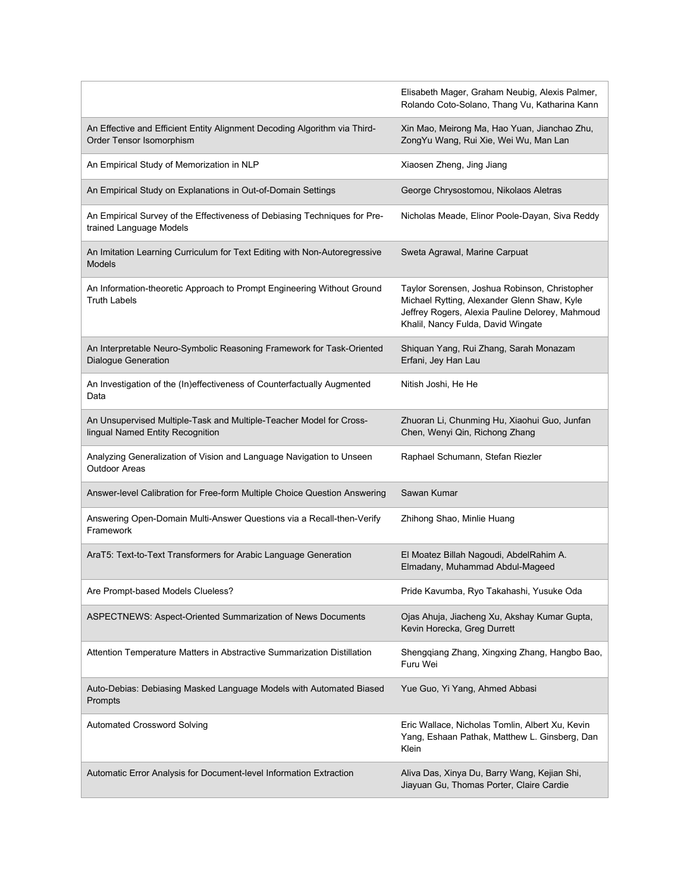|                                                                                                         | Elisabeth Mager, Graham Neubig, Alexis Palmer,<br>Rolando Coto-Solano, Thang Vu, Katharina Kann                                                                                       |
|---------------------------------------------------------------------------------------------------------|---------------------------------------------------------------------------------------------------------------------------------------------------------------------------------------|
| An Effective and Efficient Entity Alignment Decoding Algorithm via Third-<br>Order Tensor Isomorphism   | Xin Mao, Meirong Ma, Hao Yuan, Jianchao Zhu,<br>ZongYu Wang, Rui Xie, Wei Wu, Man Lan                                                                                                 |
| An Empirical Study of Memorization in NLP                                                               | Xiaosen Zheng, Jing Jiang                                                                                                                                                             |
| An Empirical Study on Explanations in Out-of-Domain Settings                                            | George Chrysostomou, Nikolaos Aletras                                                                                                                                                 |
| An Empirical Survey of the Effectiveness of Debiasing Techniques for Pre-<br>trained Language Models    | Nicholas Meade, Elinor Poole-Dayan, Siva Reddy                                                                                                                                        |
| An Imitation Learning Curriculum for Text Editing with Non-Autoregressive<br><b>Models</b>              | Sweta Agrawal, Marine Carpuat                                                                                                                                                         |
| An Information-theoretic Approach to Prompt Engineering Without Ground<br><b>Truth Labels</b>           | Taylor Sorensen, Joshua Robinson, Christopher<br>Michael Rytting, Alexander Glenn Shaw, Kyle<br>Jeffrey Rogers, Alexia Pauline Delorey, Mahmoud<br>Khalil, Nancy Fulda, David Wingate |
| An Interpretable Neuro-Symbolic Reasoning Framework for Task-Oriented<br><b>Dialogue Generation</b>     | Shiquan Yang, Rui Zhang, Sarah Monazam<br>Erfani, Jey Han Lau                                                                                                                         |
| An Investigation of the (In)effectiveness of Counterfactually Augmented<br>Data                         | Nitish Joshi, He He                                                                                                                                                                   |
| An Unsupervised Multiple-Task and Multiple-Teacher Model for Cross-<br>lingual Named Entity Recognition | Zhuoran Li, Chunming Hu, Xiaohui Guo, Junfan<br>Chen, Wenyi Qin, Richong Zhang                                                                                                        |
| Analyzing Generalization of Vision and Language Navigation to Unseen<br><b>Outdoor Areas</b>            | Raphael Schumann, Stefan Riezler                                                                                                                                                      |
| Answer-level Calibration for Free-form Multiple Choice Question Answering                               | Sawan Kumar                                                                                                                                                                           |
| Answering Open-Domain Multi-Answer Questions via a Recall-then-Verify<br>Framework                      | Zhihong Shao, Minlie Huang                                                                                                                                                            |
| AraT5: Text-to-Text Transformers for Arabic Language Generation                                         | El Moatez Billah Nagoudi, AbdelRahim A.<br>Elmadany, Muhammad Abdul-Mageed                                                                                                            |
| Are Prompt-based Models Clueless?                                                                       | Pride Kavumba, Ryo Takahashi, Yusuke Oda                                                                                                                                              |
| ASPECTNEWS: Aspect-Oriented Summarization of News Documents                                             | Ojas Ahuja, Jiacheng Xu, Akshay Kumar Gupta,<br>Kevin Horecka, Greg Durrett                                                                                                           |
| Attention Temperature Matters in Abstractive Summarization Distillation                                 | Shengqiang Zhang, Xingxing Zhang, Hangbo Bao,<br>Furu Wei                                                                                                                             |
| Auto-Debias: Debiasing Masked Language Models with Automated Biased<br>Prompts                          | Yue Guo, Yi Yang, Ahmed Abbasi                                                                                                                                                        |
| <b>Automated Crossword Solving</b>                                                                      | Eric Wallace, Nicholas Tomlin, Albert Xu, Kevin<br>Yang, Eshaan Pathak, Matthew L. Ginsberg, Dan<br>Klein                                                                             |
| Automatic Error Analysis for Document-level Information Extraction                                      | Aliva Das, Xinya Du, Barry Wang, Kejian Shi,<br>Jiayuan Gu, Thomas Porter, Claire Cardie                                                                                              |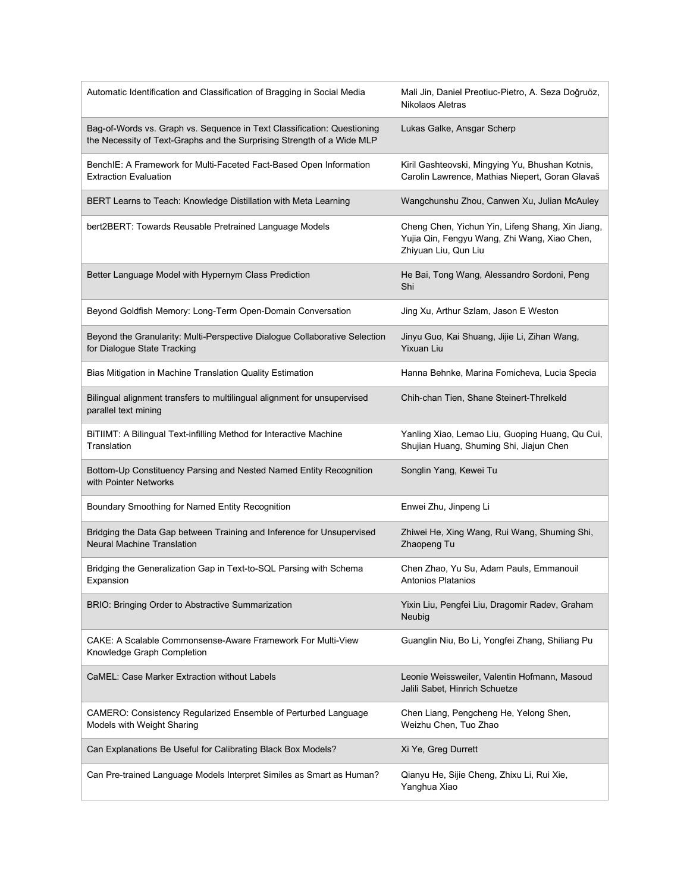| Automatic Identification and Classification of Bragging in Social Media                                                                           | Mali Jin, Daniel Preotiuc-Pietro, A. Seza Doğruöz,<br>Nikolaos Aletras                                                   |
|---------------------------------------------------------------------------------------------------------------------------------------------------|--------------------------------------------------------------------------------------------------------------------------|
| Bag-of-Words vs. Graph vs. Sequence in Text Classification: Questioning<br>the Necessity of Text-Graphs and the Surprising Strength of a Wide MLP | Lukas Galke, Ansgar Scherp                                                                                               |
| BenchIE: A Framework for Multi-Faceted Fact-Based Open Information<br><b>Extraction Evaluation</b>                                                | Kiril Gashteovski, Mingying Yu, Bhushan Kotnis,<br>Carolin Lawrence, Mathias Niepert, Goran Glavaš                       |
| BERT Learns to Teach: Knowledge Distillation with Meta Learning                                                                                   | Wangchunshu Zhou, Canwen Xu, Julian McAuley                                                                              |
| bert2BERT: Towards Reusable Pretrained Language Models                                                                                            | Cheng Chen, Yichun Yin, Lifeng Shang, Xin Jiang,<br>Yujia Qin, Fengyu Wang, Zhi Wang, Xiao Chen,<br>Zhiyuan Liu, Qun Liu |
| Better Language Model with Hypernym Class Prediction                                                                                              | He Bai, Tong Wang, Alessandro Sordoni, Peng<br>Shi                                                                       |
| Beyond Goldfish Memory: Long-Term Open-Domain Conversation                                                                                        | Jing Xu, Arthur Szlam, Jason E Weston                                                                                    |
| Beyond the Granularity: Multi-Perspective Dialogue Collaborative Selection<br>for Dialogue State Tracking                                         | Jinyu Guo, Kai Shuang, Jijie Li, Zihan Wang,<br><b>Yixuan Liu</b>                                                        |
| Bias Mitigation in Machine Translation Quality Estimation                                                                                         | Hanna Behnke, Marina Fomicheva, Lucia Specia                                                                             |
| Bilingual alignment transfers to multilingual alignment for unsupervised<br>parallel text mining                                                  | Chih-chan Tien, Shane Steinert-Threlkeld                                                                                 |
| BITIIMT: A Bilingual Text-infilling Method for Interactive Machine<br>Translation                                                                 | Yanling Xiao, Lemao Liu, Guoping Huang, Qu Cui,<br>Shujian Huang, Shuming Shi, Jiajun Chen                               |
| Bottom-Up Constituency Parsing and Nested Named Entity Recognition<br>with Pointer Networks                                                       | Songlin Yang, Kewei Tu                                                                                                   |
| Boundary Smoothing for Named Entity Recognition                                                                                                   | Enwei Zhu, Jinpeng Li                                                                                                    |
| Bridging the Data Gap between Training and Inference for Unsupervised<br><b>Neural Machine Translation</b>                                        | Zhiwei He, Xing Wang, Rui Wang, Shuming Shi,<br>Zhaopeng Tu                                                              |
| Bridging the Generalization Gap in Text-to-SQL Parsing with Schema<br>Expansion                                                                   | Chen Zhao, Yu Su, Adam Pauls, Emmanouil<br>Antonios Platanios                                                            |
| BRIO: Bringing Order to Abstractive Summarization                                                                                                 | Yixin Liu, Pengfei Liu, Dragomir Radev, Graham<br>Neubig                                                                 |
| CAKE: A Scalable Commonsense-Aware Framework For Multi-View<br>Knowledge Graph Completion                                                         | Guanglin Niu, Bo Li, Yongfei Zhang, Shiliang Pu                                                                          |
| CaMEL: Case Marker Extraction without Labels                                                                                                      | Leonie Weissweiler, Valentin Hofmann, Masoud<br>Jalili Sabet, Hinrich Schuetze                                           |
| CAMERO: Consistency Regularized Ensemble of Perturbed Language<br>Models with Weight Sharing                                                      | Chen Liang, Pengcheng He, Yelong Shen,<br>Weizhu Chen, Tuo Zhao                                                          |
| Can Explanations Be Useful for Calibrating Black Box Models?                                                                                      | Xi Ye, Greg Durrett                                                                                                      |
| Can Pre-trained Language Models Interpret Similes as Smart as Human?                                                                              | Qianyu He, Sijie Cheng, Zhixu Li, Rui Xie,<br>Yanghua Xiao                                                               |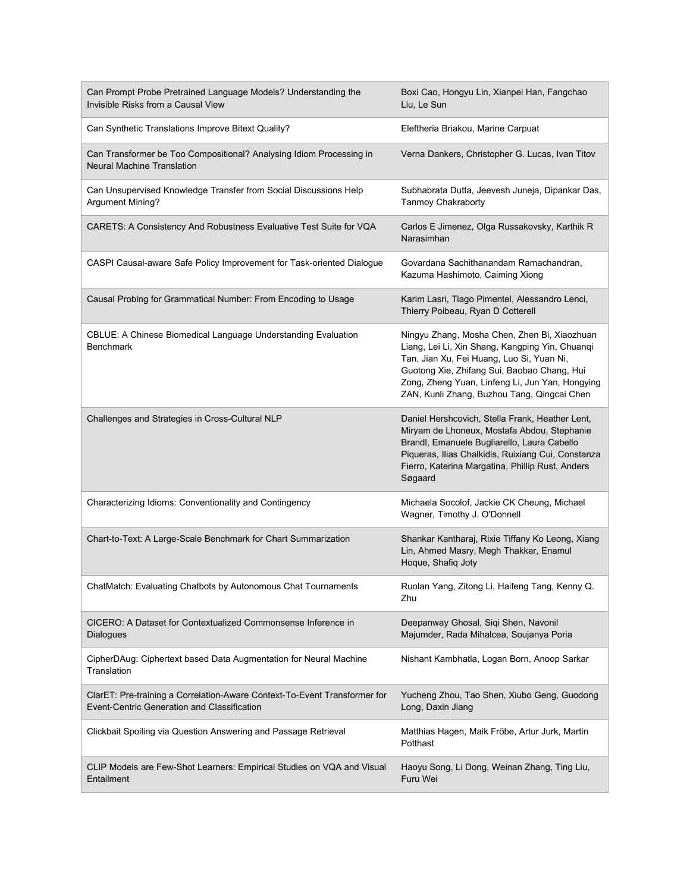| Can Prompt Probe Pretrained Language Models? Understanding the<br>Invisible Risks from a Causal View                     | Boxi Cao, Hongyu Lin, Xianpei Han, Fangchao<br>Liu, Le Sun                                                                                                                                                                                                                                    |
|--------------------------------------------------------------------------------------------------------------------------|-----------------------------------------------------------------------------------------------------------------------------------------------------------------------------------------------------------------------------------------------------------------------------------------------|
| Can Synthetic Translations Improve Bitext Quality?                                                                       | Eleftheria Briakou, Marine Carpuat                                                                                                                                                                                                                                                            |
| Can Transformer be Too Compositional? Analysing Idiom Processing in<br><b>Neural Machine Translation</b>                 | Verna Dankers, Christopher G. Lucas, Ivan Titov                                                                                                                                                                                                                                               |
| Can Unsupervised Knowledge Transfer from Social Discussions Help<br><b>Argument Mining?</b>                              | Subhabrata Dutta, Jeevesh Juneja, Dipankar Das,<br>Tanmoy Chakraborty                                                                                                                                                                                                                         |
| CARETS: A Consistency And Robustness Evaluative Test Suite for VQA                                                       | Carlos E Jimenez, Olga Russakovsky, Karthik R<br>Narasimhan                                                                                                                                                                                                                                   |
| CASPI Causal-aware Safe Policy Improvement for Task-oriented Dialogue                                                    | Govardana Sachithanandam Ramachandran,<br>Kazuma Hashimoto, Caiming Xiong                                                                                                                                                                                                                     |
| Causal Probing for Grammatical Number: From Encoding to Usage                                                            | Karim Lasri, Tiago Pimentel, Alessandro Lenci,<br>Thierry Poibeau, Ryan D Cotterell                                                                                                                                                                                                           |
| CBLUE: A Chinese Biomedical Language Understanding Evaluation<br><b>Benchmark</b>                                        | Ningyu Zhang, Mosha Chen, Zhen Bi, Xiaozhuan<br>Liang, Lei Li, Xin Shang, Kangping Yin, Chuanqi<br>Tan, Jian Xu, Fei Huang, Luo Si, Yuan Ni,<br>Guotong Xie, Zhifang Sui, Baobao Chang, Hui<br>Zong, Zheng Yuan, Linfeng Li, Jun Yan, Hongying<br>ZAN, Kunli Zhang, Buzhou Tang, Qingcai Chen |
| Challenges and Strategies in Cross-Cultural NLP                                                                          | Daniel Hershcovich, Stella Frank, Heather Lent,<br>Miryam de Lhoneux, Mostafa Abdou, Stephanie<br>Brandl, Emanuele Bugliarello, Laura Cabello<br>Piqueras, Ilias Chalkidis, Ruixiang Cui, Constanza<br>Fierro, Katerina Margatina, Phillip Rust, Anders<br>Søgaard                            |
| Characterizing Idioms: Conventionality and Contingency                                                                   | Michaela Socolof, Jackie CK Cheung, Michael<br>Wagner, Timothy J. O'Donnell                                                                                                                                                                                                                   |
| Chart-to-Text: A Large-Scale Benchmark for Chart Summarization                                                           | Shankar Kantharaj, Rixie Tiffany Ko Leong, Xiang<br>Lin, Ahmed Masry, Megh Thakkar, Enamul<br>Hoque, Shafiq Joty                                                                                                                                                                              |
| ChatMatch: Evaluating Chatbots by Autonomous Chat Tournaments                                                            | Ruolan Yang, Zitong Li, Haifeng Tang, Kenny Q.<br>Zhu                                                                                                                                                                                                                                         |
| CICERO: A Dataset for Contextualized Commonsense Inference in<br><b>Dialogues</b>                                        | Deepanway Ghosal, Siqi Shen, Navonil<br>Majumder, Rada Mihalcea, Soujanya Poria                                                                                                                                                                                                               |
| CipherDAug: Ciphertext based Data Augmentation for Neural Machine<br>Translation                                         | Nishant Kambhatla, Logan Born, Anoop Sarkar                                                                                                                                                                                                                                                   |
| ClarET: Pre-training a Correlation-Aware Context-To-Event Transformer for<br>Event-Centric Generation and Classification | Yucheng Zhou, Tao Shen, Xiubo Geng, Guodong<br>Long, Daxin Jiang                                                                                                                                                                                                                              |
| Clickbait Spoiling via Question Answering and Passage Retrieval                                                          | Matthias Hagen, Maik Fröbe, Artur Jurk, Martin<br>Potthast                                                                                                                                                                                                                                    |
| CLIP Models are Few-Shot Learners: Empirical Studies on VQA and Visual<br>Entailment                                     | Haoyu Song, Li Dong, Weinan Zhang, Ting Liu,<br>Furu Wei                                                                                                                                                                                                                                      |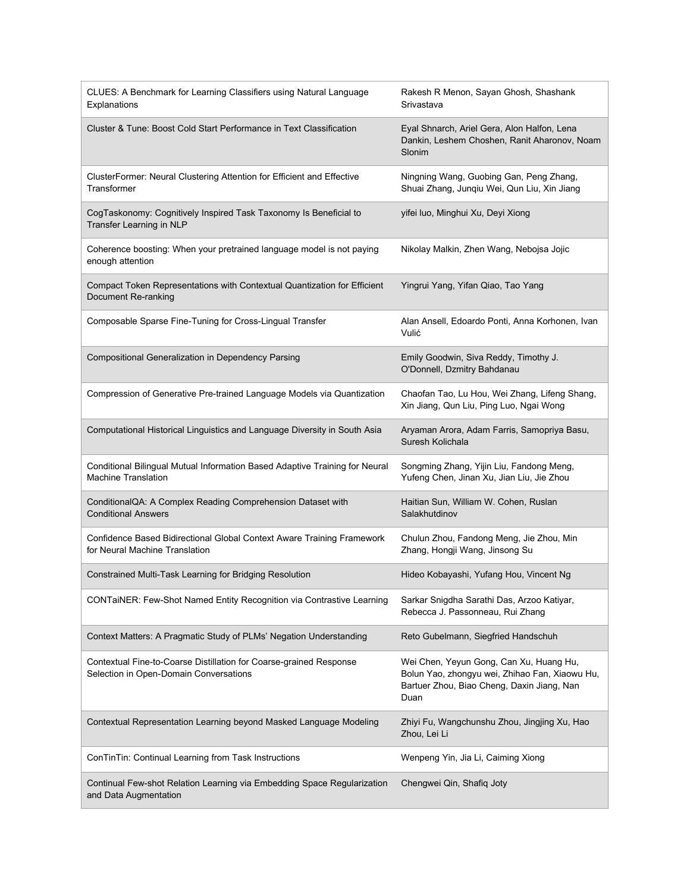| CLUES: A Benchmark for Learning Classifiers using Natural Language<br>Explanations                           | Rakesh R Menon, Sayan Ghosh, Shashank<br>Srivastava                                                                                             |
|--------------------------------------------------------------------------------------------------------------|-------------------------------------------------------------------------------------------------------------------------------------------------|
| Cluster & Tune: Boost Cold Start Performance in Text Classification                                          | Eyal Shnarch, Ariel Gera, Alon Halfon, Lena<br>Dankin, Leshem Choshen, Ranit Aharonov, Noam<br>Slonim                                           |
| ClusterFormer: Neural Clustering Attention for Efficient and Effective<br>Transformer                        | Ningning Wang, Guobing Gan, Peng Zhang,<br>Shuai Zhang, Junqiu Wei, Qun Liu, Xin Jiang                                                          |
| CogTaskonomy: Cognitively Inspired Task Taxonomy Is Beneficial to<br>Transfer Learning in NLP                | yifei luo, Minghui Xu, Deyi Xiong                                                                                                               |
| Coherence boosting: When your pretrained language model is not paying<br>enough attention                    | Nikolay Malkin, Zhen Wang, Nebojsa Jojic                                                                                                        |
| Compact Token Representations with Contextual Quantization for Efficient<br>Document Re-ranking              | Yingrui Yang, Yifan Qiao, Tao Yang                                                                                                              |
| Composable Sparse Fine-Tuning for Cross-Lingual Transfer                                                     | Alan Ansell, Edoardo Ponti, Anna Korhonen, Ivan<br>Vulić                                                                                        |
| Compositional Generalization in Dependency Parsing                                                           | Emily Goodwin, Siva Reddy, Timothy J.<br>O'Donnell, Dzmitry Bahdanau                                                                            |
| Compression of Generative Pre-trained Language Models via Quantization                                       | Chaofan Tao, Lu Hou, Wei Zhang, Lifeng Shang,<br>Xin Jiang, Qun Liu, Ping Luo, Ngai Wong                                                        |
| Computational Historical Linguistics and Language Diversity in South Asia                                    | Aryaman Arora, Adam Farris, Samopriya Basu,<br>Suresh Kolichala                                                                                 |
| Conditional Bilingual Mutual Information Based Adaptive Training for Neural<br><b>Machine Translation</b>    | Songming Zhang, Yijin Liu, Fandong Meng,<br>Yufeng Chen, Jinan Xu, Jian Liu, Jie Zhou                                                           |
| ConditionalQA: A Complex Reading Comprehension Dataset with<br><b>Conditional Answers</b>                    | Haitian Sun, William W. Cohen, Ruslan<br>Salakhutdinov                                                                                          |
| Confidence Based Bidirectional Global Context Aware Training Framework<br>for Neural Machine Translation     | Chulun Zhou, Fandong Meng, Jie Zhou, Min<br>Zhang, Hongji Wang, Jinsong Su                                                                      |
| Constrained Multi-Task Learning for Bridging Resolution                                                      | Hideo Kobayashi, Yufang Hou, Vincent Ng                                                                                                         |
| CONTaiNER: Few-Shot Named Entity Recognition via Contrastive Learning                                        | Sarkar Snigdha Sarathi Das, Arzoo Katiyar,<br>Rebecca J. Passonneau, Rui Zhang                                                                  |
| Context Matters: A Pragmatic Study of PLMs' Negation Understanding                                           | Reto Gubelmann, Siegfried Handschuh                                                                                                             |
| Contextual Fine-to-Coarse Distillation for Coarse-grained Response<br>Selection in Open-Domain Conversations | Wei Chen, Yeyun Gong, Can Xu, Huang Hu,<br>Bolun Yao, zhongyu wei, Zhihao Fan, Xiaowu Hu,<br>Bartuer Zhou, Biao Cheng, Daxin Jiang, Nan<br>Duan |
| Contextual Representation Learning beyond Masked Language Modeling                                           | Zhiyi Fu, Wangchunshu Zhou, Jingjing Xu, Hao<br>Zhou, Lei Li                                                                                    |
| ConTinTin: Continual Learning from Task Instructions                                                         | Wenpeng Yin, Jia Li, Caiming Xiong                                                                                                              |
| Continual Few-shot Relation Learning via Embedding Space Regularization<br>and Data Augmentation             | Chengwei Qin, Shafiq Joty                                                                                                                       |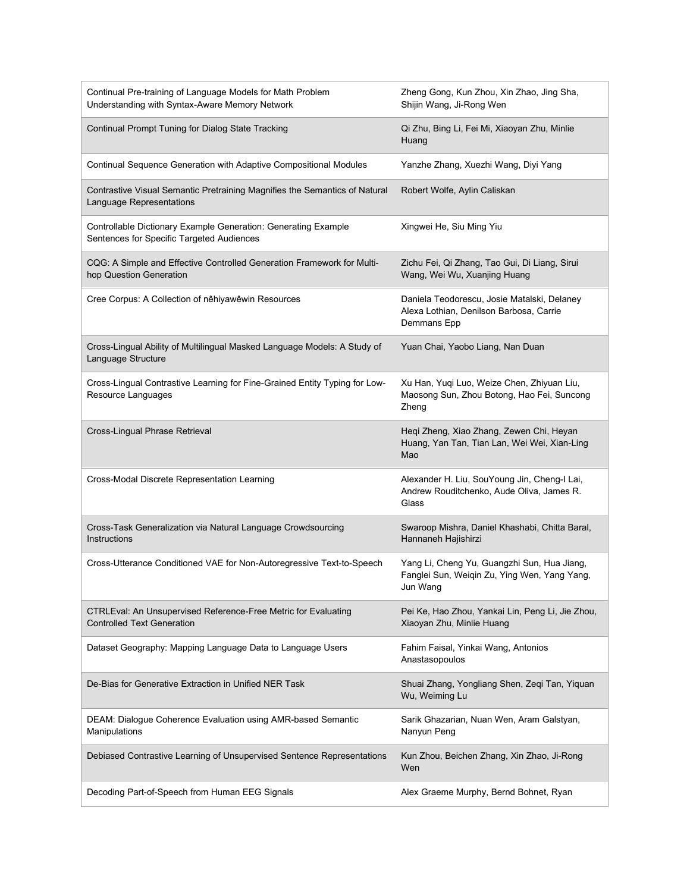| Continual Pre-training of Language Models for Math Problem<br>Understanding with Syntax-Aware Memory Network | Zheng Gong, Kun Zhou, Xin Zhao, Jing Sha,<br>Shijin Wang, Ji-Rong Wen                                   |
|--------------------------------------------------------------------------------------------------------------|---------------------------------------------------------------------------------------------------------|
| Continual Prompt Tuning for Dialog State Tracking                                                            | Qi Zhu, Bing Li, Fei Mi, Xiaoyan Zhu, Minlie<br>Huang                                                   |
| Continual Sequence Generation with Adaptive Compositional Modules                                            | Yanzhe Zhang, Xuezhi Wang, Diyi Yang                                                                    |
| Contrastive Visual Semantic Pretraining Magnifies the Semantics of Natural<br>Language Representations       | Robert Wolfe, Aylin Caliskan                                                                            |
| Controllable Dictionary Example Generation: Generating Example<br>Sentences for Specific Targeted Audiences  | Xingwei He, Siu Ming Yiu                                                                                |
| CQG: A Simple and Effective Controlled Generation Framework for Multi-<br>hop Question Generation            | Zichu Fei, Qi Zhang, Tao Gui, Di Liang, Sirui<br>Wang, Wei Wu, Xuanjing Huang                           |
| Cree Corpus: A Collection of nêhiyawêwin Resources                                                           | Daniela Teodorescu, Josie Matalski, Delaney<br>Alexa Lothian, Denilson Barbosa, Carrie<br>Demmans Epp   |
| Cross-Lingual Ability of Multilingual Masked Language Models: A Study of<br>Language Structure               | Yuan Chai, Yaobo Liang, Nan Duan                                                                        |
| Cross-Lingual Contrastive Learning for Fine-Grained Entity Typing for Low-<br>Resource Languages             | Xu Han, Yuqi Luo, Weize Chen, Zhiyuan Liu,<br>Maosong Sun, Zhou Botong, Hao Fei, Suncong<br>Zheng       |
| Cross-Lingual Phrase Retrieval                                                                               | Heqi Zheng, Xiao Zhang, Zewen Chi, Heyan<br>Huang, Yan Tan, Tian Lan, Wei Wei, Xian-Ling<br>Mao         |
| Cross-Modal Discrete Representation Learning                                                                 | Alexander H. Liu, SouYoung Jin, Cheng-I Lai,<br>Andrew Rouditchenko, Aude Oliva, James R.<br>Glass      |
| Cross-Task Generalization via Natural Language Crowdsourcing<br>Instructions                                 | Swaroop Mishra, Daniel Khashabi, Chitta Baral,<br>Hannaneh Hajishirzi                                   |
| Cross-Utterance Conditioned VAE for Non-Autoregressive Text-to-Speech                                        | Yang Li, Cheng Yu, Guangzhi Sun, Hua Jiang,<br>Fanglei Sun, Weiqin Zu, Ying Wen, Yang Yang,<br>Jun Wang |
| CTRLEval: An Unsupervised Reference-Free Metric for Evaluating<br><b>Controlled Text Generation</b>          | Pei Ke, Hao Zhou, Yankai Lin, Peng Li, Jie Zhou,<br>Xiaoyan Zhu, Minlie Huang                           |
| Dataset Geography: Mapping Language Data to Language Users                                                   | Fahim Faisal, Yinkai Wang, Antonios<br>Anastasopoulos                                                   |
| De-Bias for Generative Extraction in Unified NER Task                                                        | Shuai Zhang, Yongliang Shen, Zeqi Tan, Yiquan<br>Wu, Weiming Lu                                         |
| DEAM: Dialogue Coherence Evaluation using AMR-based Semantic<br>Manipulations                                | Sarik Ghazarian, Nuan Wen, Aram Galstyan,<br>Nanyun Peng                                                |
| Debiased Contrastive Learning of Unsupervised Sentence Representations                                       | Kun Zhou, Beichen Zhang, Xin Zhao, Ji-Rong<br>Wen                                                       |
| Decoding Part-of-Speech from Human EEG Signals                                                               | Alex Graeme Murphy, Bernd Bohnet, Ryan                                                                  |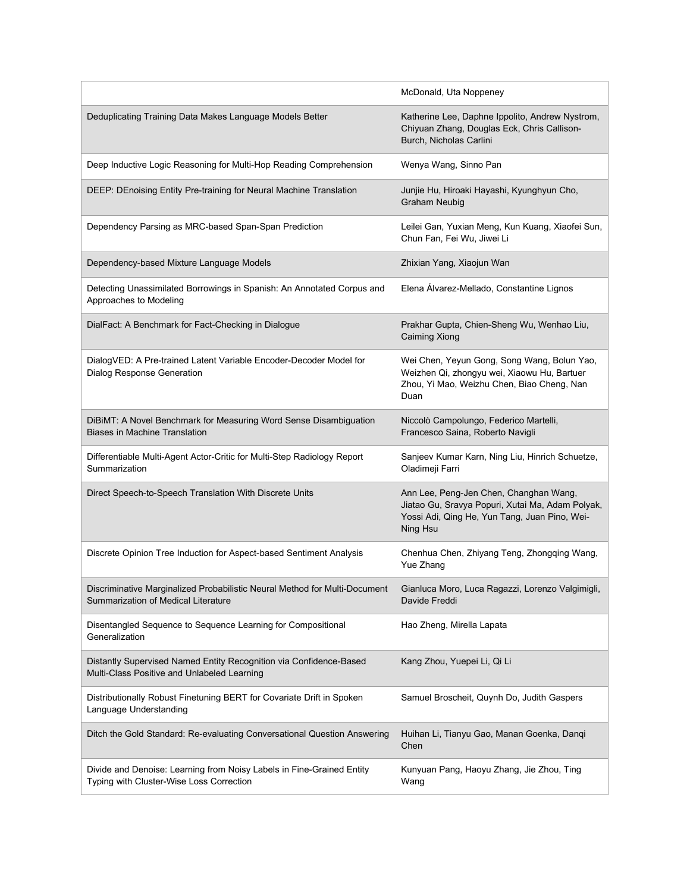|                                                                                                                   | McDonald, Uta Noppeney                                                                                                                                  |
|-------------------------------------------------------------------------------------------------------------------|---------------------------------------------------------------------------------------------------------------------------------------------------------|
| Deduplicating Training Data Makes Language Models Better                                                          | Katherine Lee, Daphne Ippolito, Andrew Nystrom,<br>Chiyuan Zhang, Douglas Eck, Chris Callison-<br>Burch, Nicholas Carlini                               |
| Deep Inductive Logic Reasoning for Multi-Hop Reading Comprehension                                                | Wenya Wang, Sinno Pan                                                                                                                                   |
| DEEP: DEnoising Entity Pre-training for Neural Machine Translation                                                | Junjie Hu, Hiroaki Hayashi, Kyunghyun Cho,<br><b>Graham Neubig</b>                                                                                      |
| Dependency Parsing as MRC-based Span-Span Prediction                                                              | Leilei Gan, Yuxian Meng, Kun Kuang, Xiaofei Sun,<br>Chun Fan, Fei Wu, Jiwei Li                                                                          |
| Dependency-based Mixture Language Models                                                                          | Zhixian Yang, Xiaojun Wan                                                                                                                               |
| Detecting Unassimilated Borrowings in Spanish: An Annotated Corpus and<br>Approaches to Modeling                  | Elena Álvarez-Mellado, Constantine Lignos                                                                                                               |
| DialFact: A Benchmark for Fact-Checking in Dialogue                                                               | Prakhar Gupta, Chien-Sheng Wu, Wenhao Liu,<br><b>Caiming Xiong</b>                                                                                      |
| DialogVED: A Pre-trained Latent Variable Encoder-Decoder Model for<br><b>Dialog Response Generation</b>           | Wei Chen, Yeyun Gong, Song Wang, Bolun Yao,<br>Weizhen Qi, zhongyu wei, Xiaowu Hu, Bartuer<br>Zhou, Yi Mao, Weizhu Chen, Biao Cheng, Nan<br>Duan        |
| DiBiMT: A Novel Benchmark for Measuring Word Sense Disambiguation<br><b>Biases in Machine Translation</b>         | Niccolò Campolungo, Federico Martelli,<br>Francesco Saina, Roberto Navigli                                                                              |
| Differentiable Multi-Agent Actor-Critic for Multi-Step Radiology Report<br>Summarization                          | Sanjeev Kumar Karn, Ning Liu, Hinrich Schuetze,<br>Oladimeji Farri                                                                                      |
| Direct Speech-to-Speech Translation With Discrete Units                                                           | Ann Lee, Peng-Jen Chen, Changhan Wang,<br>Jiatao Gu, Sravya Popuri, Xutai Ma, Adam Polyak,<br>Yossi Adi, Qing He, Yun Tang, Juan Pino, Wei-<br>Ning Hsu |
| Discrete Opinion Tree Induction for Aspect-based Sentiment Analysis                                               | Chenhua Chen, Zhiyang Teng, Zhongqing Wang,<br>Yue Zhang                                                                                                |
| Discriminative Marginalized Probabilistic Neural Method for Multi-Document<br>Summarization of Medical Literature | Gianluca Moro, Luca Ragazzi, Lorenzo Valgimigli,<br>Davide Freddi                                                                                       |
| Disentangled Sequence to Sequence Learning for Compositional<br>Generalization                                    | Hao Zheng, Mirella Lapata                                                                                                                               |
| Distantly Supervised Named Entity Recognition via Confidence-Based<br>Multi-Class Positive and Unlabeled Learning | Kang Zhou, Yuepei Li, Qi Li                                                                                                                             |
| Distributionally Robust Finetuning BERT for Covariate Drift in Spoken<br>Language Understanding                   | Samuel Broscheit, Quynh Do, Judith Gaspers                                                                                                              |
| Ditch the Gold Standard: Re-evaluating Conversational Question Answering                                          | Huihan Li, Tianyu Gao, Manan Goenka, Danqi<br>Chen                                                                                                      |
| Divide and Denoise: Learning from Noisy Labels in Fine-Grained Entity<br>Typing with Cluster-Wise Loss Correction | Kunyuan Pang, Haoyu Zhang, Jie Zhou, Ting<br>Wang                                                                                                       |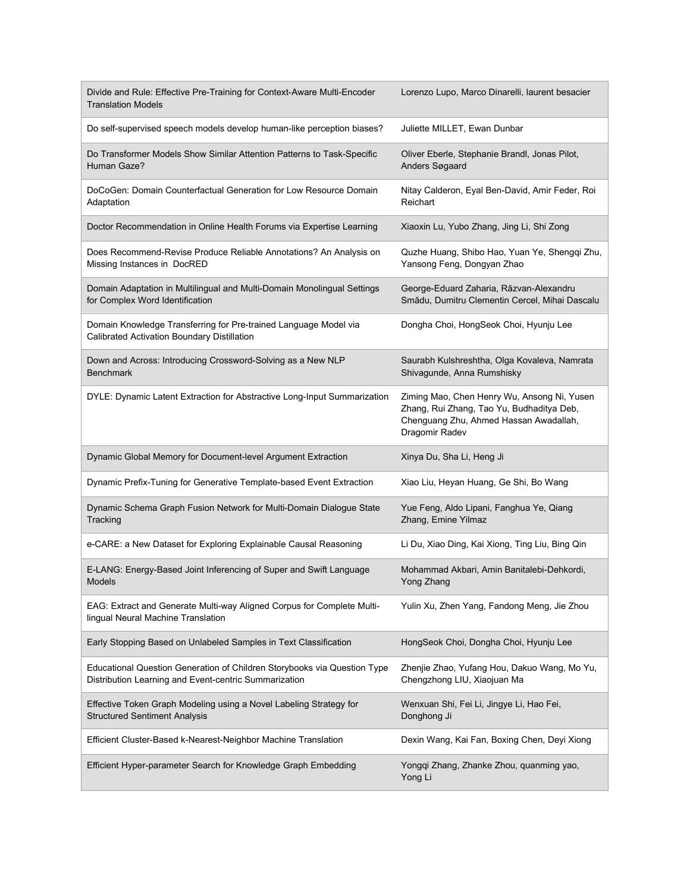| Divide and Rule: Effective Pre-Training for Context-Aware Multi-Encoder<br><b>Translation Models</b>                              | Lorenzo Lupo, Marco Dinarelli, laurent besacier                                                                                                      |
|-----------------------------------------------------------------------------------------------------------------------------------|------------------------------------------------------------------------------------------------------------------------------------------------------|
| Do self-supervised speech models develop human-like perception biases?                                                            | Juliette MILLET, Ewan Dunbar                                                                                                                         |
| Do Transformer Models Show Similar Attention Patterns to Task-Specific<br>Human Gaze?                                             | Oliver Eberle, Stephanie Brandl, Jonas Pilot,<br>Anders Søgaard                                                                                      |
| DoCoGen: Domain Counterfactual Generation for Low Resource Domain<br>Adaptation                                                   | Nitay Calderon, Eyal Ben-David, Amir Feder, Roi<br>Reichart                                                                                          |
| Doctor Recommendation in Online Health Forums via Expertise Learning                                                              | Xiaoxin Lu, Yubo Zhang, Jing Li, Shi Zong                                                                                                            |
| Does Recommend-Revise Produce Reliable Annotations? An Analysis on<br>Missing Instances in DocRED                                 | Quzhe Huang, Shibo Hao, Yuan Ye, Shengqi Zhu,<br>Yansong Feng, Dongyan Zhao                                                                          |
| Domain Adaptation in Multilingual and Multi-Domain Monolingual Settings<br>for Complex Word Identification                        | George-Eduard Zaharia, Răzvan-Alexandru<br>Smădu, Dumitru Clementin Cercel, Mihai Dascalu                                                            |
| Domain Knowledge Transferring for Pre-trained Language Model via<br>Calibrated Activation Boundary Distillation                   | Dongha Choi, HongSeok Choi, Hyunju Lee                                                                                                               |
| Down and Across: Introducing Crossword-Solving as a New NLP<br><b>Benchmark</b>                                                   | Saurabh Kulshreshtha, Olga Kovaleva, Namrata<br>Shivagunde, Anna Rumshisky                                                                           |
| DYLE: Dynamic Latent Extraction for Abstractive Long-Input Summarization                                                          | Ziming Mao, Chen Henry Wu, Ansong Ni, Yusen<br>Zhang, Rui Zhang, Tao Yu, Budhaditya Deb,<br>Chenguang Zhu, Ahmed Hassan Awadallah,<br>Dragomir Radev |
|                                                                                                                                   |                                                                                                                                                      |
| Dynamic Global Memory for Document-level Argument Extraction                                                                      | Xinya Du, Sha Li, Heng Ji                                                                                                                            |
| Dynamic Prefix-Tuning for Generative Template-based Event Extraction                                                              | Xiao Liu, Heyan Huang, Ge Shi, Bo Wang                                                                                                               |
| Dynamic Schema Graph Fusion Network for Multi-Domain Dialogue State<br>Tracking                                                   | Yue Feng, Aldo Lipani, Fanghua Ye, Qiang<br>Zhang, Emine Yilmaz                                                                                      |
| e-CARE: a New Dataset for Exploring Explainable Causal Reasoning                                                                  | Li Du, Xiao Ding, Kai Xiong, Ting Liu, Bing Qin                                                                                                      |
| E-LANG: Energy-Based Joint Inferencing of Super and Swift Language<br>Models                                                      | Mohammad Akbari, Amin Banitalebi-Dehkordi,<br>Yong Zhang                                                                                             |
| EAG: Extract and Generate Multi-way Aligned Corpus for Complete Multi-<br>lingual Neural Machine Translation                      | Yulin Xu, Zhen Yang, Fandong Meng, Jie Zhou                                                                                                          |
| Early Stopping Based on Unlabeled Samples in Text Classification                                                                  | HongSeok Choi, Dongha Choi, Hyunju Lee                                                                                                               |
| Educational Question Generation of Children Storybooks via Question Type<br>Distribution Learning and Event-centric Summarization | Zhenjie Zhao, Yufang Hou, Dakuo Wang, Mo Yu,<br>Chengzhong LIU, Xiaojuan Ma                                                                          |
| Effective Token Graph Modeling using a Novel Labeling Strategy for<br><b>Structured Sentiment Analysis</b>                        | Wenxuan Shi, Fei Li, Jingye Li, Hao Fei,<br>Donghong Ji                                                                                              |
| Efficient Cluster-Based k-Nearest-Neighbor Machine Translation                                                                    | Dexin Wang, Kai Fan, Boxing Chen, Deyi Xiong                                                                                                         |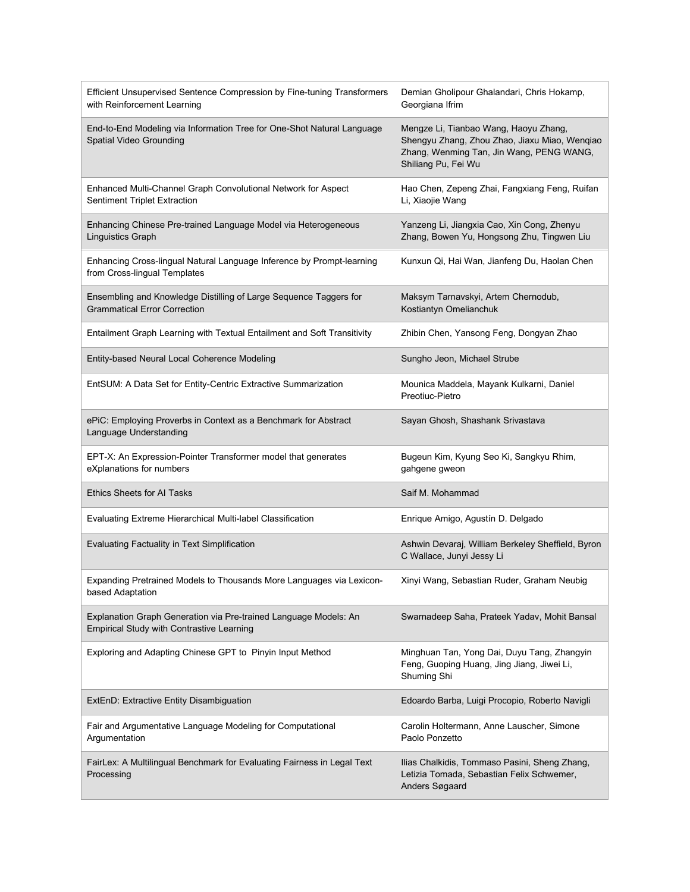| Efficient Unsupervised Sentence Compression by Fine-tuning Transformers<br>with Reinforcement Learning        | Demian Gholipour Ghalandari, Chris Hokamp,<br>Georgiana Ifrim                                                                                             |
|---------------------------------------------------------------------------------------------------------------|-----------------------------------------------------------------------------------------------------------------------------------------------------------|
| End-to-End Modeling via Information Tree for One-Shot Natural Language<br>Spatial Video Grounding             | Mengze Li, Tianbao Wang, Haoyu Zhang,<br>Shengyu Zhang, Zhou Zhao, Jiaxu Miao, Wenqiao<br>Zhang, Wenming Tan, Jin Wang, PENG WANG,<br>Shiliang Pu, Fei Wu |
| Enhanced Multi-Channel Graph Convolutional Network for Aspect<br>Sentiment Triplet Extraction                 | Hao Chen, Zepeng Zhai, Fangxiang Feng, Ruifan<br>Li, Xiaojie Wang                                                                                         |
| Enhancing Chinese Pre-trained Language Model via Heterogeneous<br><b>Linguistics Graph</b>                    | Yanzeng Li, Jiangxia Cao, Xin Cong, Zhenyu<br>Zhang, Bowen Yu, Hongsong Zhu, Tingwen Liu                                                                  |
| Enhancing Cross-lingual Natural Language Inference by Prompt-learning<br>from Cross-lingual Templates         | Kunxun Qi, Hai Wan, Jianfeng Du, Haolan Chen                                                                                                              |
| Ensembling and Knowledge Distilling of Large Sequence Taggers for<br><b>Grammatical Error Correction</b>      | Maksym Tarnavskyi, Artem Chernodub,<br>Kostiantyn Omelianchuk                                                                                             |
| Entailment Graph Learning with Textual Entailment and Soft Transitivity                                       | Zhibin Chen, Yansong Feng, Dongyan Zhao                                                                                                                   |
| Entity-based Neural Local Coherence Modeling                                                                  | Sungho Jeon, Michael Strube                                                                                                                               |
| EntSUM: A Data Set for Entity-Centric Extractive Summarization                                                | Mounica Maddela, Mayank Kulkarni, Daniel<br>Preotiuc-Pietro                                                                                               |
| ePiC: Employing Proverbs in Context as a Benchmark for Abstract<br>Language Understanding                     | Sayan Ghosh, Shashank Srivastava                                                                                                                          |
| EPT-X: An Expression-Pointer Transformer model that generates<br>eXplanations for numbers                     | Bugeun Kim, Kyung Seo Ki, Sangkyu Rhim,<br>gahgene gweon                                                                                                  |
| <b>Ethics Sheets for AI Tasks</b>                                                                             | Saif M. Mohammad                                                                                                                                          |
| Evaluating Extreme Hierarchical Multi-label Classification                                                    | Enrique Amigo, Agustín D. Delgado                                                                                                                         |
| <b>Evaluating Factuality in Text Simplification</b>                                                           | Ashwin Devaraj, William Berkeley Sheffield, Byron<br>C Wallace, Junyi Jessy Li                                                                            |
| Expanding Pretrained Models to Thousands More Languages via Lexicon-<br>based Adaptation                      | Xinyi Wang, Sebastian Ruder, Graham Neubig                                                                                                                |
| Explanation Graph Generation via Pre-trained Language Models: An<br>Empirical Study with Contrastive Learning | Swarnadeep Saha, Prateek Yadav, Mohit Bansal                                                                                                              |
| Exploring and Adapting Chinese GPT to Pinyin Input Method                                                     | Minghuan Tan, Yong Dai, Duyu Tang, Zhangyin<br>Feng, Guoping Huang, Jing Jiang, Jiwei Li,<br>Shuming Shi                                                  |
|                                                                                                               |                                                                                                                                                           |
| ExtEnD: Extractive Entity Disambiguation                                                                      | Edoardo Barba, Luigi Procopio, Roberto Navigli                                                                                                            |
| Fair and Argumentative Language Modeling for Computational<br>Argumentation                                   | Carolin Holtermann, Anne Lauscher, Simone<br>Paolo Ponzetto                                                                                               |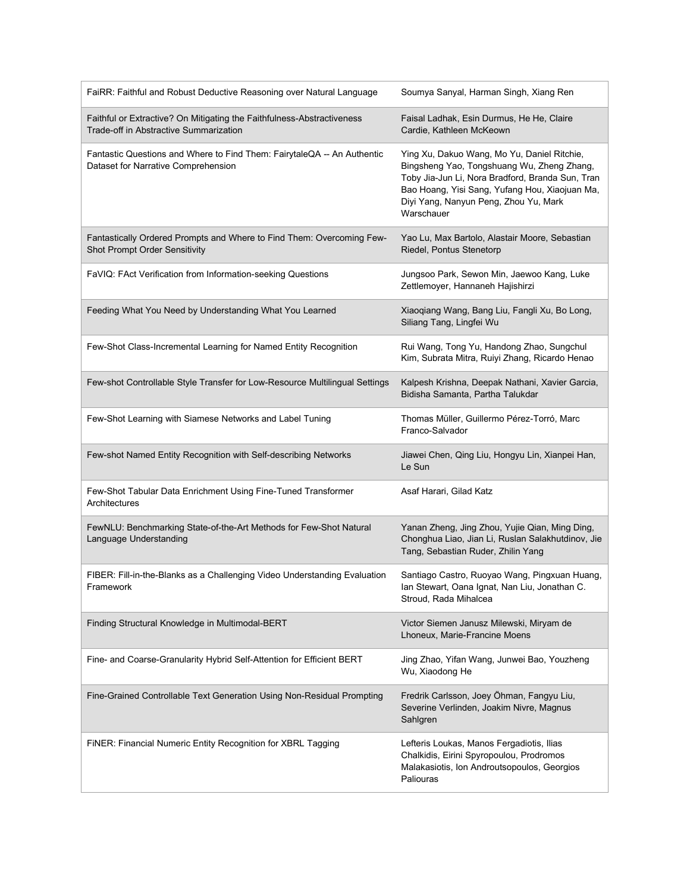| FaiRR: Faithful and Robust Deductive Reasoning over Natural Language                                             | Soumya Sanyal, Harman Singh, Xiang Ren                                                                                                                                                                                                                 |
|------------------------------------------------------------------------------------------------------------------|--------------------------------------------------------------------------------------------------------------------------------------------------------------------------------------------------------------------------------------------------------|
| Faithful or Extractive? On Mitigating the Faithfulness-Abstractiveness<br>Trade-off in Abstractive Summarization | Faisal Ladhak, Esin Durmus, He He, Claire<br>Cardie, Kathleen McKeown                                                                                                                                                                                  |
| Fantastic Questions and Where to Find Them: FairytaleQA -- An Authentic<br>Dataset for Narrative Comprehension   | Ying Xu, Dakuo Wang, Mo Yu, Daniel Ritchie,<br>Bingsheng Yao, Tongshuang Wu, Zheng Zhang,<br>Toby Jia-Jun Li, Nora Bradford, Branda Sun, Tran<br>Bao Hoang, Yisi Sang, Yufang Hou, Xiaojuan Ma,<br>Diyi Yang, Nanyun Peng, Zhou Yu, Mark<br>Warschauer |
| Fantastically Ordered Prompts and Where to Find Them: Overcoming Few-<br><b>Shot Prompt Order Sensitivity</b>    | Yao Lu, Max Bartolo, Alastair Moore, Sebastian<br>Riedel, Pontus Stenetorp                                                                                                                                                                             |
| FaVIQ: FAct Verification from Information-seeking Questions                                                      | Jungsoo Park, Sewon Min, Jaewoo Kang, Luke<br>Zettlemoyer, Hannaneh Hajishirzi                                                                                                                                                                         |
| Feeding What You Need by Understanding What You Learned                                                          | Xiaoqiang Wang, Bang Liu, Fangli Xu, Bo Long,<br>Siliang Tang, Lingfei Wu                                                                                                                                                                              |
| Few-Shot Class-Incremental Learning for Named Entity Recognition                                                 | Rui Wang, Tong Yu, Handong Zhao, Sungchul<br>Kim, Subrata Mitra, Ruiyi Zhang, Ricardo Henao                                                                                                                                                            |
| Few-shot Controllable Style Transfer for Low-Resource Multilingual Settings                                      | Kalpesh Krishna, Deepak Nathani, Xavier Garcia,<br>Bidisha Samanta, Partha Talukdar                                                                                                                                                                    |
| Few-Shot Learning with Siamese Networks and Label Tuning                                                         | Thomas Müller, Guillermo Pérez-Torró, Marc<br>Franco-Salvador                                                                                                                                                                                          |
| Few-shot Named Entity Recognition with Self-describing Networks                                                  | Jiawei Chen, Qing Liu, Hongyu Lin, Xianpei Han,<br>Le Sun                                                                                                                                                                                              |
| Few-Shot Tabular Data Enrichment Using Fine-Tuned Transformer<br>Architectures                                   | Asaf Harari, Gilad Katz                                                                                                                                                                                                                                |
| FewNLU: Benchmarking State-of-the-Art Methods for Few-Shot Natural<br>Language Understanding                     | Yanan Zheng, Jing Zhou, Yujie Qian, Ming Ding,<br>Chonghua Liao, Jian Li, Ruslan Salakhutdinov, Jie<br>Tang, Sebastian Ruder, Zhilin Yang                                                                                                              |
| FIBER: Fill-in-the-Blanks as a Challenging Video Understanding Evaluation<br>Framework                           | Santiago Castro, Ruoyao Wang, Pingxuan Huang,<br>Ian Stewart, Oana Ignat, Nan Liu, Jonathan C.<br>Stroud, Rada Mihalcea                                                                                                                                |
| Finding Structural Knowledge in Multimodal-BERT                                                                  | Victor Siemen Janusz Milewski, Miryam de<br>Lhoneux, Marie-Francine Moens                                                                                                                                                                              |
| Fine- and Coarse-Granularity Hybrid Self-Attention for Efficient BERT                                            | Jing Zhao, Yifan Wang, Junwei Bao, Youzheng<br>Wu, Xiaodong He                                                                                                                                                                                         |
| Fine-Grained Controllable Text Generation Using Non-Residual Prompting                                           | Fredrik Carlsson, Joey Öhman, Fangyu Liu,<br>Severine Verlinden, Joakim Nivre, Magnus<br>Sahlgren                                                                                                                                                      |
| FINER: Financial Numeric Entity Recognition for XBRL Tagging                                                     | Lefteris Loukas, Manos Fergadiotis, Ilias<br>Chalkidis, Eirini Spyropoulou, Prodromos<br>Malakasiotis, Ion Androutsopoulos, Georgios<br>Paliouras                                                                                                      |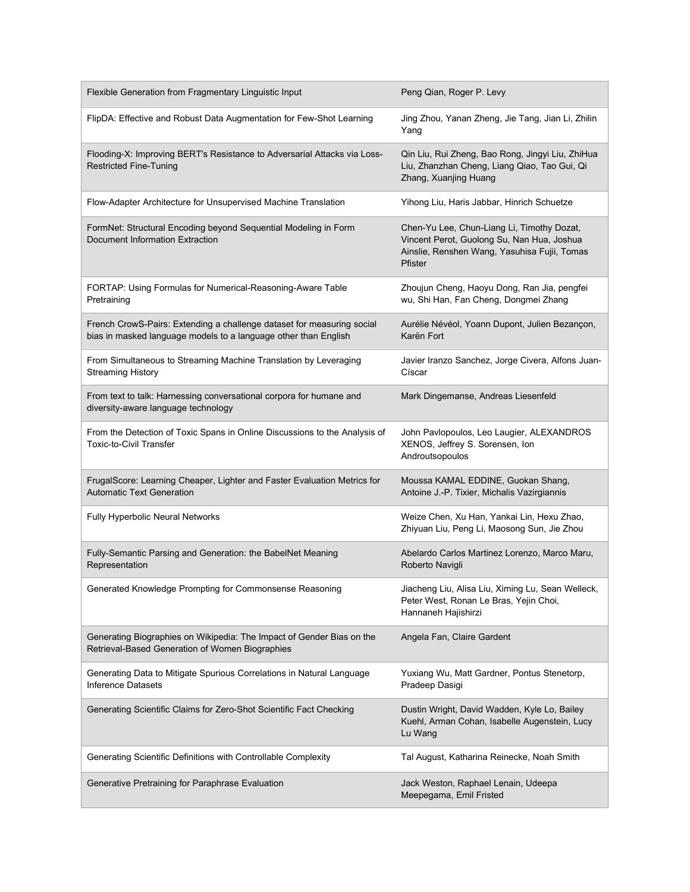| Flexible Generation from Fragmentary Linguistic Input                                                                                     | Peng Qian, Roger P. Levy                                                                                                                            |
|-------------------------------------------------------------------------------------------------------------------------------------------|-----------------------------------------------------------------------------------------------------------------------------------------------------|
| FlipDA: Effective and Robust Data Augmentation for Few-Shot Learning                                                                      | Jing Zhou, Yanan Zheng, Jie Tang, Jian Li, Zhilin<br>Yang                                                                                           |
| Flooding-X: Improving BERT's Resistance to Adversarial Attacks via Loss-<br><b>Restricted Fine-Tuning</b>                                 | Qin Liu, Rui Zheng, Bao Rong, Jingyi Liu, ZhiHua<br>Liu, Zhanzhan Cheng, Liang Qiao, Tao Gui, Qi<br>Zhang, Xuanjing Huang                           |
| Flow-Adapter Architecture for Unsupervised Machine Translation                                                                            | Yihong Liu, Haris Jabbar, Hinrich Schuetze                                                                                                          |
| FormNet: Structural Encoding beyond Sequential Modeling in Form<br>Document Information Extraction                                        | Chen-Yu Lee, Chun-Liang Li, Timothy Dozat,<br>Vincent Perot, Guolong Su, Nan Hua, Joshua<br>Ainslie, Renshen Wang, Yasuhisa Fujii, Tomas<br>Pfister |
| FORTAP: Using Formulas for Numerical-Reasoning-Aware Table<br>Pretraining                                                                 | Zhoujun Cheng, Haoyu Dong, Ran Jia, pengfei<br>wu, Shi Han, Fan Cheng, Dongmei Zhang                                                                |
| French CrowS-Pairs: Extending a challenge dataset for measuring social<br>bias in masked language models to a language other than English | Aurélie Névéol, Yoann Dupont, Julien Bezançon,<br>Karën Fort                                                                                        |
| From Simultaneous to Streaming Machine Translation by Leveraging<br><b>Streaming History</b>                                              | Javier Iranzo Sanchez, Jorge Civera, Alfons Juan-<br>Císcar                                                                                         |
| From text to talk: Harnessing conversational corpora for humane and<br>diversity-aware language technology                                | Mark Dingemanse, Andreas Liesenfeld                                                                                                                 |
| From the Detection of Toxic Spans in Online Discussions to the Analysis of<br><b>Toxic-to-Civil Transfer</b>                              | John Pavlopoulos, Leo Laugier, ALEXANDROS<br>XENOS, Jeffrey S. Sorensen, Ion<br>Androutsopoulos                                                     |
| FrugalScore: Learning Cheaper, Lighter and Faster Evaluation Metrics for<br><b>Automatic Text Generation</b>                              | Moussa KAMAL EDDINE, Guokan Shang,<br>Antoine J.-P. Tixier, Michalis Vazirgiannis                                                                   |
| <b>Fully Hyperbolic Neural Networks</b>                                                                                                   | Weize Chen, Xu Han, Yankai Lin, Hexu Zhao,<br>Zhiyuan Liu, Peng Li, Maosong Sun, Jie Zhou                                                           |
| Fully-Semantic Parsing and Generation: the BabelNet Meaning<br>Representation                                                             | Abelardo Carlos Martinez Lorenzo, Marco Maru,<br>Roberto Navigli                                                                                    |
| Generated Knowledge Prompting for Commonsense Reasoning                                                                                   | Jiacheng Liu, Alisa Liu, Ximing Lu, Sean Welleck,<br>Peter West, Ronan Le Bras, Yejin Choi,<br>Hannaneh Hajishirzi                                  |
| Generating Biographies on Wikipedia: The Impact of Gender Bias on the<br>Retrieval-Based Generation of Women Biographies                  | Angela Fan, Claire Gardent                                                                                                                          |
| Generating Data to Mitigate Spurious Correlations in Natural Language<br>Inference Datasets                                               | Yuxiang Wu, Matt Gardner, Pontus Stenetorp,<br>Pradeep Dasigi                                                                                       |
| Generating Scientific Claims for Zero-Shot Scientific Fact Checking                                                                       | Dustin Wright, David Wadden, Kyle Lo, Bailey<br>Kuehl, Arman Cohan, Isabelle Augenstein, Lucy<br>Lu Wang                                            |
| Generating Scientific Definitions with Controllable Complexity                                                                            | Tal August, Katharina Reinecke, Noah Smith                                                                                                          |
| Generative Pretraining for Paraphrase Evaluation                                                                                          | Jack Weston, Raphael Lenain, Udeepa<br>Meepegama, Emil Fristed                                                                                      |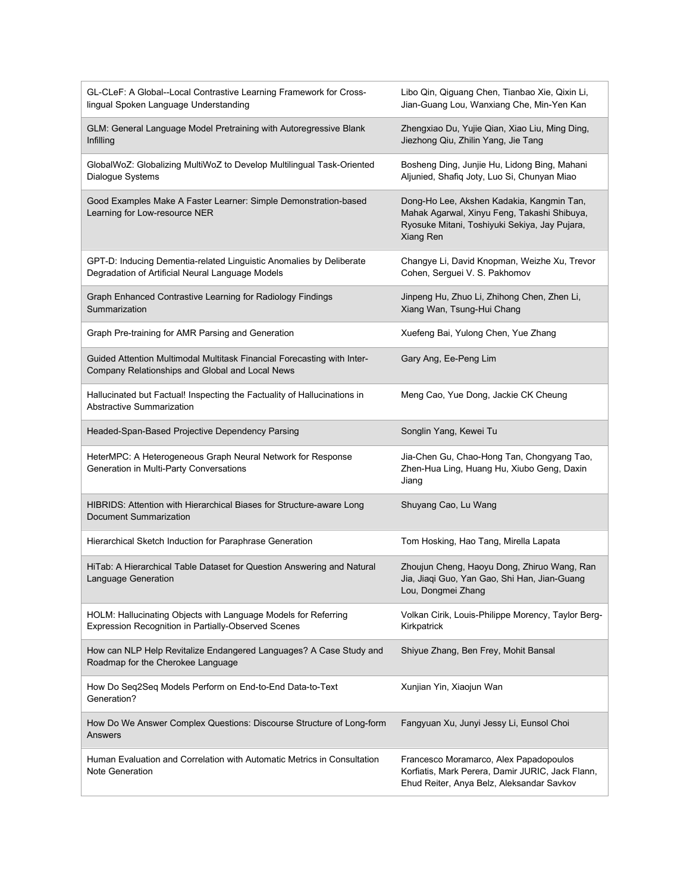| GL-CLeF: A Global--Local Contrastive Learning Framework for Cross-<br>lingual Spoken Language Understanding                | Libo Qin, Qiguang Chen, Tianbao Xie, Qixin Li,<br>Jian-Guang Lou, Wanxiang Che, Min-Yen Kan                                                            |
|----------------------------------------------------------------------------------------------------------------------------|--------------------------------------------------------------------------------------------------------------------------------------------------------|
| GLM: General Language Model Pretraining with Autoregressive Blank<br>Infilling                                             | Zhengxiao Du, Yujie Qian, Xiao Liu, Ming Ding,<br>Jiezhong Qiu, Zhilin Yang, Jie Tang                                                                  |
| GlobalWoZ: Globalizing MultiWoZ to Develop Multilingual Task-Oriented<br>Dialogue Systems                                  | Bosheng Ding, Junjie Hu, Lidong Bing, Mahani<br>Aljunied, Shafiq Joty, Luo Si, Chunyan Miao                                                            |
| Good Examples Make A Faster Learner: Simple Demonstration-based<br>Learning for Low-resource NER                           | Dong-Ho Lee, Akshen Kadakia, Kangmin Tan,<br>Mahak Agarwal, Xinyu Feng, Takashi Shibuya,<br>Ryosuke Mitani, Toshiyuki Sekiya, Jay Pujara,<br>Xiang Ren |
| GPT-D: Inducing Dementia-related Linguistic Anomalies by Deliberate<br>Degradation of Artificial Neural Language Models    | Changye Li, David Knopman, Weizhe Xu, Trevor<br>Cohen, Serguei V. S. Pakhomov                                                                          |
| Graph Enhanced Contrastive Learning for Radiology Findings<br>Summarization                                                | Jinpeng Hu, Zhuo Li, Zhihong Chen, Zhen Li,<br>Xiang Wan, Tsung-Hui Chang                                                                              |
| Graph Pre-training for AMR Parsing and Generation                                                                          | Xuefeng Bai, Yulong Chen, Yue Zhang                                                                                                                    |
| Guided Attention Multimodal Multitask Financial Forecasting with Inter-<br>Company Relationships and Global and Local News | Gary Ang, Ee-Peng Lim                                                                                                                                  |
| Hallucinated but Factual! Inspecting the Factuality of Hallucinations in<br>Abstractive Summarization                      | Meng Cao, Yue Dong, Jackie CK Cheung                                                                                                                   |
| Headed-Span-Based Projective Dependency Parsing                                                                            | Songlin Yang, Kewei Tu                                                                                                                                 |
| HeterMPC: A Heterogeneous Graph Neural Network for Response<br>Generation in Multi-Party Conversations                     | Jia-Chen Gu, Chao-Hong Tan, Chongyang Tao,<br>Zhen-Hua Ling, Huang Hu, Xiubo Geng, Daxin<br>Jiang                                                      |
| HIBRIDS: Attention with Hierarchical Biases for Structure-aware Long<br><b>Document Summarization</b>                      | Shuyang Cao, Lu Wang                                                                                                                                   |
| Hierarchical Sketch Induction for Paraphrase Generation                                                                    | Tom Hosking, Hao Tang, Mirella Lapata                                                                                                                  |
| HiTab: A Hierarchical Table Dataset for Question Answering and Natural<br>Language Generation                              | Zhoujun Cheng, Haoyu Dong, Zhiruo Wang, Ran<br>Jia, Jiaqi Guo, Yan Gao, Shi Han, Jian-Guang<br>Lou, Dongmei Zhang                                      |
| HOLM: Hallucinating Objects with Language Models for Referring<br>Expression Recognition in Partially-Observed Scenes      | Volkan Cirik, Louis-Philippe Morency, Taylor Berg-<br>Kirkpatrick                                                                                      |
| How can NLP Help Revitalize Endangered Languages? A Case Study and<br>Roadmap for the Cherokee Language                    | Shiyue Zhang, Ben Frey, Mohit Bansal                                                                                                                   |
| How Do Seq2Seq Models Perform on End-to-End Data-to-Text<br>Generation?                                                    | Xunjian Yin, Xiaojun Wan                                                                                                                               |
| How Do We Answer Complex Questions: Discourse Structure of Long-form<br>Answers                                            | Fangyuan Xu, Junyi Jessy Li, Eunsol Choi                                                                                                               |
| Human Evaluation and Correlation with Automatic Metrics in Consultation<br>Note Generation                                 | Francesco Moramarco, Alex Papadopoulos<br>Korfiatis, Mark Perera, Damir JURIC, Jack Flann,<br>Ehud Reiter, Anya Belz, Aleksandar Savkov                |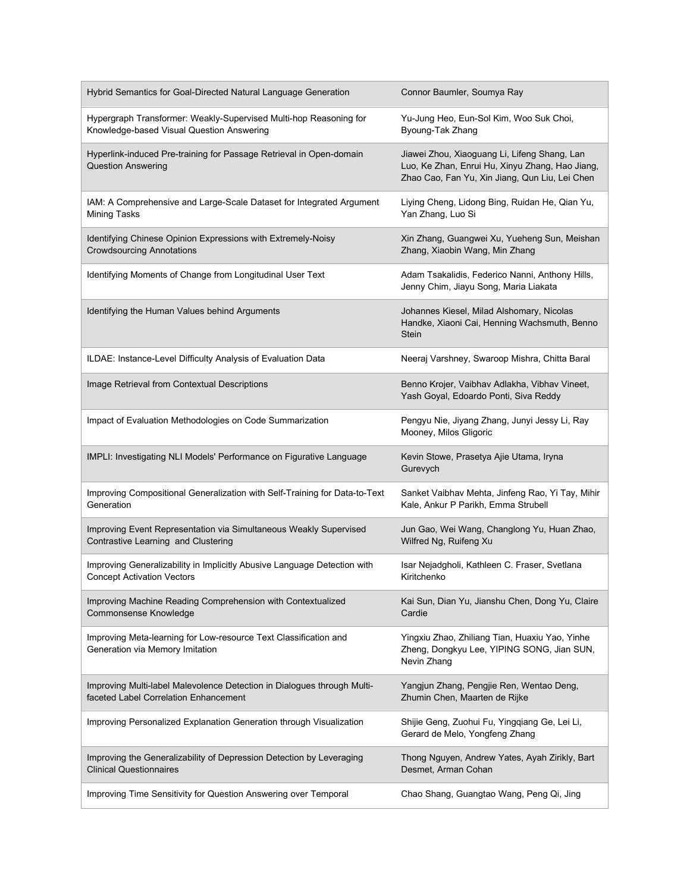| Hybrid Semantics for Goal-Directed Natural Language Generation                                                   | Connor Baumler, Soumya Ray                                                                                                                        |
|------------------------------------------------------------------------------------------------------------------|---------------------------------------------------------------------------------------------------------------------------------------------------|
| Hypergraph Transformer: Weakly-Supervised Multi-hop Reasoning for<br>Knowledge-based Visual Question Answering   | Yu-Jung Heo, Eun-Sol Kim, Woo Suk Choi,<br>Byoung-Tak Zhang                                                                                       |
| Hyperlink-induced Pre-training for Passage Retrieval in Open-domain<br><b>Question Answering</b>                 | Jiawei Zhou, Xiaoguang Li, Lifeng Shang, Lan<br>Luo, Ke Zhan, Enrui Hu, Xinyu Zhang, Hao Jiang,<br>Zhao Cao, Fan Yu, Xin Jiang, Qun Liu, Lei Chen |
| IAM: A Comprehensive and Large-Scale Dataset for Integrated Argument<br><b>Mining Tasks</b>                      | Liying Cheng, Lidong Bing, Ruidan He, Qian Yu,<br>Yan Zhang, Luo Si                                                                               |
| Identifying Chinese Opinion Expressions with Extremely-Noisy<br><b>Crowdsourcing Annotations</b>                 | Xin Zhang, Guangwei Xu, Yueheng Sun, Meishan<br>Zhang, Xiaobin Wang, Min Zhang                                                                    |
| Identifying Moments of Change from Longitudinal User Text                                                        | Adam Tsakalidis, Federico Nanni, Anthony Hills,<br>Jenny Chim, Jiayu Song, Maria Liakata                                                          |
| Identifying the Human Values behind Arguments                                                                    | Johannes Kiesel, Milad Alshomary, Nicolas<br>Handke, Xiaoni Cai, Henning Wachsmuth, Benno<br><b>Stein</b>                                         |
| ILDAE: Instance-Level Difficulty Analysis of Evaluation Data                                                     | Neeraj Varshney, Swaroop Mishra, Chitta Baral                                                                                                     |
| Image Retrieval from Contextual Descriptions                                                                     | Benno Krojer, Vaibhav Adlakha, Vibhav Vineet,<br>Yash Goyal, Edoardo Ponti, Siva Reddy                                                            |
| Impact of Evaluation Methodologies on Code Summarization                                                         | Pengyu Nie, Jiyang Zhang, Junyi Jessy Li, Ray<br>Mooney, Milos Gligoric                                                                           |
|                                                                                                                  |                                                                                                                                                   |
| IMPLI: Investigating NLI Models' Performance on Figurative Language                                              | Kevin Stowe, Prasetya Ajie Utama, Iryna<br>Gurevych                                                                                               |
| Improving Compositional Generalization with Self-Training for Data-to-Text<br>Generation                         | Sanket Vaibhav Mehta, Jinfeng Rao, Yi Tay, Mihir<br>Kale, Ankur P Parikh, Emma Strubell                                                           |
| Improving Event Representation via Simultaneous Weakly Supervised<br>Contrastive Learning and Clustering         | Jun Gao, Wei Wang, Changlong Yu, Huan Zhao,<br>Wilfred Ng, Ruifeng Xu                                                                             |
| Improving Generalizability in Implicitly Abusive Language Detection with<br><b>Concept Activation Vectors</b>    | Isar Nejadgholi, Kathleen C. Fraser, Svetlana<br>Kiritchenko                                                                                      |
| Improving Machine Reading Comprehension with Contextualized<br>Commonsense Knowledge                             | Kai Sun, Dian Yu, Jianshu Chen, Dong Yu, Claire<br>Cardie                                                                                         |
| Improving Meta-learning for Low-resource Text Classification and<br>Generation via Memory Imitation              | Yingxiu Zhao, Zhiliang Tian, Huaxiu Yao, Yinhe<br>Zheng, Dongkyu Lee, YIPING SONG, Jian SUN,<br>Nevin Zhang                                       |
| Improving Multi-label Malevolence Detection in Dialogues through Multi-<br>faceted Label Correlation Enhancement | Yangjun Zhang, Pengjie Ren, Wentao Deng,<br>Zhumin Chen, Maarten de Rijke                                                                         |
| Improving Personalized Explanation Generation through Visualization                                              | Shijie Geng, Zuohui Fu, Yingqiang Ge, Lei Li,<br>Gerard de Melo, Yongfeng Zhang                                                                   |
| Improving the Generalizability of Depression Detection by Leveraging<br><b>Clinical Questionnaires</b>           | Thong Nguyen, Andrew Yates, Ayah Zirikly, Bart<br>Desmet, Arman Cohan                                                                             |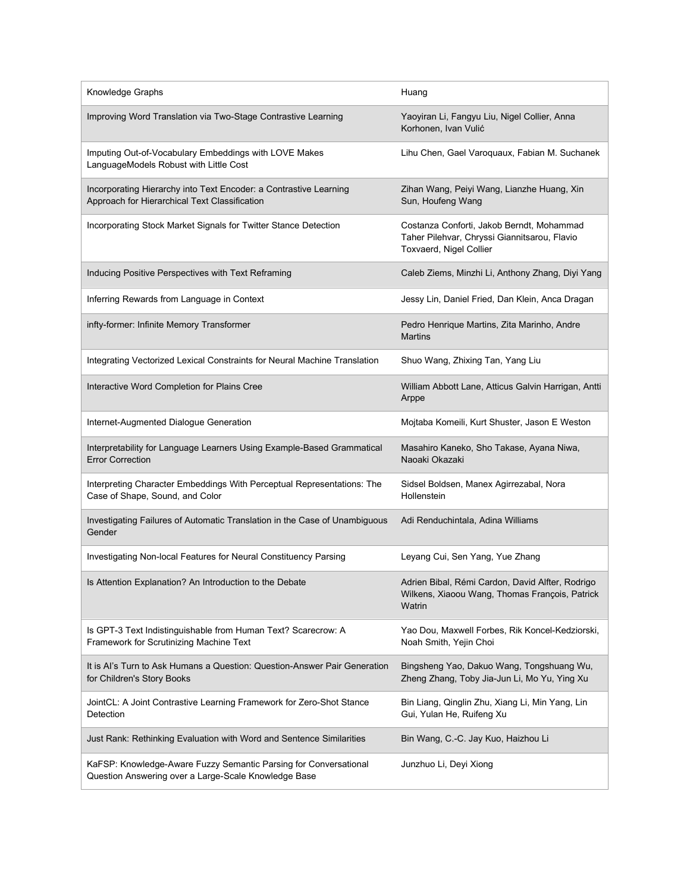| Knowledge Graphs                                                                                                         | Huang                                                                                                                |
|--------------------------------------------------------------------------------------------------------------------------|----------------------------------------------------------------------------------------------------------------------|
| Improving Word Translation via Two-Stage Contrastive Learning                                                            | Yaoyiran Li, Fangyu Liu, Nigel Collier, Anna<br>Korhonen, Ivan Vulić                                                 |
| Imputing Out-of-Vocabulary Embeddings with LOVE Makes<br>LanguageModels Robust with Little Cost                          | Lihu Chen, Gael Varoquaux, Fabian M. Suchanek                                                                        |
| Incorporating Hierarchy into Text Encoder: a Contrastive Learning<br>Approach for Hierarchical Text Classification       | Zihan Wang, Peiyi Wang, Lianzhe Huang, Xin<br>Sun, Houfeng Wang                                                      |
| Incorporating Stock Market Signals for Twitter Stance Detection                                                          | Costanza Conforti, Jakob Berndt, Mohammad<br>Taher Pilehvar, Chryssi Giannitsarou, Flavio<br>Toxvaerd, Nigel Collier |
| Inducing Positive Perspectives with Text Reframing                                                                       | Caleb Ziems, Minzhi Li, Anthony Zhang, Diyi Yang                                                                     |
| Inferring Rewards from Language in Context                                                                               | Jessy Lin, Daniel Fried, Dan Klein, Anca Dragan                                                                      |
| infty-former: Infinite Memory Transformer                                                                                | Pedro Henrique Martins, Zita Marinho, Andre<br><b>Martins</b>                                                        |
| Integrating Vectorized Lexical Constraints for Neural Machine Translation                                                | Shuo Wang, Zhixing Tan, Yang Liu                                                                                     |
| Interactive Word Completion for Plains Cree                                                                              | William Abbott Lane, Atticus Galvin Harrigan, Antti<br>Arppe                                                         |
| Internet-Augmented Dialogue Generation                                                                                   | Mojtaba Komeili, Kurt Shuster, Jason E Weston                                                                        |
| Interpretability for Language Learners Using Example-Based Grammatical<br><b>Error Correction</b>                        | Masahiro Kaneko, Sho Takase, Ayana Niwa,<br>Naoaki Okazaki                                                           |
| Interpreting Character Embeddings With Perceptual Representations: The<br>Case of Shape, Sound, and Color                | Sidsel Boldsen, Manex Agirrezabal, Nora<br>Hollenstein                                                               |
| Investigating Failures of Automatic Translation in the Case of Unambiguous<br>Gender                                     | Adi Renduchintala, Adina Williams                                                                                    |
| Investigating Non-local Features for Neural Constituency Parsing                                                         | Leyang Cui, Sen Yang, Yue Zhang                                                                                      |
| Is Attention Explanation? An Introduction to the Debate                                                                  | Adrien Bibal, Rémi Cardon, David Alfter, Rodrigo<br>Wilkens, Xiaoou Wang, Thomas François, Patrick<br>Watrin         |
| Is GPT-3 Text Indistinguishable from Human Text? Scarecrow: A<br>Framework for Scrutinizing Machine Text                 | Yao Dou, Maxwell Forbes, Rik Koncel-Kedziorski,<br>Noah Smith, Yejin Choi                                            |
| It is AI's Turn to Ask Humans a Question: Question-Answer Pair Generation<br>for Children's Story Books                  | Bingsheng Yao, Dakuo Wang, Tongshuang Wu,<br>Zheng Zhang, Toby Jia-Jun Li, Mo Yu, Ying Xu                            |
| JointCL: A Joint Contrastive Learning Framework for Zero-Shot Stance<br>Detection                                        | Bin Liang, Qinglin Zhu, Xiang Li, Min Yang, Lin<br>Gui, Yulan He, Ruifeng Xu                                         |
| Just Rank: Rethinking Evaluation with Word and Sentence Similarities                                                     | Bin Wang, C.-C. Jay Kuo, Haizhou Li                                                                                  |
| KaFSP: Knowledge-Aware Fuzzy Semantic Parsing for Conversational<br>Question Answering over a Large-Scale Knowledge Base | Junzhuo Li, Deyi Xiong                                                                                               |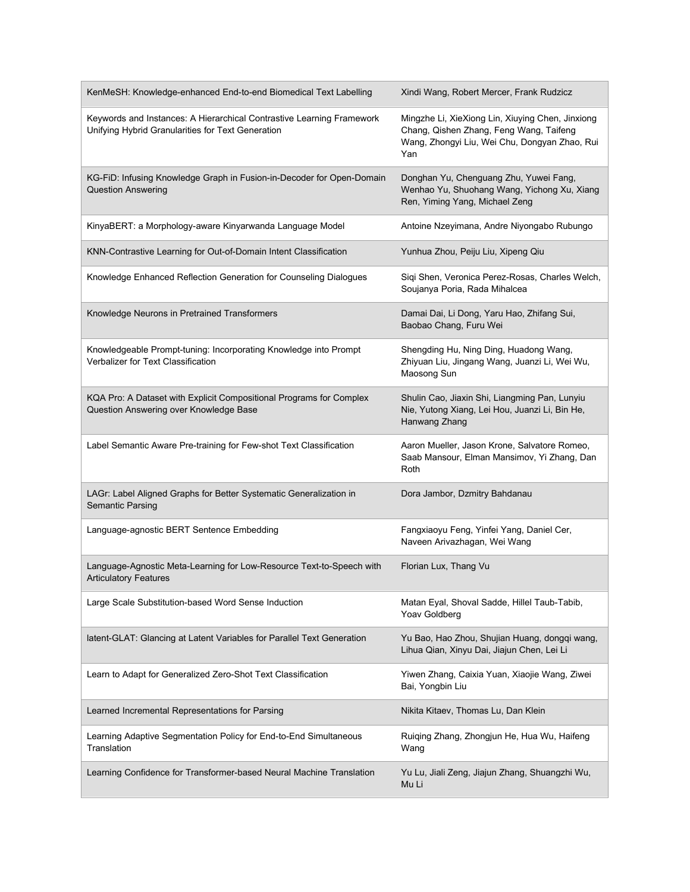| KenMeSH: Knowledge-enhanced End-to-end Biomedical Text Labelling                                                           | Xindi Wang, Robert Mercer, Frank Rudzicz                                                                                                            |
|----------------------------------------------------------------------------------------------------------------------------|-----------------------------------------------------------------------------------------------------------------------------------------------------|
| Keywords and Instances: A Hierarchical Contrastive Learning Framework<br>Unifying Hybrid Granularities for Text Generation | Mingzhe Li, XieXiong Lin, Xiuying Chen, Jinxiong<br>Chang, Qishen Zhang, Feng Wang, Taifeng<br>Wang, Zhongyi Liu, Wei Chu, Dongyan Zhao, Rui<br>Yan |
| KG-FiD: Infusing Knowledge Graph in Fusion-in-Decoder for Open-Domain<br><b>Question Answering</b>                         | Donghan Yu, Chenguang Zhu, Yuwei Fang,<br>Wenhao Yu, Shuohang Wang, Yichong Xu, Xiang<br>Ren, Yiming Yang, Michael Zeng                             |
| KinyaBERT: a Morphology-aware Kinyarwanda Language Model                                                                   | Antoine Nzeyimana, Andre Niyongabo Rubungo                                                                                                          |
| KNN-Contrastive Learning for Out-of-Domain Intent Classification                                                           | Yunhua Zhou, Peiju Liu, Xipeng Qiu                                                                                                                  |
| Knowledge Enhanced Reflection Generation for Counseling Dialogues                                                          | Siqi Shen, Veronica Perez-Rosas, Charles Welch,<br>Soujanya Poria, Rada Mihalcea                                                                    |
| Knowledge Neurons in Pretrained Transformers                                                                               | Damai Dai, Li Dong, Yaru Hao, Zhifang Sui,<br>Baobao Chang, Furu Wei                                                                                |
| Knowledgeable Prompt-tuning: Incorporating Knowledge into Prompt<br>Verbalizer for Text Classification                     | Shengding Hu, Ning Ding, Huadong Wang,<br>Zhiyuan Liu, Jingang Wang, Juanzi Li, Wei Wu,<br>Maosong Sun                                              |
| KQA Pro: A Dataset with Explicit Compositional Programs for Complex<br>Question Answering over Knowledge Base              | Shulin Cao, Jiaxin Shi, Liangming Pan, Lunyiu<br>Nie, Yutong Xiang, Lei Hou, Juanzi Li, Bin He,<br>Hanwang Zhang                                    |
| Label Semantic Aware Pre-training for Few-shot Text Classification                                                         | Aaron Mueller, Jason Krone, Salvatore Romeo,<br>Saab Mansour, Elman Mansimov, Yi Zhang, Dan<br>Roth                                                 |
| LAGr: Label Aligned Graphs for Better Systematic Generalization in<br><b>Semantic Parsing</b>                              | Dora Jambor, Dzmitry Bahdanau                                                                                                                       |
| Language-agnostic BERT Sentence Embedding                                                                                  | Fangxiaoyu Feng, Yinfei Yang, Daniel Cer,<br>Naveen Arivazhagan, Wei Wang                                                                           |
| Language-Agnostic Meta-Learning for Low-Resource Text-to-Speech with<br><b>Articulatory Features</b>                       | Florian Lux, Thang Vu                                                                                                                               |
| Large Scale Substitution-based Word Sense Induction                                                                        | Matan Eyal, Shoval Sadde, Hillel Taub-Tabib,<br>Yoav Goldberg                                                                                       |
| latent-GLAT: Glancing at Latent Variables for Parallel Text Generation                                                     | Yu Bao, Hao Zhou, Shujian Huang, dongqi wang,<br>Lihua Qian, Xinyu Dai, Jiajun Chen, Lei Li                                                         |
| Learn to Adapt for Generalized Zero-Shot Text Classification                                                               | Yiwen Zhang, Caixia Yuan, Xiaojie Wang, Ziwei<br>Bai, Yongbin Liu                                                                                   |
| Learned Incremental Representations for Parsing                                                                            | Nikita Kitaev, Thomas Lu, Dan Klein                                                                                                                 |
| Learning Adaptive Segmentation Policy for End-to-End Simultaneous<br>Translation                                           | Ruiqing Zhang, Zhongjun He, Hua Wu, Haifeng<br>Wang                                                                                                 |
| Learning Confidence for Transformer-based Neural Machine Translation                                                       | Yu Lu, Jiali Zeng, Jiajun Zhang, Shuangzhi Wu,<br>Mu Li                                                                                             |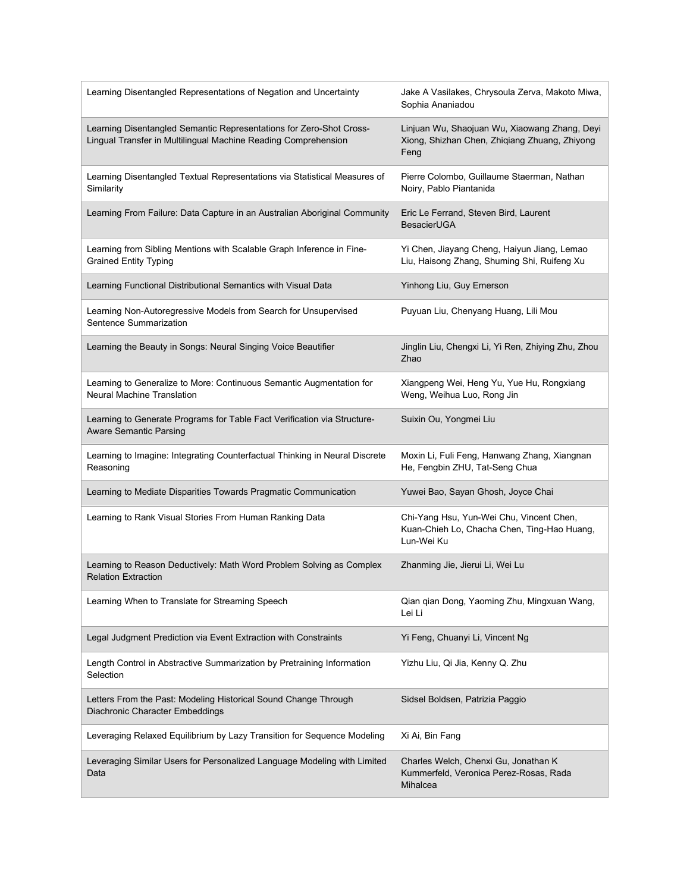| Learning Disentangled Representations of Negation and Uncertainty                                                                     | Jake A Vasilakes, Chrysoula Zerva, Makoto Miwa,<br>Sophia Ananiadou                                    |
|---------------------------------------------------------------------------------------------------------------------------------------|--------------------------------------------------------------------------------------------------------|
| Learning Disentangled Semantic Representations for Zero-Shot Cross-<br>Lingual Transfer in Multilingual Machine Reading Comprehension | Linjuan Wu, Shaojuan Wu, Xiaowang Zhang, Deyi<br>Xiong, Shizhan Chen, Zhiqiang Zhuang, Zhiyong<br>Feng |
| Learning Disentangled Textual Representations via Statistical Measures of<br>Similarity                                               | Pierre Colombo, Guillaume Staerman, Nathan<br>Noiry, Pablo Piantanida                                  |
| Learning From Failure: Data Capture in an Australian Aboriginal Community                                                             | Eric Le Ferrand, Steven Bird, Laurent<br><b>BesacierUGA</b>                                            |
| Learning from Sibling Mentions with Scalable Graph Inference in Fine-<br><b>Grained Entity Typing</b>                                 | Yi Chen, Jiayang Cheng, Haiyun Jiang, Lemao<br>Liu, Haisong Zhang, Shuming Shi, Ruifeng Xu             |
| Learning Functional Distributional Semantics with Visual Data                                                                         | Yinhong Liu, Guy Emerson                                                                               |
| Learning Non-Autoregressive Models from Search for Unsupervised<br>Sentence Summarization                                             | Puyuan Liu, Chenyang Huang, Lili Mou                                                                   |
| Learning the Beauty in Songs: Neural Singing Voice Beautifier                                                                         | Jinglin Liu, Chengxi Li, Yi Ren, Zhiying Zhu, Zhou<br>Zhao                                             |
| Learning to Generalize to More: Continuous Semantic Augmentation for<br><b>Neural Machine Translation</b>                             | Xiangpeng Wei, Heng Yu, Yue Hu, Rongxiang<br>Weng, Weihua Luo, Rong Jin                                |
| Learning to Generate Programs for Table Fact Verification via Structure-<br><b>Aware Semantic Parsing</b>                             | Suixin Ou, Yongmei Liu                                                                                 |
| Learning to Imagine: Integrating Counterfactual Thinking in Neural Discrete<br>Reasoning                                              | Moxin Li, Fuli Feng, Hanwang Zhang, Xiangnan<br>He, Fengbin ZHU, Tat-Seng Chua                         |
| Learning to Mediate Disparities Towards Pragmatic Communication                                                                       | Yuwei Bao, Sayan Ghosh, Joyce Chai                                                                     |
| Learning to Rank Visual Stories From Human Ranking Data                                                                               | Chi-Yang Hsu, Yun-Wei Chu, Vincent Chen,<br>Kuan-Chieh Lo, Chacha Chen, Ting-Hao Huang,<br>Lun-Wei Ku  |
| Learning to Reason Deductively: Math Word Problem Solving as Complex<br><b>Relation Extraction</b>                                    | Zhanming Jie, Jierui Li, Wei Lu                                                                        |
| Learning When to Translate for Streaming Speech                                                                                       | Qian qian Dong, Yaoming Zhu, Mingxuan Wang,<br>Lei Li                                                  |
| Legal Judgment Prediction via Event Extraction with Constraints                                                                       | Yi Feng, Chuanyi Li, Vincent Ng                                                                        |
| Length Control in Abstractive Summarization by Pretraining Information<br>Selection                                                   | Yizhu Liu, Qi Jia, Kenny Q. Zhu                                                                        |
| Letters From the Past: Modeling Historical Sound Change Through<br>Diachronic Character Embeddings                                    | Sidsel Boldsen, Patrizia Paggio                                                                        |
| Leveraging Relaxed Equilibrium by Lazy Transition for Sequence Modeling                                                               | Xi Ai, Bin Fang                                                                                        |
| Leveraging Similar Users for Personalized Language Modeling with Limited<br>Data                                                      | Charles Welch, Chenxi Gu, Jonathan K<br>Kummerfeld, Veronica Perez-Rosas, Rada<br>Mihalcea             |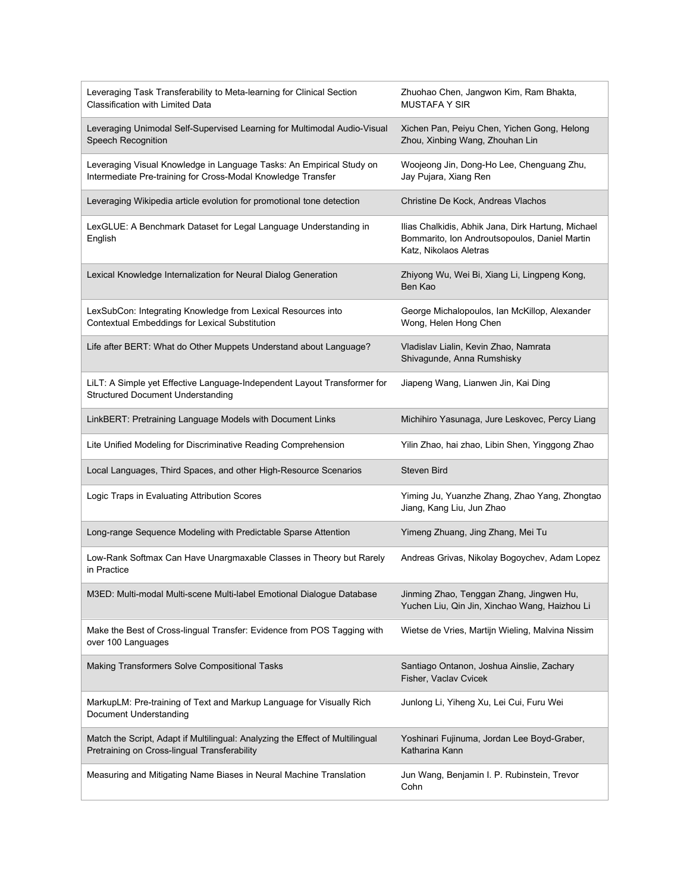| Leveraging Task Transferability to Meta-learning for Clinical Section<br>Classification with Limited Data                            | Zhuohao Chen, Jangwon Kim, Ram Bhakta,<br><b>MUSTAFA Y SIR</b>                                                                |
|--------------------------------------------------------------------------------------------------------------------------------------|-------------------------------------------------------------------------------------------------------------------------------|
| Leveraging Unimodal Self-Supervised Learning for Multimodal Audio-Visual<br>Speech Recognition                                       | Xichen Pan, Peiyu Chen, Yichen Gong, Helong<br>Zhou, Xinbing Wang, Zhouhan Lin                                                |
| Leveraging Visual Knowledge in Language Tasks: An Empirical Study on<br>Intermediate Pre-training for Cross-Modal Knowledge Transfer | Woojeong Jin, Dong-Ho Lee, Chenguang Zhu,<br>Jay Pujara, Xiang Ren                                                            |
| Leveraging Wikipedia article evolution for promotional tone detection                                                                | Christine De Kock, Andreas Vlachos                                                                                            |
| LexGLUE: A Benchmark Dataset for Legal Language Understanding in<br>English                                                          | Ilias Chalkidis, Abhik Jana, Dirk Hartung, Michael<br>Bommarito, Ion Androutsopoulos, Daniel Martin<br>Katz, Nikolaos Aletras |
| Lexical Knowledge Internalization for Neural Dialog Generation                                                                       | Zhiyong Wu, Wei Bi, Xiang Li, Lingpeng Kong,<br>Ben Kao                                                                       |
| LexSubCon: Integrating Knowledge from Lexical Resources into<br>Contextual Embeddings for Lexical Substitution                       | George Michalopoulos, Ian McKillop, Alexander<br>Wong, Helen Hong Chen                                                        |
| Life after BERT: What do Other Muppets Understand about Language?                                                                    | Vladislav Lialin, Kevin Zhao, Namrata<br>Shivagunde, Anna Rumshisky                                                           |
| LiLT: A Simple yet Effective Language-Independent Layout Transformer for<br><b>Structured Document Understanding</b>                 | Jiapeng Wang, Lianwen Jin, Kai Ding                                                                                           |
| LinkBERT: Pretraining Language Models with Document Links                                                                            | Michihiro Yasunaga, Jure Leskovec, Percy Liang                                                                                |
| Lite Unified Modeling for Discriminative Reading Comprehension                                                                       | Yilin Zhao, hai zhao, Libin Shen, Yinggong Zhao                                                                               |
| Local Languages, Third Spaces, and other High-Resource Scenarios                                                                     | Steven Bird                                                                                                                   |
| Logic Traps in Evaluating Attribution Scores                                                                                         | Yiming Ju, Yuanzhe Zhang, Zhao Yang, Zhongtao<br>Jiang, Kang Liu, Jun Zhao                                                    |
| Long-range Sequence Modeling with Predictable Sparse Attention                                                                       | Yimeng Zhuang, Jing Zhang, Mei Tu                                                                                             |
| Low-Rank Softmax Can Have Unargmaxable Classes in Theory but Rarely<br>in Practice                                                   | Andreas Grivas, Nikolay Bogoychev, Adam Lopez                                                                                 |
| M3ED: Multi-modal Multi-scene Multi-label Emotional Dialogue Database                                                                | Jinming Zhao, Tenggan Zhang, Jingwen Hu,<br>Yuchen Liu, Qin Jin, Xinchao Wang, Haizhou Li                                     |
| Make the Best of Cross-lingual Transfer: Evidence from POS Tagging with<br>over 100 Languages                                        | Wietse de Vries, Martijn Wieling, Malvina Nissim                                                                              |
| Making Transformers Solve Compositional Tasks                                                                                        | Santiago Ontanon, Joshua Ainslie, Zachary<br>Fisher, Vaclav Cvicek                                                            |
| MarkupLM: Pre-training of Text and Markup Language for Visually Rich<br>Document Understanding                                       | Junlong Li, Yiheng Xu, Lei Cui, Furu Wei                                                                                      |
| Match the Script, Adapt if Multilingual: Analyzing the Effect of Multilingual<br>Pretraining on Cross-lingual Transferability        | Yoshinari Fujinuma, Jordan Lee Boyd-Graber,<br>Katharina Kann                                                                 |
| Measuring and Mitigating Name Biases in Neural Machine Translation                                                                   | Jun Wang, Benjamin I. P. Rubinstein, Trevor<br>Cohn                                                                           |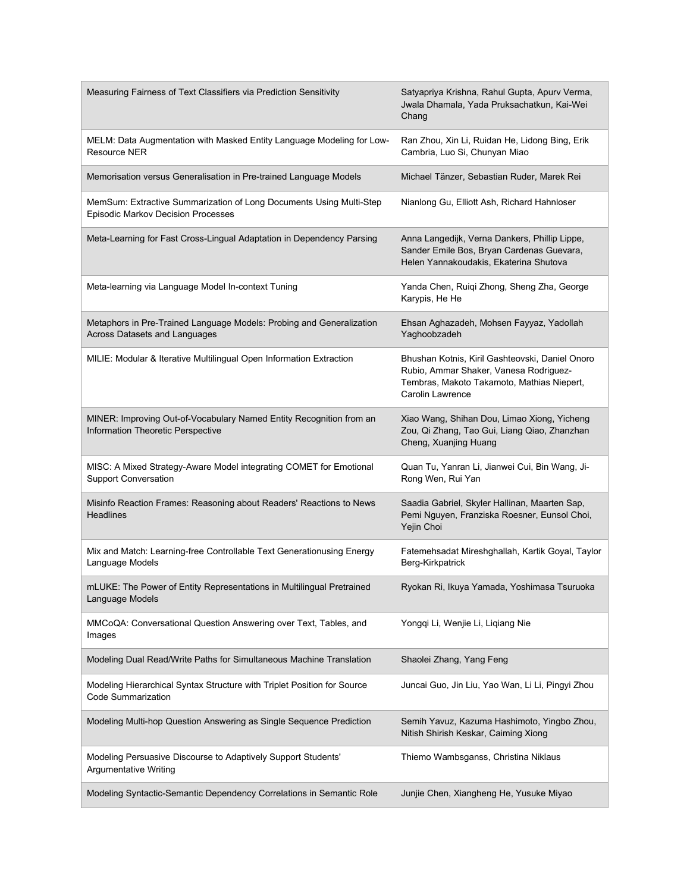| Measuring Fairness of Text Classifiers via Prediction Sensitivity                                                | Satyapriya Krishna, Rahul Gupta, Apurv Verma,<br>Jwala Dhamala, Yada Pruksachatkun, Kai-Wei<br>Chang                                                               |
|------------------------------------------------------------------------------------------------------------------|--------------------------------------------------------------------------------------------------------------------------------------------------------------------|
| MELM: Data Augmentation with Masked Entity Language Modeling for Low-<br>Resource NER                            | Ran Zhou, Xin Li, Ruidan He, Lidong Bing, Erik<br>Cambria, Luo Si, Chunyan Miao                                                                                    |
| Memorisation versus Generalisation in Pre-trained Language Models                                                | Michael Tänzer, Sebastian Ruder, Marek Rei                                                                                                                         |
| MemSum: Extractive Summarization of Long Documents Using Multi-Step<br><b>Episodic Markov Decision Processes</b> | Nianlong Gu, Elliott Ash, Richard Hahnloser                                                                                                                        |
| Meta-Learning for Fast Cross-Lingual Adaptation in Dependency Parsing                                            | Anna Langedijk, Verna Dankers, Phillip Lippe,<br>Sander Emile Bos, Bryan Cardenas Guevara,<br>Helen Yannakoudakis, Ekaterina Shutova                               |
| Meta-learning via Language Model In-context Tuning                                                               | Yanda Chen, Ruiqi Zhong, Sheng Zha, George<br>Karypis, He He                                                                                                       |
| Metaphors in Pre-Trained Language Models: Probing and Generalization<br>Across Datasets and Languages            | Ehsan Aghazadeh, Mohsen Fayyaz, Yadollah<br>Yaghoobzadeh                                                                                                           |
| MILIE: Modular & Iterative Multilingual Open Information Extraction                                              | Bhushan Kotnis, Kiril Gashteovski, Daniel Onoro<br>Rubio, Ammar Shaker, Vanesa Rodriguez-<br>Tembras, Makoto Takamoto, Mathias Niepert,<br><b>Carolin Lawrence</b> |
| MINER: Improving Out-of-Vocabulary Named Entity Recognition from an<br>Information Theoretic Perspective         | Xiao Wang, Shihan Dou, Limao Xiong, Yicheng<br>Zou, Qi Zhang, Tao Gui, Liang Qiao, Zhanzhan<br>Cheng, Xuanjing Huang                                               |
| MISC: A Mixed Strategy-Aware Model integrating COMET for Emotional<br><b>Support Conversation</b>                | Quan Tu, Yanran Li, Jianwei Cui, Bin Wang, Ji-<br>Rong Wen, Rui Yan                                                                                                |
| Misinfo Reaction Frames: Reasoning about Readers' Reactions to News<br><b>Headlines</b>                          | Saadia Gabriel, Skyler Hallinan, Maarten Sap,<br>Pemi Nguyen, Franziska Roesner, Eunsol Choi,<br>Yejin Choi                                                        |
| Mix and Match: Learning-free Controllable Text Generationusing Energy<br>Language Models                         | Fatemehsadat Mireshghallah, Kartik Goyal, Taylor<br>Berg-Kirkpatrick                                                                                               |
| mLUKE: The Power of Entity Representations in Multilingual Pretrained<br>Language Models                         | Ryokan Ri, Ikuya Yamada, Yoshimasa Tsuruoka                                                                                                                        |
| MMCoQA: Conversational Question Answering over Text, Tables, and<br>Images                                       | Yongqi Li, Wenjie Li, Liqiang Nie                                                                                                                                  |
| Modeling Dual Read/Write Paths for Simultaneous Machine Translation                                              | Shaolei Zhang, Yang Feng                                                                                                                                           |
| Modeling Hierarchical Syntax Structure with Triplet Position for Source<br>Code Summarization                    | Juncai Guo, Jin Liu, Yao Wan, Li Li, Pingyi Zhou                                                                                                                   |
| Modeling Multi-hop Question Answering as Single Sequence Prediction                                              | Semih Yavuz, Kazuma Hashimoto, Yingbo Zhou,<br>Nitish Shirish Keskar, Caiming Xiong                                                                                |
| Modeling Persuasive Discourse to Adaptively Support Students'<br>Argumentative Writing                           | Thiemo Wambsganss, Christina Niklaus                                                                                                                               |
| Modeling Syntactic-Semantic Dependency Correlations in Semantic Role                                             | Junjie Chen, Xiangheng He, Yusuke Miyao                                                                                                                            |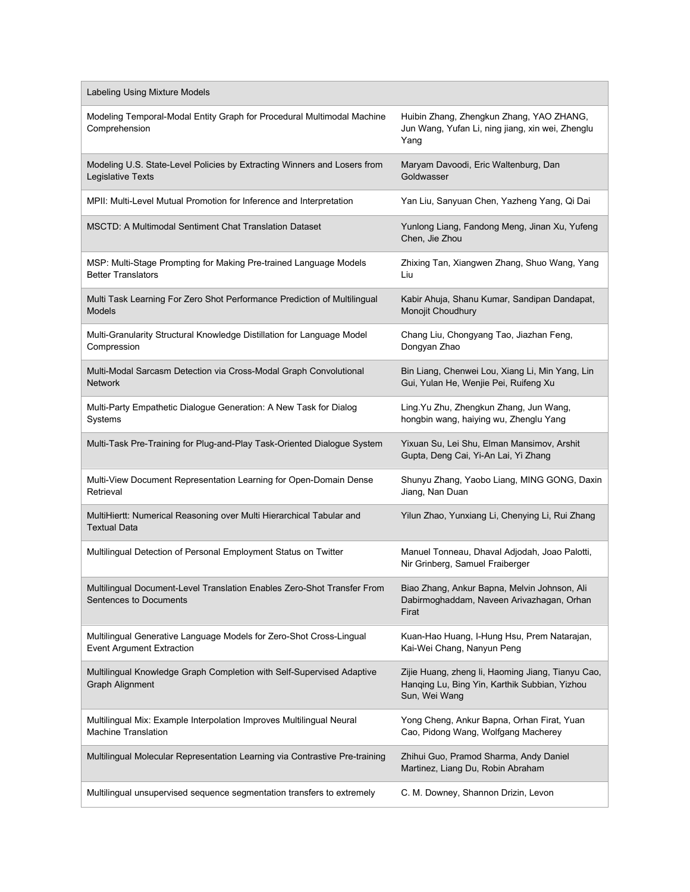| <b>Labeling Using Mixture Models</b>                                                                    |                                                                                                                     |
|---------------------------------------------------------------------------------------------------------|---------------------------------------------------------------------------------------------------------------------|
| Modeling Temporal-Modal Entity Graph for Procedural Multimodal Machine<br>Comprehension                 | Huibin Zhang, Zhengkun Zhang, YAO ZHANG,<br>Jun Wang, Yufan Li, ning jiang, xin wei, Zhenglu<br>Yang                |
| Modeling U.S. State-Level Policies by Extracting Winners and Losers from<br>Legislative Texts           | Maryam Davoodi, Eric Waltenburg, Dan<br>Goldwasser                                                                  |
| MPII: Multi-Level Mutual Promotion for Inference and Interpretation                                     | Yan Liu, Sanyuan Chen, Yazheng Yang, Qi Dai                                                                         |
| <b>MSCTD: A Multimodal Sentiment Chat Translation Dataset</b>                                           | Yunlong Liang, Fandong Meng, Jinan Xu, Yufeng<br>Chen, Jie Zhou                                                     |
| MSP: Multi-Stage Prompting for Making Pre-trained Language Models<br><b>Better Translators</b>          | Zhixing Tan, Xiangwen Zhang, Shuo Wang, Yang<br>Liu                                                                 |
| Multi Task Learning For Zero Shot Performance Prediction of Multilingual<br>Models                      | Kabir Ahuja, Shanu Kumar, Sandipan Dandapat,<br>Monojit Choudhury                                                   |
| Multi-Granularity Structural Knowledge Distillation for Language Model<br>Compression                   | Chang Liu, Chongyang Tao, Jiazhan Feng,<br>Dongyan Zhao                                                             |
| Multi-Modal Sarcasm Detection via Cross-Modal Graph Convolutional<br><b>Network</b>                     | Bin Liang, Chenwei Lou, Xiang Li, Min Yang, Lin<br>Gui, Yulan He, Wenjie Pei, Ruifeng Xu                            |
| Multi-Party Empathetic Dialogue Generation: A New Task for Dialog<br>Systems                            | Ling. Yu Zhu, Zhengkun Zhang, Jun Wang,<br>hongbin wang, haiying wu, Zhenglu Yang                                   |
| Multi-Task Pre-Training for Plug-and-Play Task-Oriented Dialogue System                                 | Yixuan Su, Lei Shu, Elman Mansimov, Arshit<br>Gupta, Deng Cai, Yi-An Lai, Yi Zhang                                  |
| Multi-View Document Representation Learning for Open-Domain Dense<br>Retrieval                          | Shunyu Zhang, Yaobo Liang, MING GONG, Daxin<br>Jiang, Nan Duan                                                      |
| MultiHiertt: Numerical Reasoning over Multi Hierarchical Tabular and<br><b>Textual Data</b>             | Yilun Zhao, Yunxiang Li, Chenying Li, Rui Zhang                                                                     |
| Multilingual Detection of Personal Employment Status on Twitter                                         | Manuel Tonneau, Dhaval Adjodah, Joao Palotti,<br>Nir Grinberg, Samuel Fraiberger                                    |
| Multilingual Document-Level Translation Enables Zero-Shot Transfer From<br>Sentences to Documents       | Biao Zhang, Ankur Bapna, Melvin Johnson, Ali<br>Dabirmoghaddam, Naveen Arivazhagan, Orhan<br>Firat                  |
| Multilingual Generative Language Models for Zero-Shot Cross-Lingual<br><b>Event Argument Extraction</b> | Kuan-Hao Huang, I-Hung Hsu, Prem Natarajan,<br>Kai-Wei Chang, Nanyun Peng                                           |
| Multilingual Knowledge Graph Completion with Self-Supervised Adaptive<br><b>Graph Alignment</b>         | Zijie Huang, zheng li, Haoming Jiang, Tianyu Cao,<br>Hanqing Lu, Bing Yin, Karthik Subbian, Yizhou<br>Sun, Wei Wang |
| Multilingual Mix: Example Interpolation Improves Multilingual Neural<br><b>Machine Translation</b>      | Yong Cheng, Ankur Bapna, Orhan Firat, Yuan<br>Cao, Pidong Wang, Wolfgang Macherey                                   |
| Multilingual Molecular Representation Learning via Contrastive Pre-training                             | Zhihui Guo, Pramod Sharma, Andy Daniel<br>Martinez, Liang Du, Robin Abraham                                         |
| Multilingual unsupervised sequence segmentation transfers to extremely                                  | C. M. Downey, Shannon Drizin, Levon                                                                                 |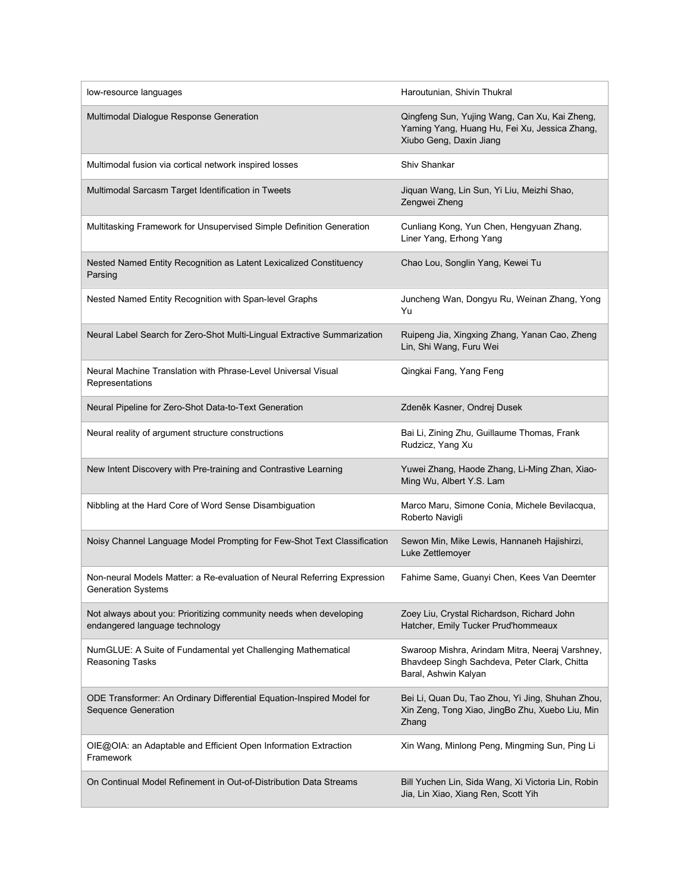| low-resource languages                                                                               | Haroutunian, Shivin Thukral                                                                                               |
|------------------------------------------------------------------------------------------------------|---------------------------------------------------------------------------------------------------------------------------|
| Multimodal Dialogue Response Generation                                                              | Qingfeng Sun, Yujing Wang, Can Xu, Kai Zheng,<br>Yaming Yang, Huang Hu, Fei Xu, Jessica Zhang,<br>Xiubo Geng, Daxin Jiang |
| Multimodal fusion via cortical network inspired losses                                               | Shiv Shankar                                                                                                              |
| Multimodal Sarcasm Target Identification in Tweets                                                   | Jiquan Wang, Lin Sun, Yi Liu, Meizhi Shao,<br>Zengwei Zheng                                                               |
| Multitasking Framework for Unsupervised Simple Definition Generation                                 | Cunliang Kong, Yun Chen, Hengyuan Zhang,<br>Liner Yang, Erhong Yang                                                       |
| Nested Named Entity Recognition as Latent Lexicalized Constituency<br>Parsing                        | Chao Lou, Songlin Yang, Kewei Tu                                                                                          |
| Nested Named Entity Recognition with Span-level Graphs                                               | Juncheng Wan, Dongyu Ru, Weinan Zhang, Yong<br>Yu                                                                         |
| Neural Label Search for Zero-Shot Multi-Lingual Extractive Summarization                             | Ruipeng Jia, Xingxing Zhang, Yanan Cao, Zheng<br>Lin, Shi Wang, Furu Wei                                                  |
| Neural Machine Translation with Phrase-Level Universal Visual<br>Representations                     | Qingkai Fang, Yang Feng                                                                                                   |
| Neural Pipeline for Zero-Shot Data-to-Text Generation                                                | Zdeněk Kasner, Ondrej Dusek                                                                                               |
| Neural reality of argument structure constructions                                                   | Bai Li, Zining Zhu, Guillaume Thomas, Frank<br>Rudzicz, Yang Xu                                                           |
| New Intent Discovery with Pre-training and Contrastive Learning                                      | Yuwei Zhang, Haode Zhang, Li-Ming Zhan, Xiao-<br>Ming Wu, Albert Y.S. Lam                                                 |
| Nibbling at the Hard Core of Word Sense Disambiguation                                               | Marco Maru, Simone Conia, Michele Bevilacqua,<br>Roberto Navigli                                                          |
| Noisy Channel Language Model Prompting for Few-Shot Text Classification                              | Sewon Min, Mike Lewis, Hannaneh Hajishirzi,<br>Luke Zettlemoyer                                                           |
| Non-neural Models Matter: a Re-evaluation of Neural Referring Expression<br>Generation Systems       | Fahime Same, Guanyi Chen, Kees Van Deemter                                                                                |
| Not always about you: Prioritizing community needs when developing<br>endangered language technology | Zoey Liu, Crystal Richardson, Richard John<br>Hatcher, Emily Tucker Prud'hommeaux                                         |
| NumGLUE: A Suite of Fundamental yet Challenging Mathematical<br>Reasoning Tasks                      | Swaroop Mishra, Arindam Mitra, Neeraj Varshney,<br>Bhavdeep Singh Sachdeva, Peter Clark, Chitta<br>Baral, Ashwin Kalyan   |
| ODE Transformer: An Ordinary Differential Equation-Inspired Model for<br>Sequence Generation         | Bei Li, Quan Du, Tao Zhou, Yi Jing, Shuhan Zhou,<br>Xin Zeng, Tong Xiao, JingBo Zhu, Xuebo Liu, Min<br>Zhang              |
| OIE@OIA: an Adaptable and Efficient Open Information Extraction<br>Framework                         | Xin Wang, Minlong Peng, Mingming Sun, Ping Li                                                                             |
| On Continual Model Refinement in Out-of-Distribution Data Streams                                    | Bill Yuchen Lin, Sida Wang, Xi Victoria Lin, Robin<br>Jia, Lin Xiao, Xiang Ren, Scott Yih                                 |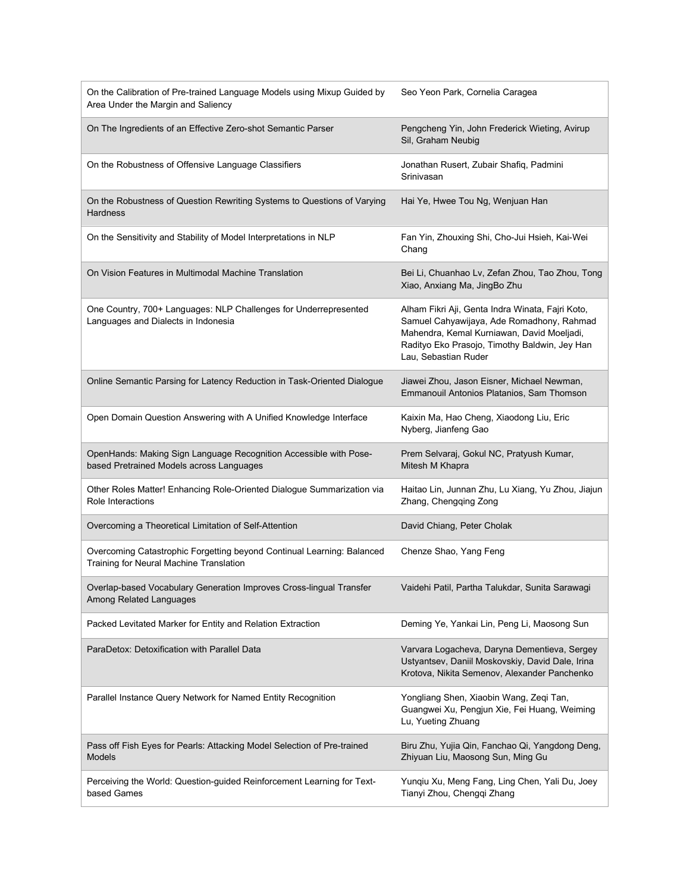| On the Calibration of Pre-trained Language Models using Mixup Guided by<br>Area Under the Margin and Saliency     | Seo Yeon Park, Cornelia Caragea                                                                                                                                                                                      |
|-------------------------------------------------------------------------------------------------------------------|----------------------------------------------------------------------------------------------------------------------------------------------------------------------------------------------------------------------|
| On The Ingredients of an Effective Zero-shot Semantic Parser                                                      | Pengcheng Yin, John Frederick Wieting, Avirup<br>Sil, Graham Neubig                                                                                                                                                  |
| On the Robustness of Offensive Language Classifiers                                                               | Jonathan Rusert, Zubair Shafiq, Padmini<br>Srinivasan                                                                                                                                                                |
| On the Robustness of Question Rewriting Systems to Questions of Varying<br><b>Hardness</b>                        | Hai Ye, Hwee Tou Ng, Wenjuan Han                                                                                                                                                                                     |
| On the Sensitivity and Stability of Model Interpretations in NLP                                                  | Fan Yin, Zhouxing Shi, Cho-Jui Hsieh, Kai-Wei<br>Chang                                                                                                                                                               |
| On Vision Features in Multimodal Machine Translation                                                              | Bei Li, Chuanhao Lv, Zefan Zhou, Tao Zhou, Tong<br>Xiao, Anxiang Ma, JingBo Zhu                                                                                                                                      |
| One Country, 700+ Languages: NLP Challenges for Underrepresented<br>Languages and Dialects in Indonesia           | Alham Fikri Aji, Genta Indra Winata, Fajri Koto,<br>Samuel Cahyawijaya, Ade Romadhony, Rahmad<br>Mahendra, Kemal Kurniawan, David Moeljadi,<br>Radityo Eko Prasojo, Timothy Baldwin, Jey Han<br>Lau, Sebastian Ruder |
| Online Semantic Parsing for Latency Reduction in Task-Oriented Dialogue                                           | Jiawei Zhou, Jason Eisner, Michael Newman,<br>Emmanouil Antonios Platanios, Sam Thomson                                                                                                                              |
| Open Domain Question Answering with A Unified Knowledge Interface                                                 | Kaixin Ma, Hao Cheng, Xiaodong Liu, Eric<br>Nyberg, Jianfeng Gao                                                                                                                                                     |
| OpenHands: Making Sign Language Recognition Accessible with Pose-<br>based Pretrained Models across Languages     | Prem Selvaraj, Gokul NC, Pratyush Kumar,<br>Mitesh M Khapra                                                                                                                                                          |
| Other Roles Matter! Enhancing Role-Oriented Dialogue Summarization via<br>Role Interactions                       | Haitao Lin, Junnan Zhu, Lu Xiang, Yu Zhou, Jiajun<br>Zhang, Chengqing Zong                                                                                                                                           |
| Overcoming a Theoretical Limitation of Self-Attention                                                             | David Chiang, Peter Cholak                                                                                                                                                                                           |
| Overcoming Catastrophic Forgetting beyond Continual Learning: Balanced<br>Training for Neural Machine Translation | Chenze Shao, Yang Feng                                                                                                                                                                                               |
| Overlap-based Vocabulary Generation Improves Cross-lingual Transfer<br>Among Related Languages                    | Vaidehi Patil, Partha Talukdar, Sunita Sarawagi                                                                                                                                                                      |
| Packed Levitated Marker for Entity and Relation Extraction                                                        | Deming Ye, Yankai Lin, Peng Li, Maosong Sun                                                                                                                                                                          |
| ParaDetox: Detoxification with Parallel Data                                                                      | Varvara Logacheva, Daryna Dementieva, Sergey<br>Ustyantsev, Daniil Moskovskiy, David Dale, Irina<br>Krotova, Nikita Semenov, Alexander Panchenko                                                                     |
| Parallel Instance Query Network for Named Entity Recognition                                                      | Yongliang Shen, Xiaobin Wang, Zeqi Tan,<br>Guangwei Xu, Pengjun Xie, Fei Huang, Weiming<br>Lu, Yueting Zhuang                                                                                                        |
| Pass off Fish Eyes for Pearls: Attacking Model Selection of Pre-trained<br>Models                                 | Biru Zhu, Yujia Qin, Fanchao Qi, Yangdong Deng,<br>Zhiyuan Liu, Maosong Sun, Ming Gu                                                                                                                                 |
| Perceiving the World: Question-guided Reinforcement Learning for Text-<br>based Games                             | Yunqiu Xu, Meng Fang, Ling Chen, Yali Du, Joey<br>Tianyi Zhou, Chengqi Zhang                                                                                                                                         |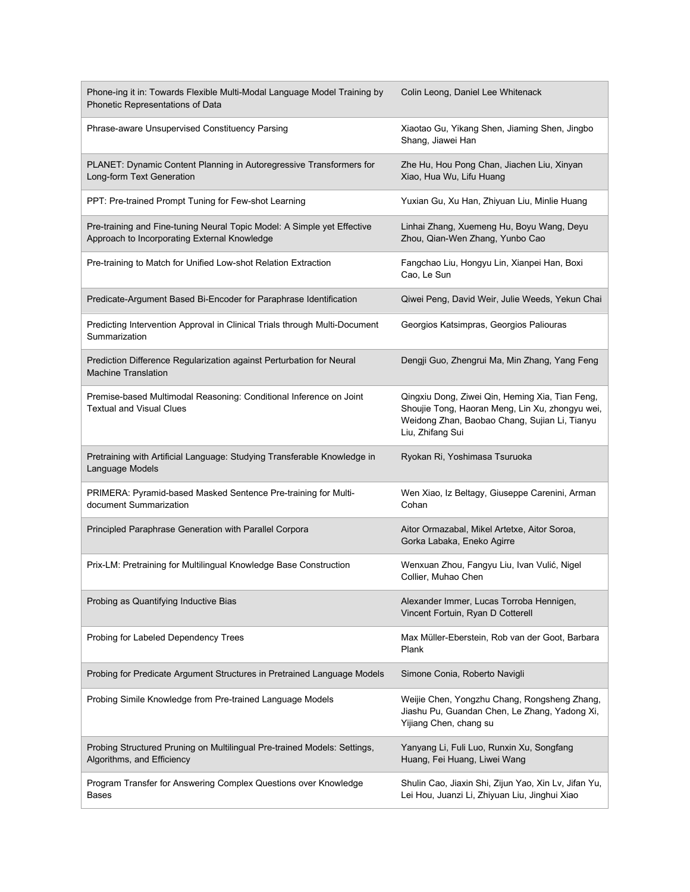| Phone-ing it in: Towards Flexible Multi-Modal Language Model Training by<br>Phonetic Representations of Data            | Colin Leong, Daniel Lee Whitenack                                                                                                                                       |
|-------------------------------------------------------------------------------------------------------------------------|-------------------------------------------------------------------------------------------------------------------------------------------------------------------------|
| Phrase-aware Unsupervised Constituency Parsing                                                                          | Xiaotao Gu, Yikang Shen, Jiaming Shen, Jingbo<br>Shang, Jiawei Han                                                                                                      |
| PLANET: Dynamic Content Planning in Autoregressive Transformers for<br>Long-form Text Generation                        | Zhe Hu, Hou Pong Chan, Jiachen Liu, Xinyan<br>Xiao, Hua Wu, Lifu Huang                                                                                                  |
| PPT: Pre-trained Prompt Tuning for Few-shot Learning                                                                    | Yuxian Gu, Xu Han, Zhiyuan Liu, Minlie Huang                                                                                                                            |
| Pre-training and Fine-tuning Neural Topic Model: A Simple yet Effective<br>Approach to Incorporating External Knowledge | Linhai Zhang, Xuemeng Hu, Boyu Wang, Deyu<br>Zhou, Qian-Wen Zhang, Yunbo Cao                                                                                            |
| Pre-training to Match for Unified Low-shot Relation Extraction                                                          | Fangchao Liu, Hongyu Lin, Xianpei Han, Boxi<br>Cao, Le Sun                                                                                                              |
| Predicate-Argument Based Bi-Encoder for Paraphrase Identification                                                       | Qiwei Peng, David Weir, Julie Weeds, Yekun Chai                                                                                                                         |
| Predicting Intervention Approval in Clinical Trials through Multi-Document<br>Summarization                             | Georgios Katsimpras, Georgios Paliouras                                                                                                                                 |
| Prediction Difference Regularization against Perturbation for Neural<br><b>Machine Translation</b>                      | Dengji Guo, Zhengrui Ma, Min Zhang, Yang Feng                                                                                                                           |
| Premise-based Multimodal Reasoning: Conditional Inference on Joint<br><b>Textual and Visual Clues</b>                   | Qingxiu Dong, Ziwei Qin, Heming Xia, Tian Feng,<br>Shoujie Tong, Haoran Meng, Lin Xu, zhongyu wei,<br>Weidong Zhan, Baobao Chang, Sujian Li, Tianyu<br>Liu, Zhifang Sui |
|                                                                                                                         |                                                                                                                                                                         |
| Pretraining with Artificial Language: Studying Transferable Knowledge in<br>Language Models                             | Ryokan Ri, Yoshimasa Tsuruoka                                                                                                                                           |
| PRIMERA: Pyramid-based Masked Sentence Pre-training for Multi-<br>document Summarization                                | Wen Xiao, Iz Beltagy, Giuseppe Carenini, Arman<br>Cohan                                                                                                                 |
| Principled Paraphrase Generation with Parallel Corpora                                                                  | Aitor Ormazabal, Mikel Artetxe, Aitor Soroa,<br>Gorka Labaka, Eneko Agirre                                                                                              |
| Prix-LM: Pretraining for Multilingual Knowledge Base Construction                                                       | Wenxuan Zhou, Fangyu Liu, Ivan Vulić, Nigel<br>Collier, Muhao Chen                                                                                                      |
| Probing as Quantifying Inductive Bias                                                                                   | Alexander Immer, Lucas Torroba Hennigen,<br>Vincent Fortuin, Ryan D Cotterell                                                                                           |
| Probing for Labeled Dependency Trees                                                                                    | Max Müller-Eberstein, Rob van der Goot, Barbara<br>Plank                                                                                                                |
| Probing for Predicate Argument Structures in Pretrained Language Models                                                 | Simone Conia, Roberto Navigli                                                                                                                                           |
| Probing Simile Knowledge from Pre-trained Language Models                                                               | Weijie Chen, Yongzhu Chang, Rongsheng Zhang,<br>Jiashu Pu, Guandan Chen, Le Zhang, Yadong Xi,<br>Yijiang Chen, chang su                                                 |
| Probing Structured Pruning on Multilingual Pre-trained Models: Settings,<br>Algorithms, and Efficiency                  | Yanyang Li, Fuli Luo, Runxin Xu, Songfang<br>Huang, Fei Huang, Liwei Wang                                                                                               |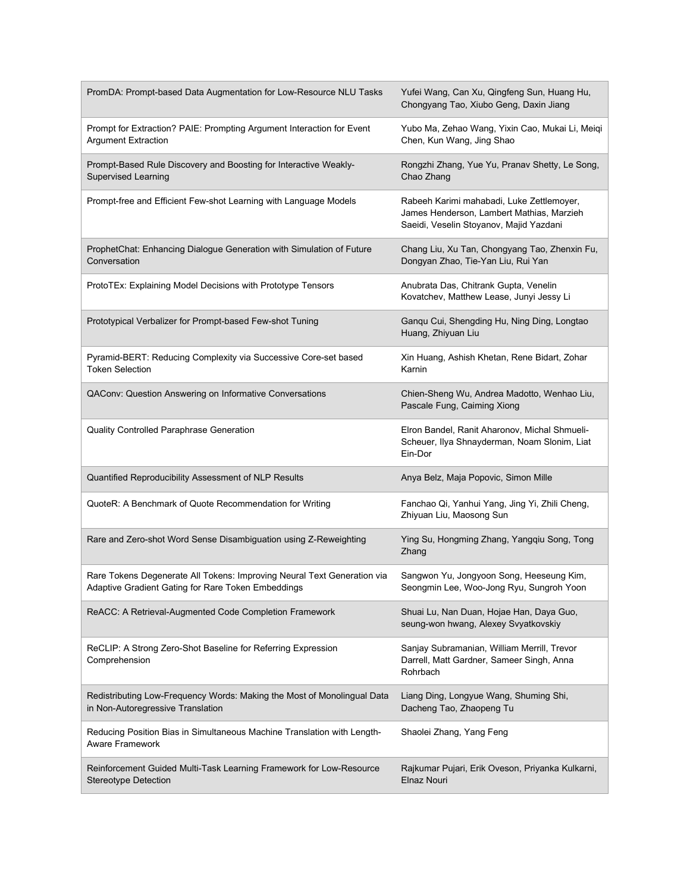| PromDA: Prompt-based Data Augmentation for Low-Resource NLU Tasks                                                             | Yufei Wang, Can Xu, Qingfeng Sun, Huang Hu,<br>Chongyang Tao, Xiubo Geng, Daxin Jiang                                             |
|-------------------------------------------------------------------------------------------------------------------------------|-----------------------------------------------------------------------------------------------------------------------------------|
| Prompt for Extraction? PAIE: Prompting Argument Interaction for Event<br><b>Argument Extraction</b>                           | Yubo Ma, Zehao Wang, Yixin Cao, Mukai Li, Meiqi<br>Chen, Kun Wang, Jing Shao                                                      |
| Prompt-Based Rule Discovery and Boosting for Interactive Weakly-<br><b>Supervised Learning</b>                                | Rongzhi Zhang, Yue Yu, Pranav Shetty, Le Song,<br>Chao Zhang                                                                      |
| Prompt-free and Efficient Few-shot Learning with Language Models                                                              | Rabeeh Karimi mahabadi, Luke Zettlemoyer,<br>James Henderson, Lambert Mathias, Marzieh<br>Saeidi, Veselin Stoyanov, Majid Yazdani |
| ProphetChat: Enhancing Dialogue Generation with Simulation of Future<br>Conversation                                          | Chang Liu, Xu Tan, Chongyang Tao, Zhenxin Fu,<br>Dongyan Zhao, Tie-Yan Liu, Rui Yan                                               |
| ProtoTEx: Explaining Model Decisions with Prototype Tensors                                                                   | Anubrata Das, Chitrank Gupta, Venelin<br>Kovatchev, Matthew Lease, Junyi Jessy Li                                                 |
| Prototypical Verbalizer for Prompt-based Few-shot Tuning                                                                      | Ganqu Cui, Shengding Hu, Ning Ding, Longtao<br>Huang, Zhiyuan Liu                                                                 |
| Pyramid-BERT: Reducing Complexity via Successive Core-set based<br><b>Token Selection</b>                                     | Xin Huang, Ashish Khetan, Rene Bidart, Zohar<br>Karnin                                                                            |
| QAConv: Question Answering on Informative Conversations                                                                       | Chien-Sheng Wu, Andrea Madotto, Wenhao Liu,<br>Pascale Fung, Caiming Xiong                                                        |
| Quality Controlled Paraphrase Generation                                                                                      | Elron Bandel, Ranit Aharonov, Michal Shmueli-<br>Scheuer, Ilya Shnayderman, Noam Slonim, Liat<br>Ein-Dor                          |
| Quantified Reproducibility Assessment of NLP Results                                                                          | Anya Belz, Maja Popovic, Simon Mille                                                                                              |
|                                                                                                                               | Fanchao Qi, Yanhui Yang, Jing Yi, Zhili Cheng,                                                                                    |
| QuoteR: A Benchmark of Quote Recommendation for Writing                                                                       | Zhiyuan Liu, Maosong Sun                                                                                                          |
| Rare and Zero-shot Word Sense Disambiguation using Z-Reweighting                                                              | Ying Su, Hongming Zhang, Yangqiu Song, Tong<br>Zhang                                                                              |
| Rare Tokens Degenerate All Tokens: Improving Neural Text Generation via<br>Adaptive Gradient Gating for Rare Token Embeddings | Sangwon Yu, Jongyoon Song, Heeseung Kim,<br>Seongmin Lee, Woo-Jong Ryu, Sungroh Yoon                                              |
| ReACC: A Retrieval-Augmented Code Completion Framework                                                                        | Shuai Lu, Nan Duan, Hojae Han, Daya Guo,<br>seung-won hwang, Alexey Svyatkovskiy                                                  |
| ReCLIP: A Strong Zero-Shot Baseline for Referring Expression<br>Comprehension                                                 | Sanjay Subramanian, William Merrill, Trevor<br>Darrell, Matt Gardner, Sameer Singh, Anna<br>Rohrbach                              |
| Redistributing Low-Frequency Words: Making the Most of Monolingual Data<br>in Non-Autoregressive Translation                  | Liang Ding, Longyue Wang, Shuming Shi,<br>Dacheng Tao, Zhaopeng Tu                                                                |
| Reducing Position Bias in Simultaneous Machine Translation with Length-<br>Aware Framework                                    | Shaolei Zhang, Yang Feng                                                                                                          |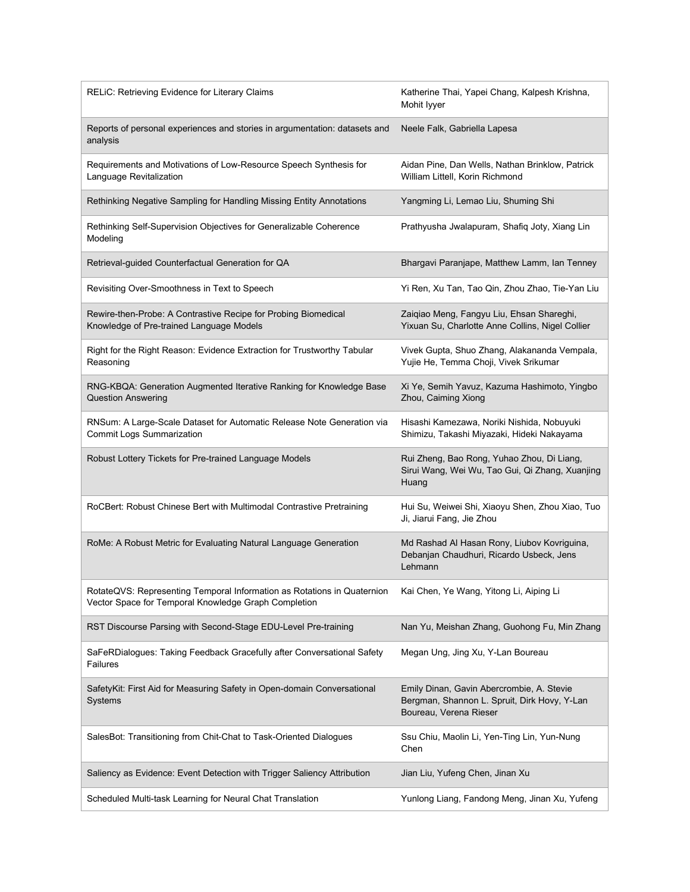| RELIC: Retrieving Evidence for Literary Claims                                                                                  | Katherine Thai, Yapei Chang, Kalpesh Krishna,<br>Mohit lyyer                                                        |
|---------------------------------------------------------------------------------------------------------------------------------|---------------------------------------------------------------------------------------------------------------------|
| Reports of personal experiences and stories in argumentation: datasets and<br>analysis                                          | Neele Falk, Gabriella Lapesa                                                                                        |
| Requirements and Motivations of Low-Resource Speech Synthesis for<br>Language Revitalization                                    | Aidan Pine, Dan Wells, Nathan Brinklow, Patrick<br>William Littell, Korin Richmond                                  |
| Rethinking Negative Sampling for Handling Missing Entity Annotations                                                            | Yangming Li, Lemao Liu, Shuming Shi                                                                                 |
| Rethinking Self-Supervision Objectives for Generalizable Coherence<br>Modeling                                                  | Prathyusha Jwalapuram, Shafiq Joty, Xiang Lin                                                                       |
| Retrieval-guided Counterfactual Generation for QA                                                                               | Bhargavi Paranjape, Matthew Lamm, Ian Tenney                                                                        |
| Revisiting Over-Smoothness in Text to Speech                                                                                    | Yi Ren, Xu Tan, Tao Qin, Zhou Zhao, Tie-Yan Liu                                                                     |
| Rewire-then-Probe: A Contrastive Recipe for Probing Biomedical<br>Knowledge of Pre-trained Language Models                      | Zaiqiao Meng, Fangyu Liu, Ehsan Shareghi,<br>Yixuan Su, Charlotte Anne Collins, Nigel Collier                       |
| Right for the Right Reason: Evidence Extraction for Trustworthy Tabular<br>Reasoning                                            | Vivek Gupta, Shuo Zhang, Alakananda Vempala,<br>Yujie He, Temma Choji, Vivek Srikumar                               |
| RNG-KBQA: Generation Augmented Iterative Ranking for Knowledge Base<br><b>Question Answering</b>                                | Xi Ye, Semih Yavuz, Kazuma Hashimoto, Yingbo<br>Zhou, Caiming Xiong                                                 |
| RNSum: A Large-Scale Dataset for Automatic Release Note Generation via<br><b>Commit Logs Summarization</b>                      | Hisashi Kamezawa, Noriki Nishida, Nobuyuki<br>Shimizu, Takashi Miyazaki, Hideki Nakayama                            |
| Robust Lottery Tickets for Pre-trained Language Models                                                                          | Rui Zheng, Bao Rong, Yuhao Zhou, Di Liang,<br>Sirui Wang, Wei Wu, Tao Gui, Qi Zhang, Xuanjing<br>Huang              |
|                                                                                                                                 |                                                                                                                     |
| RoCBert: Robust Chinese Bert with Multimodal Contrastive Pretraining                                                            | Hui Su, Weiwei Shi, Xiaoyu Shen, Zhou Xiao, Tuo<br>Ji, Jiarui Fang, Jie Zhou                                        |
| RoMe: A Robust Metric for Evaluating Natural Language Generation                                                                | Md Rashad Al Hasan Rony, Liubov Kovriguina,<br>Debanjan Chaudhuri, Ricardo Usbeck, Jens<br>Lehmann                  |
| RotateQVS: Representing Temporal Information as Rotations in Quaternion<br>Vector Space for Temporal Knowledge Graph Completion | Kai Chen, Ye Wang, Yitong Li, Aiping Li                                                                             |
| RST Discourse Parsing with Second-Stage EDU-Level Pre-training                                                                  | Nan Yu, Meishan Zhang, Guohong Fu, Min Zhang                                                                        |
| SaFeRDialogues: Taking Feedback Gracefully after Conversational Safety<br>Failures                                              | Megan Ung, Jing Xu, Y-Lan Boureau                                                                                   |
| SafetyKit: First Aid for Measuring Safety in Open-domain Conversational<br>Systems                                              | Emily Dinan, Gavin Abercrombie, A. Stevie<br>Bergman, Shannon L. Spruit, Dirk Hovy, Y-Lan<br>Boureau, Verena Rieser |
| SalesBot: Transitioning from Chit-Chat to Task-Oriented Dialogues                                                               | Ssu Chiu, Maolin Li, Yen-Ting Lin, Yun-Nung<br>Chen                                                                 |
| Saliency as Evidence: Event Detection with Trigger Saliency Attribution                                                         | Jian Liu, Yufeng Chen, Jinan Xu                                                                                     |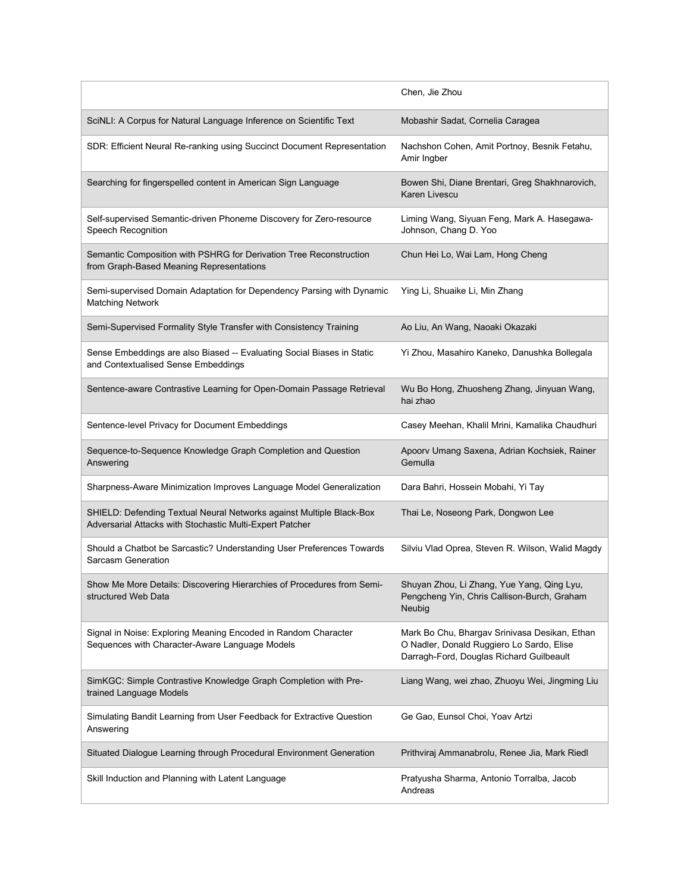|                                                                                                                                  | Chen, Jie Zhou                                                                                                                         |
|----------------------------------------------------------------------------------------------------------------------------------|----------------------------------------------------------------------------------------------------------------------------------------|
| SciNLI: A Corpus for Natural Language Inference on Scientific Text                                                               | Mobashir Sadat, Cornelia Caragea                                                                                                       |
| SDR: Efficient Neural Re-ranking using Succinct Document Representation                                                          | Nachshon Cohen, Amit Portnoy, Besnik Fetahu,<br>Amir Ingber                                                                            |
| Searching for fingerspelled content in American Sign Language                                                                    | Bowen Shi, Diane Brentari, Greg Shakhnarovich,<br>Karen Livescu                                                                        |
| Self-supervised Semantic-driven Phoneme Discovery for Zero-resource<br>Speech Recognition                                        | Liming Wang, Siyuan Feng, Mark A. Hasegawa-<br>Johnson, Chang D. Yoo                                                                   |
| Semantic Composition with PSHRG for Derivation Tree Reconstruction<br>from Graph-Based Meaning Representations                   | Chun Hei Lo, Wai Lam, Hong Cheng                                                                                                       |
| Semi-supervised Domain Adaptation for Dependency Parsing with Dynamic<br><b>Matching Network</b>                                 | Ying Li, Shuaike Li, Min Zhang                                                                                                         |
| Semi-Supervised Formality Style Transfer with Consistency Training                                                               | Ao Liu, An Wang, Naoaki Okazaki                                                                                                        |
| Sense Embeddings are also Biased -- Evaluating Social Biases in Static<br>and Contextualised Sense Embeddings                    | Yi Zhou, Masahiro Kaneko, Danushka Bollegala                                                                                           |
| Sentence-aware Contrastive Learning for Open-Domain Passage Retrieval                                                            | Wu Bo Hong, Zhuosheng Zhang, Jinyuan Wang,<br>hai zhao                                                                                 |
| Sentence-level Privacy for Document Embeddings                                                                                   | Casey Meehan, Khalil Mrini, Kamalika Chaudhuri                                                                                         |
| Sequence-to-Sequence Knowledge Graph Completion and Question<br>Answering                                                        | Apoorv Umang Saxena, Adrian Kochsiek, Rainer<br>Gemulla                                                                                |
| Sharpness-Aware Minimization Improves Language Model Generalization                                                              | Dara Bahri, Hossein Mobahi, Yi Tay                                                                                                     |
| SHIELD: Defending Textual Neural Networks against Multiple Black-Box<br>Adversarial Attacks with Stochastic Multi-Expert Patcher | Thai Le, Noseong Park, Dongwon Lee                                                                                                     |
| Should a Chatbot be Sarcastic? Understanding User Preferences Towards<br>Sarcasm Generation                                      | Silviu Vlad Oprea, Steven R. Wilson, Walid Magdy                                                                                       |
| Show Me More Details: Discovering Hierarchies of Procedures from Semi-<br>structured Web Data                                    | Shuyan Zhou, Li Zhang, Yue Yang, Qing Lyu,<br>Pengcheng Yin, Chris Callison-Burch, Graham<br>Neubig                                    |
| Signal in Noise: Exploring Meaning Encoded in Random Character<br>Sequences with Character-Aware Language Models                 | Mark Bo Chu, Bhargav Srinivasa Desikan, Ethan<br>O Nadler, Donald Ruggiero Lo Sardo, Elise<br>Darragh-Ford, Douglas Richard Guilbeault |
| SimKGC: Simple Contrastive Knowledge Graph Completion with Pre-<br>trained Language Models                                       | Liang Wang, wei zhao, Zhuoyu Wei, Jingming Liu                                                                                         |
| Simulating Bandit Learning from User Feedback for Extractive Question<br>Answering                                               | Ge Gao, Eunsol Choi, Yoav Artzi                                                                                                        |
| Situated Dialogue Learning through Procedural Environment Generation                                                             | Prithviraj Ammanabrolu, Renee Jia, Mark Riedl                                                                                          |
| Skill Induction and Planning with Latent Language                                                                                | Pratyusha Sharma, Antonio Torralba, Jacob<br>Andreas                                                                                   |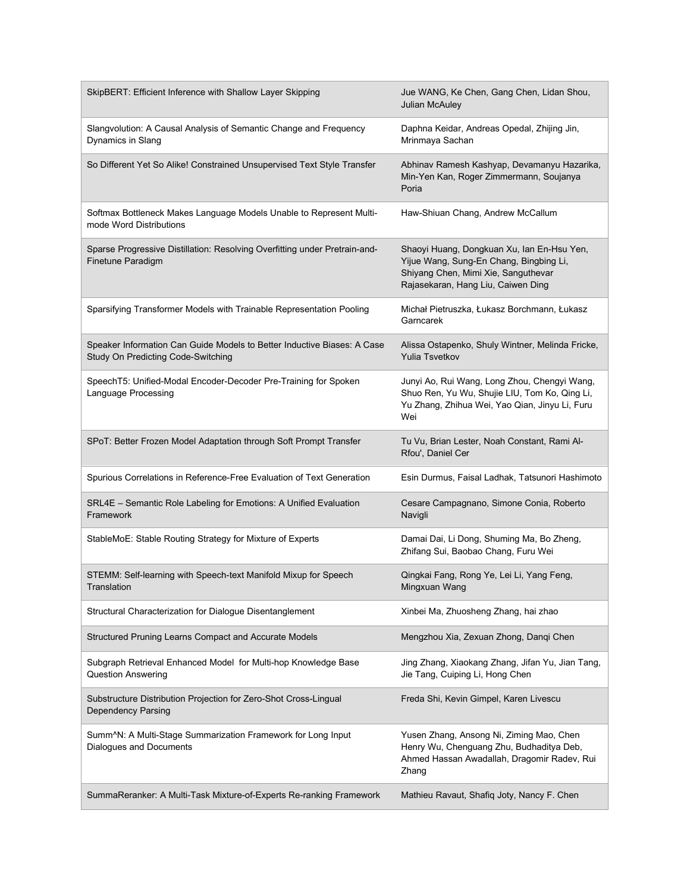| SkipBERT: Efficient Inference with Shallow Layer Skipping                                                     | Jue WANG, Ke Chen, Gang Chen, Lidan Shou,<br>Julian McAuley                                                                                                        |
|---------------------------------------------------------------------------------------------------------------|--------------------------------------------------------------------------------------------------------------------------------------------------------------------|
| Slangvolution: A Causal Analysis of Semantic Change and Frequency<br>Dynamics in Slang                        | Daphna Keidar, Andreas Opedal, Zhijing Jin,<br>Mrinmaya Sachan                                                                                                     |
| So Different Yet So Alike! Constrained Unsupervised Text Style Transfer                                       | Abhinav Ramesh Kashyap, Devamanyu Hazarika,<br>Min-Yen Kan, Roger Zimmermann, Soujanya<br>Poria                                                                    |
| Softmax Bottleneck Makes Language Models Unable to Represent Multi-<br>mode Word Distributions                | Haw-Shiuan Chang, Andrew McCallum                                                                                                                                  |
| Sparse Progressive Distillation: Resolving Overfitting under Pretrain-and-<br>Finetune Paradigm               | Shaoyi Huang, Dongkuan Xu, lan En-Hsu Yen,<br>Yijue Wang, Sung-En Chang, Bingbing Li,<br>Shiyang Chen, Mimi Xie, Sanguthevar<br>Rajasekaran, Hang Liu, Caiwen Ding |
| Sparsifying Transformer Models with Trainable Representation Pooling                                          | Michał Pietruszka, Łukasz Borchmann, Łukasz<br>Garncarek                                                                                                           |
| Speaker Information Can Guide Models to Better Inductive Biases: A Case<br>Study On Predicting Code-Switching | Alissa Ostapenko, Shuly Wintner, Melinda Fricke,<br><b>Yulia Tsvetkov</b>                                                                                          |
| SpeechT5: Unified-Modal Encoder-Decoder Pre-Training for Spoken<br>Language Processing                        | Junyi Ao, Rui Wang, Long Zhou, Chengyi Wang,<br>Shuo Ren, Yu Wu, Shujie LIU, Tom Ko, Qing Li,<br>Yu Zhang, Zhihua Wei, Yao Qian, Jinyu Li, Furu<br>Wei             |
| SPoT: Better Frozen Model Adaptation through Soft Prompt Transfer                                             | Tu Vu, Brian Lester, Noah Constant, Rami Al-<br>Rfou', Daniel Cer                                                                                                  |
| Spurious Correlations in Reference-Free Evaluation of Text Generation                                         | Esin Durmus, Faisal Ladhak, Tatsunori Hashimoto                                                                                                                    |
| SRL4E - Semantic Role Labeling for Emotions: A Unified Evaluation<br>Framework                                | Cesare Campagnano, Simone Conia, Roberto<br>Navigli                                                                                                                |
| StableMoE: Stable Routing Strategy for Mixture of Experts                                                     | Damai Dai, Li Dong, Shuming Ma, Bo Zheng,<br>Zhifang Sui, Baobao Chang, Furu Wei                                                                                   |
| STEMM: Self-learning with Speech-text Manifold Mixup for Speech<br>Translation                                | Qingkai Fang, Rong Ye, Lei Li, Yang Feng,<br>Mingxuan Wang                                                                                                         |
| Structural Characterization for Dialogue Disentanglement                                                      | Xinbei Ma, Zhuosheng Zhang, hai zhao                                                                                                                               |
| Structured Pruning Learns Compact and Accurate Models                                                         | Mengzhou Xia, Zexuan Zhong, Danqi Chen                                                                                                                             |
| Subgraph Retrieval Enhanced Model for Multi-hop Knowledge Base<br><b>Question Answering</b>                   | Jing Zhang, Xiaokang Zhang, Jifan Yu, Jian Tang,<br>Jie Tang, Cuiping Li, Hong Chen                                                                                |
| Substructure Distribution Projection for Zero-Shot Cross-Lingual<br><b>Dependency Parsing</b>                 | Freda Shi, Kevin Gimpel, Karen Livescu                                                                                                                             |
| Summ^N: A Multi-Stage Summarization Framework for Long Input<br>Dialogues and Documents                       | Yusen Zhang, Ansong Ni, Ziming Mao, Chen<br>Henry Wu, Chenguang Zhu, Budhaditya Deb,<br>Ahmed Hassan Awadallah, Dragomir Radev, Rui<br>Zhang                       |
| SummaReranker: A Multi-Task Mixture-of-Experts Re-ranking Framework                                           | Mathieu Ravaut, Shafiq Joty, Nancy F. Chen                                                                                                                         |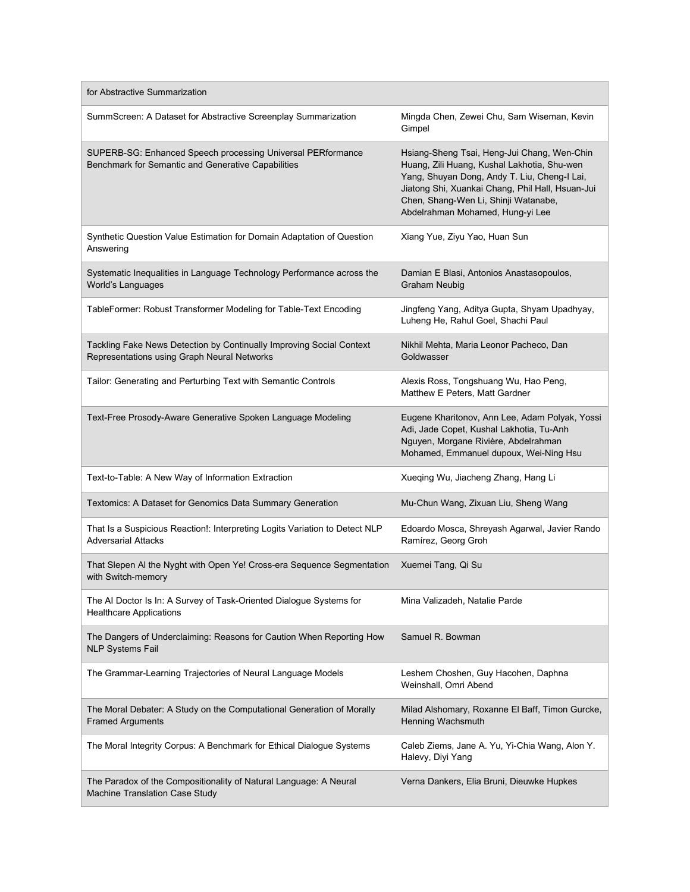| for Abstractive Summarization                                                                                       |                                                                                                                                                                                                                                                                            |
|---------------------------------------------------------------------------------------------------------------------|----------------------------------------------------------------------------------------------------------------------------------------------------------------------------------------------------------------------------------------------------------------------------|
| SummScreen: A Dataset for Abstractive Screenplay Summarization                                                      | Mingda Chen, Zewei Chu, Sam Wiseman, Kevin<br>Gimpel                                                                                                                                                                                                                       |
| SUPERB-SG: Enhanced Speech processing Universal PERformance<br>Benchmark for Semantic and Generative Capabilities   | Hsiang-Sheng Tsai, Heng-Jui Chang, Wen-Chin<br>Huang, Zili Huang, Kushal Lakhotia, Shu-wen<br>Yang, Shuyan Dong, Andy T. Liu, Cheng-I Lai,<br>Jiatong Shi, Xuankai Chang, Phil Hall, Hsuan-Jui<br>Chen, Shang-Wen Li, Shinji Watanabe,<br>Abdelrahman Mohamed, Hung-yi Lee |
| Synthetic Question Value Estimation for Domain Adaptation of Question<br>Answering                                  | Xiang Yue, Ziyu Yao, Huan Sun                                                                                                                                                                                                                                              |
| Systematic Inequalities in Language Technology Performance across the<br>World's Languages                          | Damian E Blasi, Antonios Anastasopoulos,<br><b>Graham Neubig</b>                                                                                                                                                                                                           |
| TableFormer: Robust Transformer Modeling for Table-Text Encoding                                                    | Jingfeng Yang, Aditya Gupta, Shyam Upadhyay,<br>Luheng He, Rahul Goel, Shachi Paul                                                                                                                                                                                         |
| Tackling Fake News Detection by Continually Improving Social Context<br>Representations using Graph Neural Networks | Nikhil Mehta, Maria Leonor Pacheco, Dan<br>Goldwasser                                                                                                                                                                                                                      |
| Tailor: Generating and Perturbing Text with Semantic Controls                                                       | Alexis Ross, Tongshuang Wu, Hao Peng,<br>Matthew E Peters, Matt Gardner                                                                                                                                                                                                    |
| Text-Free Prosody-Aware Generative Spoken Language Modeling                                                         | Eugene Kharitonov, Ann Lee, Adam Polyak, Yossi<br>Adi, Jade Copet, Kushal Lakhotia, Tu-Anh<br>Nguyen, Morgane Rivière, Abdelrahman<br>Mohamed, Emmanuel dupoux, Wei-Ning Hsu                                                                                               |
| Text-to-Table: A New Way of Information Extraction                                                                  | Xueqing Wu, Jiacheng Zhang, Hang Li                                                                                                                                                                                                                                        |
| Textomics: A Dataset for Genomics Data Summary Generation                                                           | Mu-Chun Wang, Zixuan Liu, Sheng Wang                                                                                                                                                                                                                                       |
| That Is a Suspicious Reaction!: Interpreting Logits Variation to Detect NLP<br><b>Adversarial Attacks</b>           | Edoardo Mosca, Shreyash Agarwal, Javier Rando<br>Ramírez, Georg Groh                                                                                                                                                                                                       |
| That Slepen AI the Nyght with Open Ye! Cross-era Sequence Segmentation<br>with Switch-memory                        | Xuemei Tang, Qi Su                                                                                                                                                                                                                                                         |
| The AI Doctor Is In: A Survey of Task-Oriented Dialogue Systems for<br><b>Healthcare Applications</b>               | Mina Valizadeh, Natalie Parde                                                                                                                                                                                                                                              |
| The Dangers of Underclaiming: Reasons for Caution When Reporting How<br><b>NLP Systems Fail</b>                     | Samuel R. Bowman                                                                                                                                                                                                                                                           |
| The Grammar-Learning Trajectories of Neural Language Models                                                         | Leshem Choshen, Guy Hacohen, Daphna<br>Weinshall, Omri Abend                                                                                                                                                                                                               |
| The Moral Debater: A Study on the Computational Generation of Morally<br><b>Framed Arguments</b>                    | Milad Alshomary, Roxanne El Baff, Timon Gurcke,<br>Henning Wachsmuth                                                                                                                                                                                                       |
| The Moral Integrity Corpus: A Benchmark for Ethical Dialogue Systems                                                | Caleb Ziems, Jane A. Yu, Yi-Chia Wang, Alon Y.<br>Halevy, Diyi Yang                                                                                                                                                                                                        |
| The Paradox of the Compositionality of Natural Language: A Neural<br>Machine Translation Case Study                 | Verna Dankers, Elia Bruni, Dieuwke Hupkes                                                                                                                                                                                                                                  |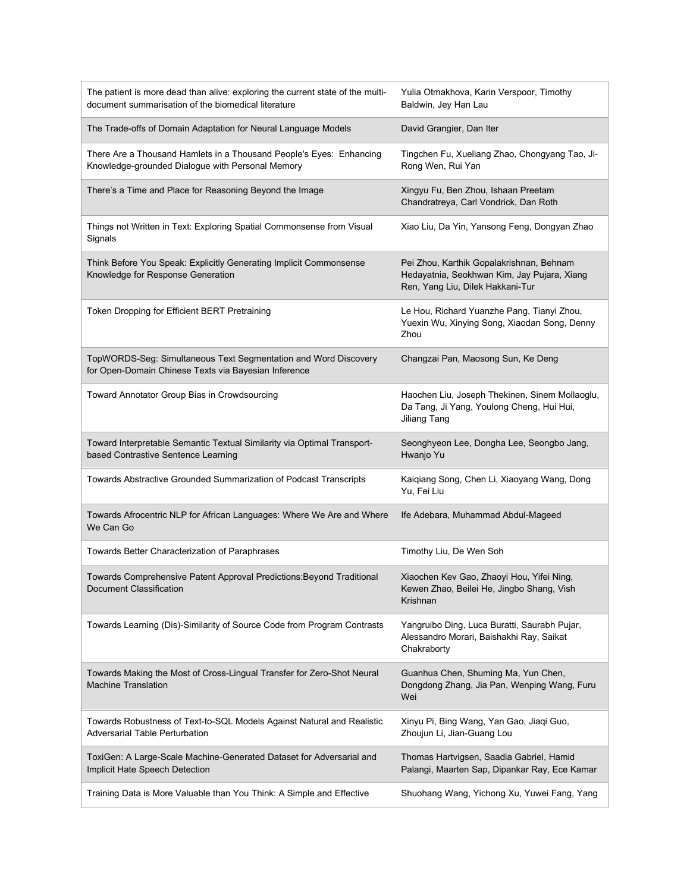| The patient is more dead than alive: exploring the current state of the multi-<br>document summarisation of the biomedical literature | Yulia Otmakhova, Karin Verspoor, Timothy<br>Baldwin, Jey Han Lau                                                            |
|---------------------------------------------------------------------------------------------------------------------------------------|-----------------------------------------------------------------------------------------------------------------------------|
| The Trade-offs of Domain Adaptation for Neural Language Models                                                                        | David Grangier, Dan Iter                                                                                                    |
| There Are a Thousand Hamlets in a Thousand People's Eyes: Enhancing<br>Knowledge-grounded Dialogue with Personal Memory               | Tingchen Fu, Xueliang Zhao, Chongyang Tao, Ji-<br>Rong Wen, Rui Yan                                                         |
| There's a Time and Place for Reasoning Beyond the Image                                                                               | Xingyu Fu, Ben Zhou, Ishaan Preetam<br>Chandratreya, Carl Vondrick, Dan Roth                                                |
| Things not Written in Text: Exploring Spatial Commonsense from Visual<br>Signals                                                      | Xiao Liu, Da Yin, Yansong Feng, Dongyan Zhao                                                                                |
| Think Before You Speak: Explicitly Generating Implicit Commonsense<br>Knowledge for Response Generation                               | Pei Zhou, Karthik Gopalakrishnan, Behnam<br>Hedayatnia, Seokhwan Kim, Jay Pujara, Xiang<br>Ren, Yang Liu, Dilek Hakkani-Tur |
| Token Dropping for Efficient BERT Pretraining                                                                                         | Le Hou, Richard Yuanzhe Pang, Tianyi Zhou,<br>Yuexin Wu, Xinying Song, Xiaodan Song, Denny<br>Zhou                          |
| TopWORDS-Seg: Simultaneous Text Segmentation and Word Discovery<br>for Open-Domain Chinese Texts via Bayesian Inference               | Changzai Pan, Maosong Sun, Ke Deng                                                                                          |
| Toward Annotator Group Bias in Crowdsourcing                                                                                          | Haochen Liu, Joseph Thekinen, Sinem Mollaoglu,<br>Da Tang, Ji Yang, Youlong Cheng, Hui Hui,<br>Jiliang Tang                 |
| Toward Interpretable Semantic Textual Similarity via Optimal Transport-<br>based Contrastive Sentence Learning                        | Seonghyeon Lee, Dongha Lee, Seongbo Jang,<br>Hwanjo Yu                                                                      |
| Towards Abstractive Grounded Summarization of Podcast Transcripts                                                                     | Kaiqiang Song, Chen Li, Xiaoyang Wang, Dong<br>Yu, Fei Liu                                                                  |
| Towards Afrocentric NLP for African Languages: Where We Are and Where<br>We Can Go                                                    | Ife Adebara, Muhammad Abdul-Mageed                                                                                          |
| Towards Better Characterization of Paraphrases                                                                                        | Timothy Liu, De Wen Soh                                                                                                     |
| Towards Comprehensive Patent Approval Predictions: Beyond Traditional<br><b>Document Classification</b>                               | Xiaochen Kev Gao, Zhaoyi Hou, Yifei Ning,<br>Kewen Zhao, Beilei He, Jingbo Shang, Vish<br>Krishnan                          |
| Towards Learning (Dis)-Similarity of Source Code from Program Contrasts                                                               | Yangruibo Ding, Luca Buratti, Saurabh Pujar,<br>Alessandro Morari, Baishakhi Ray, Saikat<br>Chakraborty                     |
| Towards Making the Most of Cross-Lingual Transfer for Zero-Shot Neural<br><b>Machine Translation</b>                                  | Guanhua Chen, Shuming Ma, Yun Chen,<br>Dongdong Zhang, Jia Pan, Wenping Wang, Furu<br>Wei                                   |
| Towards Robustness of Text-to-SQL Models Against Natural and Realistic<br>Adversarial Table Perturbation                              | Xinyu Pi, Bing Wang, Yan Gao, Jiaqi Guo,<br>Zhoujun Li, Jian-Guang Lou                                                      |
| ToxiGen: A Large-Scale Machine-Generated Dataset for Adversarial and<br>Implicit Hate Speech Detection                                | Thomas Hartvigsen, Saadia Gabriel, Hamid<br>Palangi, Maarten Sap, Dipankar Ray, Ece Kamar                                   |
| Training Data is More Valuable than You Think: A Simple and Effective                                                                 | Shuohang Wang, Yichong Xu, Yuwei Fang, Yang                                                                                 |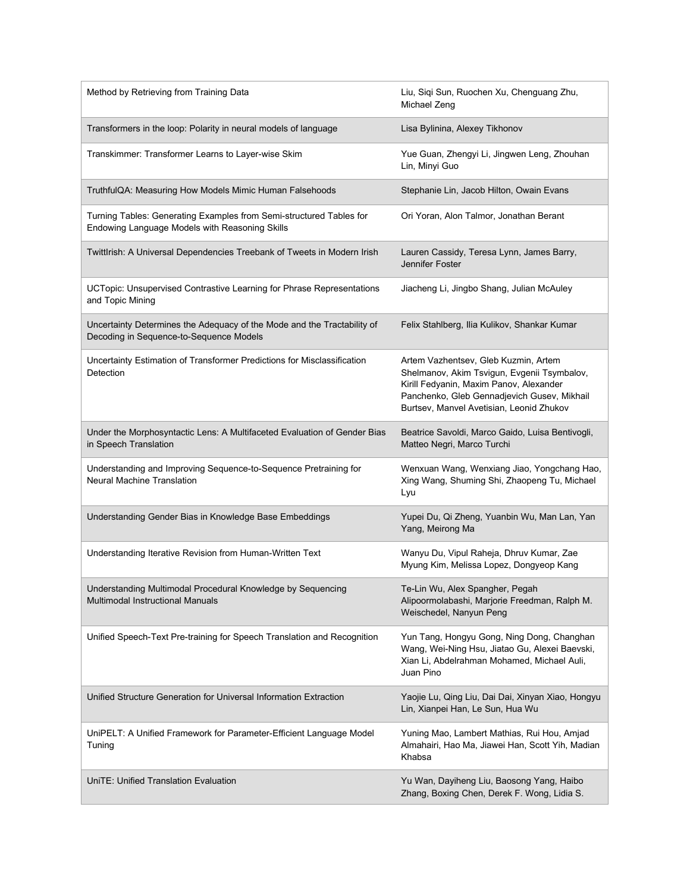| Method by Retrieving from Training Data                                                                               | Liu, Sigi Sun, Ruochen Xu, Chenguang Zhu,<br>Michael Zeng                                                                                                                                                                 |
|-----------------------------------------------------------------------------------------------------------------------|---------------------------------------------------------------------------------------------------------------------------------------------------------------------------------------------------------------------------|
| Transformers in the loop: Polarity in neural models of language                                                       | Lisa Bylinina, Alexey Tikhonov                                                                                                                                                                                            |
| Transkimmer: Transformer Learns to Layer-wise Skim                                                                    | Yue Guan, Zhengyi Li, Jingwen Leng, Zhouhan<br>Lin, Minyi Guo                                                                                                                                                             |
| TruthfulQA: Measuring How Models Mimic Human Falsehoods                                                               | Stephanie Lin, Jacob Hilton, Owain Evans                                                                                                                                                                                  |
| Turning Tables: Generating Examples from Semi-structured Tables for<br>Endowing Language Models with Reasoning Skills | Ori Yoran, Alon Talmor, Jonathan Berant                                                                                                                                                                                   |
| TwittIrish: A Universal Dependencies Treebank of Tweets in Modern Irish                                               | Lauren Cassidy, Teresa Lynn, James Barry,<br>Jennifer Foster                                                                                                                                                              |
| UCTopic: Unsupervised Contrastive Learning for Phrase Representations<br>and Topic Mining                             | Jiacheng Li, Jingbo Shang, Julian McAuley                                                                                                                                                                                 |
| Uncertainty Determines the Adequacy of the Mode and the Tractability of<br>Decoding in Sequence-to-Sequence Models    | Felix Stahlberg, Ilia Kulikov, Shankar Kumar                                                                                                                                                                              |
| Uncertainty Estimation of Transformer Predictions for Misclassification<br>Detection                                  | Artem Vazhentsev, Gleb Kuzmin, Artem<br>Shelmanov, Akim Tsvigun, Evgenii Tsymbalov,<br>Kirill Fedyanin, Maxim Panov, Alexander<br>Panchenko, Gleb Gennadjevich Gusev, Mikhail<br>Burtsev, Manvel Avetisian, Leonid Zhukov |
| Under the Morphosyntactic Lens: A Multifaceted Evaluation of Gender Bias<br>in Speech Translation                     | Beatrice Savoldi, Marco Gaido, Luisa Bentivogli,<br>Matteo Negri, Marco Turchi                                                                                                                                            |
| Understanding and Improving Sequence-to-Sequence Pretraining for<br>Neural Machine Translation                        | Wenxuan Wang, Wenxiang Jiao, Yongchang Hao,<br>Xing Wang, Shuming Shi, Zhaopeng Tu, Michael<br>Lyu                                                                                                                        |
| Understanding Gender Bias in Knowledge Base Embeddings                                                                | Yupei Du, Qi Zheng, Yuanbin Wu, Man Lan, Yan<br>Yang, Meirong Ma                                                                                                                                                          |
| Understanding Iterative Revision from Human-Written Text                                                              | Wanyu Du, Vipul Raheja, Dhruv Kumar, Zae<br>Myung Kim, Melissa Lopez, Dongyeop Kang                                                                                                                                       |
| Understanding Multimodal Procedural Knowledge by Sequencing<br><b>Multimodal Instructional Manuals</b>                | Te-Lin Wu, Alex Spangher, Pegah<br>Alipoormolabashi, Marjorie Freedman, Ralph M.<br>Weischedel, Nanyun Peng                                                                                                               |
| Unified Speech-Text Pre-training for Speech Translation and Recognition                                               | Yun Tang, Hongyu Gong, Ning Dong, Changhan<br>Wang, Wei-Ning Hsu, Jiatao Gu, Alexei Baevski,<br>Xian Li, Abdelrahman Mohamed, Michael Auli,<br>Juan Pino                                                                  |
| Unified Structure Generation for Universal Information Extraction                                                     | Yaojie Lu, Qing Liu, Dai Dai, Xinyan Xiao, Hongyu<br>Lin, Xianpei Han, Le Sun, Hua Wu                                                                                                                                     |
| UniPELT: A Unified Framework for Parameter-Efficient Language Model<br>Tuning                                         | Yuning Mao, Lambert Mathias, Rui Hou, Amjad<br>Almahairi, Hao Ma, Jiawei Han, Scott Yih, Madian<br>Khabsa                                                                                                                 |
| UniTE: Unified Translation Evaluation                                                                                 | Yu Wan, Dayiheng Liu, Baosong Yang, Haibo<br>Zhang, Boxing Chen, Derek F. Wong, Lidia S.                                                                                                                                  |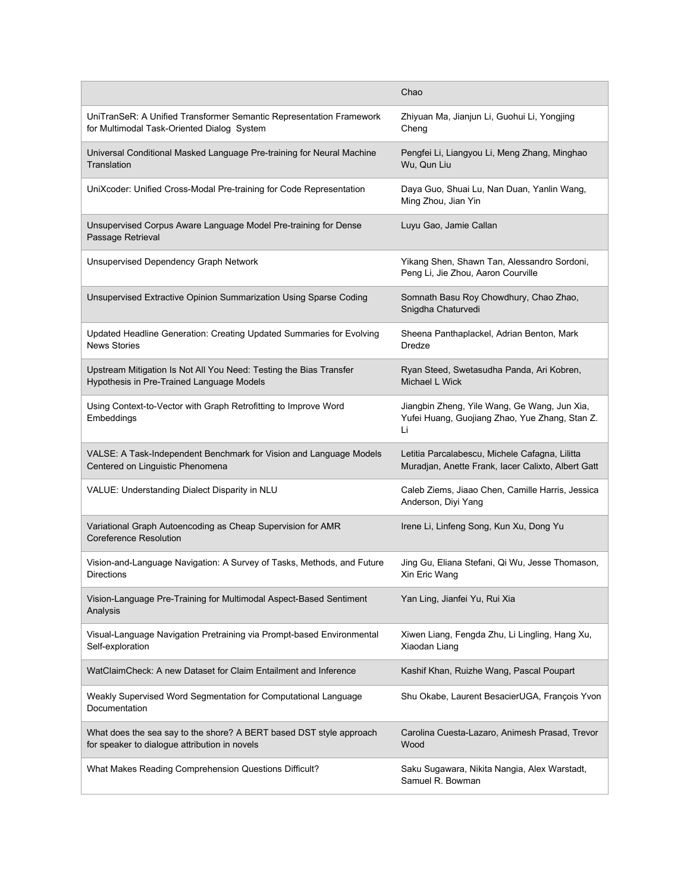|                                                                                                                      | Chao                                                                                                 |
|----------------------------------------------------------------------------------------------------------------------|------------------------------------------------------------------------------------------------------|
| UniTranSeR: A Unified Transformer Semantic Representation Framework<br>for Multimodal Task-Oriented Dialog System    | Zhiyuan Ma, Jianjun Li, Guohui Li, Yongjing<br>Cheng                                                 |
| Universal Conditional Masked Language Pre-training for Neural Machine<br>Translation                                 | Pengfei Li, Liangyou Li, Meng Zhang, Minghao<br>Wu, Qun Liu                                          |
| UniXcoder: Unified Cross-Modal Pre-training for Code Representation                                                  | Daya Guo, Shuai Lu, Nan Duan, Yanlin Wang,<br>Ming Zhou, Jian Yin                                    |
| Unsupervised Corpus Aware Language Model Pre-training for Dense<br>Passage Retrieval                                 | Luyu Gao, Jamie Callan                                                                               |
| <b>Unsupervised Dependency Graph Network</b>                                                                         | Yikang Shen, Shawn Tan, Alessandro Sordoni,<br>Peng Li, Jie Zhou, Aaron Courville                    |
| Unsupervised Extractive Opinion Summarization Using Sparse Coding                                                    | Somnath Basu Roy Chowdhury, Chao Zhao,<br>Snigdha Chaturvedi                                         |
| Updated Headline Generation: Creating Updated Summaries for Evolving<br><b>News Stories</b>                          | Sheena Panthaplackel, Adrian Benton, Mark<br>Dredze                                                  |
| Upstream Mitigation Is Not All You Need: Testing the Bias Transfer<br>Hypothesis in Pre-Trained Language Models      | Ryan Steed, Swetasudha Panda, Ari Kobren,<br>Michael L Wick                                          |
| Using Context-to-Vector with Graph Retrofitting to Improve Word<br>Embeddings                                        | Jiangbin Zheng, Yile Wang, Ge Wang, Jun Xia,<br>Yufei Huang, Guojiang Zhao, Yue Zhang, Stan Z.<br>Li |
| VALSE: A Task-Independent Benchmark for Vision and Language Models<br>Centered on Linguistic Phenomena               | Letitia Parcalabescu, Michele Cafagna, Lilitta<br>Muradjan, Anette Frank, lacer Calixto, Albert Gatt |
| VALUE: Understanding Dialect Disparity in NLU                                                                        | Caleb Ziems, Jiaao Chen, Camille Harris, Jessica<br>Anderson, Diyi Yang                              |
| Variational Graph Autoencoding as Cheap Supervision for AMR<br><b>Coreference Resolution</b>                         | Irene Li, Linfeng Song, Kun Xu, Dong Yu                                                              |
| Vision-and-Language Navigation: A Survey of Tasks, Methods, and Future<br><b>Directions</b>                          | Jing Gu, Eliana Stefani, Qi Wu, Jesse Thomason,<br>Xin Eric Wang                                     |
| Vision-Language Pre-Training for Multimodal Aspect-Based Sentiment<br>Analysis                                       | Yan Ling, Jianfei Yu, Rui Xia                                                                        |
| Visual-Language Navigation Pretraining via Prompt-based Environmental<br>Self-exploration                            | Xiwen Liang, Fengda Zhu, Li Lingling, Hang Xu,<br>Xiaodan Liang                                      |
| WatClaimCheck: A new Dataset for Claim Entailment and Inference                                                      | Kashif Khan, Ruizhe Wang, Pascal Poupart                                                             |
| Weakly Supervised Word Segmentation for Computational Language<br>Documentation                                      | Shu Okabe, Laurent BesacierUGA, François Yvon                                                        |
| What does the sea say to the shore? A BERT based DST style approach<br>for speaker to dialogue attribution in novels | Carolina Cuesta-Lazaro, Animesh Prasad, Trevor<br>Wood                                               |
| What Makes Reading Comprehension Questions Difficult?                                                                | Saku Sugawara, Nikita Nangia, Alex Warstadt,<br>Samuel R. Bowman                                     |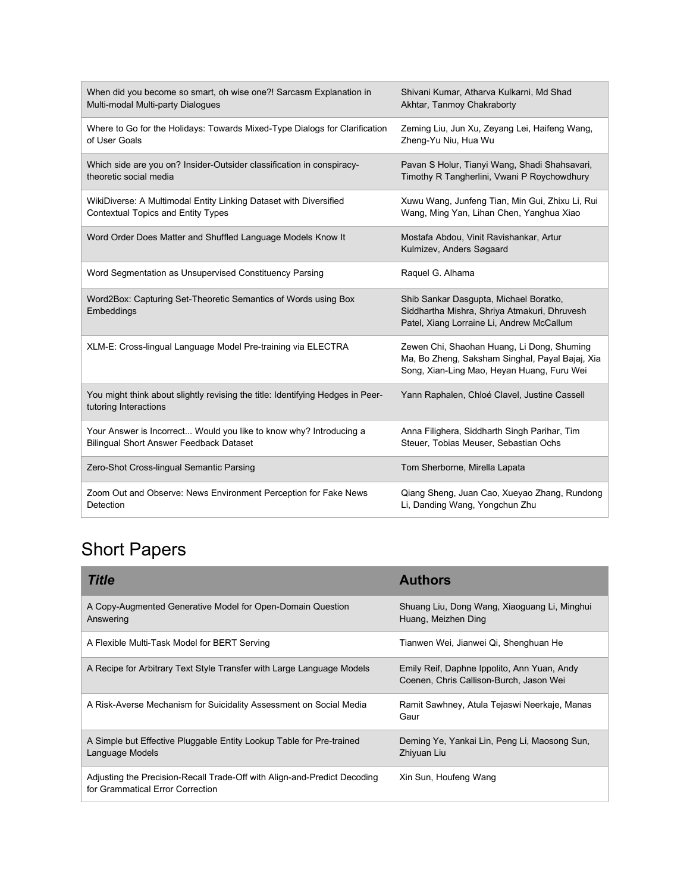| When did you become so smart, oh wise one?! Sarcasm Explanation in                                      | Shivani Kumar, Atharva Kulkarni, Md Shad                                                                                                    |
|---------------------------------------------------------------------------------------------------------|---------------------------------------------------------------------------------------------------------------------------------------------|
| Multi-modal Multi-party Dialogues                                                                       | Akhtar, Tanmoy Chakraborty                                                                                                                  |
| Where to Go for the Holidays: Towards Mixed-Type Dialogs for Clarification                              | Zeming Liu, Jun Xu, Zeyang Lei, Haifeng Wang,                                                                                               |
| of User Goals                                                                                           | Zheng-Yu Niu, Hua Wu                                                                                                                        |
| Which side are you on? Insider-Outsider classification in conspiracy-                                   | Pavan S Holur, Tianyi Wang, Shadi Shahsavari,                                                                                               |
| theoretic social media                                                                                  | Timothy R Tangherlini, Vwani P Roychowdhury                                                                                                 |
| WikiDiverse: A Multimodal Entity Linking Dataset with Diversified                                       | Xuwu Wang, Junfeng Tian, Min Gui, Zhixu Li, Rui                                                                                             |
| <b>Contextual Topics and Entity Types</b>                                                               | Wang, Ming Yan, Lihan Chen, Yanghua Xiao                                                                                                    |
| Word Order Does Matter and Shuffled Language Models Know It                                             | Mostafa Abdou, Vinit Ravishankar, Artur<br>Kulmizev, Anders Søgaard                                                                         |
| Word Segmentation as Unsupervised Constituency Parsing                                                  | Raquel G. Alhama                                                                                                                            |
| Word2Box: Capturing Set-Theoretic Semantics of Words using Box<br>Embeddings                            | Shib Sankar Dasgupta, Michael Boratko,<br>Siddhartha Mishra, Shriya Atmakuri, Dhruvesh<br>Patel, Xiang Lorraine Li, Andrew McCallum         |
| XLM-E: Cross-lingual Language Model Pre-training via ELECTRA                                            | Zewen Chi, Shaohan Huang, Li Dong, Shuming<br>Ma, Bo Zheng, Saksham Singhal, Payal Bajaj, Xia<br>Song, Xian-Ling Mao, Heyan Huang, Furu Wei |
| You might think about slightly revising the title: Identifying Hedges in Peer-<br>tutoring Interactions | Yann Raphalen, Chloé Clavel, Justine Cassell                                                                                                |
| Your Answer is Incorrect Would you like to know why? Introducing a                                      | Anna Filighera, Siddharth Singh Parihar, Tim                                                                                                |
| <b>Bilingual Short Answer Feedback Dataset</b>                                                          | Steuer, Tobias Meuser, Sebastian Ochs                                                                                                       |
| Zero-Shot Cross-lingual Semantic Parsing                                                                | Tom Sherborne, Mirella Lapata                                                                                                               |
| Zoom Out and Observe: News Environment Perception for Fake News                                         | Qiang Sheng, Juan Cao, Xueyao Zhang, Rundong                                                                                                |
| Detection                                                                                               | Li, Danding Wang, Yongchun Zhu                                                                                                              |

#### Short Papers

| <b>Title</b>                                                                                                 | <b>Authors</b>                                                                         |
|--------------------------------------------------------------------------------------------------------------|----------------------------------------------------------------------------------------|
| A Copy-Augmented Generative Model for Open-Domain Question<br>Answering                                      | Shuang Liu, Dong Wang, Xiaoguang Li, Minghui<br>Huang, Meizhen Ding                    |
| A Flexible Multi-Task Model for BERT Serving                                                                 | Tianwen Wei, Jianwei Qi, Shenghuan He                                                  |
| A Recipe for Arbitrary Text Style Transfer with Large Language Models                                        | Emily Reif, Daphne Ippolito, Ann Yuan, Andy<br>Coenen, Chris Callison-Burch, Jason Wei |
| A Risk-Averse Mechanism for Suicidality Assessment on Social Media                                           | Ramit Sawhney, Atula Tejaswi Neerkaje, Manas<br>Gaur                                   |
| A Simple but Effective Pluggable Entity Lookup Table for Pre-trained<br>Language Models                      | Deming Ye, Yankai Lin, Peng Li, Maosong Sun,<br>Zhiyuan Liu                            |
| Adjusting the Precision-Recall Trade-Off with Align-and-Predict Decoding<br>for Grammatical Frror Correction | Xin Sun, Houfeng Wang                                                                  |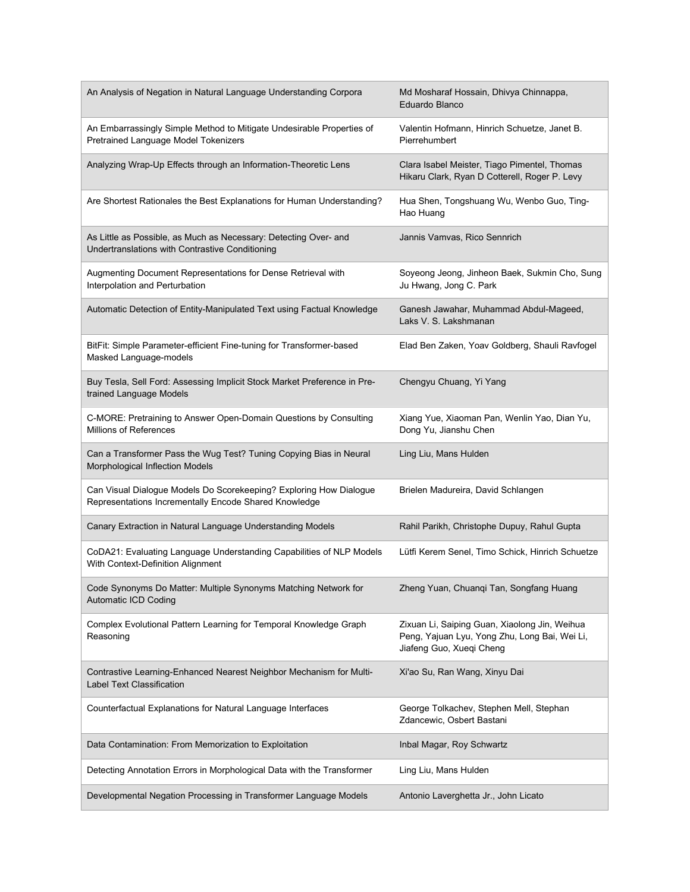| An Analysis of Negation in Natural Language Understanding Corpora                                                           | Md Mosharaf Hossain, Dhivya Chinnappa,<br>Eduardo Blanco                                                                   |
|-----------------------------------------------------------------------------------------------------------------------------|----------------------------------------------------------------------------------------------------------------------------|
| An Embarrassingly Simple Method to Mitigate Undesirable Properties of<br>Pretrained Language Model Tokenizers               | Valentin Hofmann, Hinrich Schuetze, Janet B.<br>Pierrehumbert                                                              |
| Analyzing Wrap-Up Effects through an Information-Theoretic Lens                                                             | Clara Isabel Meister, Tiago Pimentel, Thomas<br>Hikaru Clark, Ryan D Cotterell, Roger P. Levy                              |
| Are Shortest Rationales the Best Explanations for Human Understanding?                                                      | Hua Shen, Tongshuang Wu, Wenbo Guo, Ting-<br>Hao Huang                                                                     |
| As Little as Possible, as Much as Necessary: Detecting Over- and<br>Undertranslations with Contrastive Conditioning         | Jannis Vamvas, Rico Sennrich                                                                                               |
| Augmenting Document Representations for Dense Retrieval with<br>Interpolation and Perturbation                              | Soyeong Jeong, Jinheon Baek, Sukmin Cho, Sung<br>Ju Hwang, Jong C. Park                                                    |
| Automatic Detection of Entity-Manipulated Text using Factual Knowledge                                                      | Ganesh Jawahar, Muhammad Abdul-Mageed,<br>Laks V. S. Lakshmanan                                                            |
| BitFit: Simple Parameter-efficient Fine-tuning for Transformer-based<br>Masked Language-models                              | Elad Ben Zaken, Yoav Goldberg, Shauli Ravfogel                                                                             |
| Buy Tesla, Sell Ford: Assessing Implicit Stock Market Preference in Pre-<br>trained Language Models                         | Chengyu Chuang, Yi Yang                                                                                                    |
| C-MORE: Pretraining to Answer Open-Domain Questions by Consulting<br>Millions of References                                 | Xiang Yue, Xiaoman Pan, Wenlin Yao, Dian Yu,<br>Dong Yu, Jianshu Chen                                                      |
| Can a Transformer Pass the Wug Test? Tuning Copying Bias in Neural<br>Morphological Inflection Models                       | Ling Liu, Mans Hulden                                                                                                      |
|                                                                                                                             |                                                                                                                            |
| Can Visual Dialogue Models Do Scorekeeping? Exploring How Dialogue<br>Representations Incrementally Encode Shared Knowledge | Brielen Madureira, David Schlangen                                                                                         |
| Canary Extraction in Natural Language Understanding Models                                                                  | Rahil Parikh, Christophe Dupuy, Rahul Gupta                                                                                |
| CoDA21: Evaluating Language Understanding Capabilities of NLP Models<br>With Context-Definition Alignment                   | Lütfi Kerem Senel, Timo Schick, Hinrich Schuetze                                                                           |
| Code Synonyms Do Matter: Multiple Synonyms Matching Network for<br><b>Automatic ICD Coding</b>                              | Zheng Yuan, Chuanqi Tan, Songfang Huang                                                                                    |
| Complex Evolutional Pattern Learning for Temporal Knowledge Graph<br>Reasoning                                              | Zixuan Li, Saiping Guan, Xiaolong Jin, Weihua<br>Peng, Yajuan Lyu, Yong Zhu, Long Bai, Wei Li,<br>Jiafeng Guo, Xueqi Cheng |
| Contrastive Learning-Enhanced Nearest Neighbor Mechanism for Multi-<br>Label Text Classification                            | Xi'ao Su, Ran Wang, Xinyu Dai                                                                                              |
| Counterfactual Explanations for Natural Language Interfaces                                                                 | George Tolkachev, Stephen Mell, Stephan<br>Zdancewic, Osbert Bastani                                                       |
| Data Contamination: From Memorization to Exploitation                                                                       | Inbal Magar, Roy Schwartz                                                                                                  |
| Detecting Annotation Errors in Morphological Data with the Transformer                                                      | Ling Liu, Mans Hulden                                                                                                      |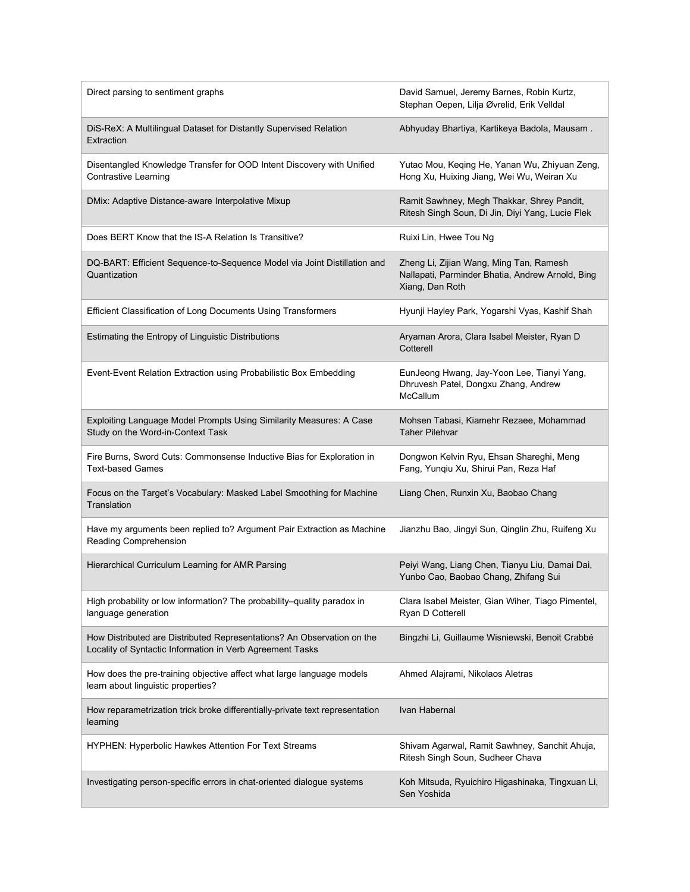| Direct parsing to sentiment graphs                                                                                                  | David Samuel, Jeremy Barnes, Robin Kurtz,<br>Stephan Oepen, Lilja Øvrelid, Erik Velldal                        |
|-------------------------------------------------------------------------------------------------------------------------------------|----------------------------------------------------------------------------------------------------------------|
| DiS-ReX: A Multilingual Dataset for Distantly Supervised Relation<br>Extraction                                                     | Abhyuday Bhartiya, Kartikeya Badola, Mausam.                                                                   |
| Disentangled Knowledge Transfer for OOD Intent Discovery with Unified<br><b>Contrastive Learning</b>                                | Yutao Mou, Keqing He, Yanan Wu, Zhiyuan Zeng,<br>Hong Xu, Huixing Jiang, Wei Wu, Weiran Xu                     |
| DMix: Adaptive Distance-aware Interpolative Mixup                                                                                   | Ramit Sawhney, Megh Thakkar, Shrey Pandit,<br>Ritesh Singh Soun, Di Jin, Diyi Yang, Lucie Flek                 |
| Does BERT Know that the IS-A Relation Is Transitive?                                                                                | Ruixi Lin, Hwee Tou Ng                                                                                         |
| DQ-BART: Efficient Sequence-to-Sequence Model via Joint Distillation and<br>Quantization                                            | Zheng Li, Zijian Wang, Ming Tan, Ramesh<br>Nallapati, Parminder Bhatia, Andrew Arnold, Bing<br>Xiang, Dan Roth |
| Efficient Classification of Long Documents Using Transformers                                                                       | Hyunji Hayley Park, Yogarshi Vyas, Kashif Shah                                                                 |
| Estimating the Entropy of Linguistic Distributions                                                                                  | Aryaman Arora, Clara Isabel Meister, Ryan D<br>Cotterell                                                       |
| Event-Event Relation Extraction using Probabilistic Box Embedding                                                                   | EunJeong Hwang, Jay-Yoon Lee, Tianyi Yang,<br>Dhruvesh Patel, Dongxu Zhang, Andrew<br>McCallum                 |
| Exploiting Language Model Prompts Using Similarity Measures: A Case<br>Study on the Word-in-Context Task                            | Mohsen Tabasi, Kiamehr Rezaee, Mohammad<br><b>Taher Pilehvar</b>                                               |
| Fire Burns, Sword Cuts: Commonsense Inductive Bias for Exploration in<br><b>Text-based Games</b>                                    | Dongwon Kelvin Ryu, Ehsan Shareghi, Meng<br>Fang, Yunqiu Xu, Shirui Pan, Reza Haf                              |
| Focus on the Target's Vocabulary: Masked Label Smoothing for Machine<br>Translation                                                 | Liang Chen, Runxin Xu, Baobao Chang                                                                            |
| Have my arguments been replied to? Argument Pair Extraction as Machine<br>Reading Comprehension                                     | Jianzhu Bao, Jingyi Sun, Qinglin Zhu, Ruifeng Xu                                                               |
| Hierarchical Curriculum Learning for AMR Parsing                                                                                    | Peiyi Wang, Liang Chen, Tianyu Liu, Damai Dai,<br>Yunbo Cao, Baobao Chang, Zhifang Sui                         |
| High probability or low information? The probability-quality paradox in<br>language generation                                      | Clara Isabel Meister, Gian Wiher, Tiago Pimentel,<br>Ryan D Cotterell                                          |
| How Distributed are Distributed Representations? An Observation on the<br>Locality of Syntactic Information in Verb Agreement Tasks | Bingzhi Li, Guillaume Wisniewski, Benoit Crabbé                                                                |
| How does the pre-training objective affect what large language models<br>learn about linguistic properties?                         | Ahmed Alajrami, Nikolaos Aletras                                                                               |
| How reparametrization trick broke differentially-private text representation<br>learning                                            | Ivan Habernal                                                                                                  |
| <b>HYPHEN: Hyperbolic Hawkes Attention For Text Streams</b>                                                                         | Shivam Agarwal, Ramit Sawhney, Sanchit Ahuja,<br>Ritesh Singh Soun, Sudheer Chava                              |
| Investigating person-specific errors in chat-oriented dialogue systems                                                              | Koh Mitsuda, Ryuichiro Higashinaka, Tingxuan Li,<br>Sen Yoshida                                                |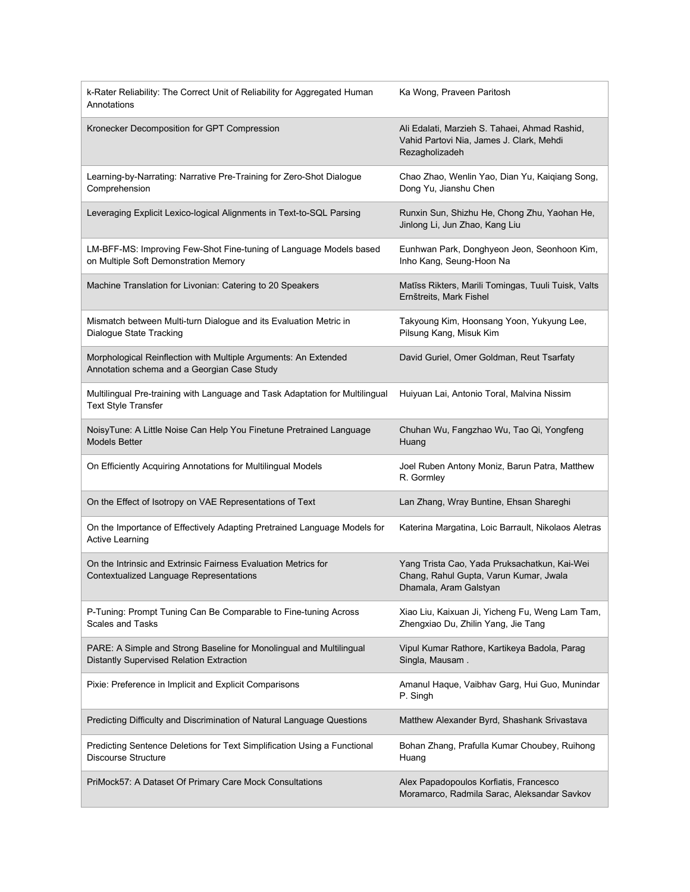| k-Rater Reliability: The Correct Unit of Reliability for Aggregated Human<br>Annotations                         | Ka Wong, Praveen Paritosh                                                                                        |
|------------------------------------------------------------------------------------------------------------------|------------------------------------------------------------------------------------------------------------------|
| Kronecker Decomposition for GPT Compression                                                                      | Ali Edalati, Marzieh S. Tahaei, Ahmad Rashid,<br>Vahid Partovi Nia, James J. Clark, Mehdi<br>Rezagholizadeh      |
| Learning-by-Narrating: Narrative Pre-Training for Zero-Shot Dialogue<br>Comprehension                            | Chao Zhao, Wenlin Yao, Dian Yu, Kaiqiang Song,<br>Dong Yu, Jianshu Chen                                          |
| Leveraging Explicit Lexico-logical Alignments in Text-to-SQL Parsing                                             | Runxin Sun, Shizhu He, Chong Zhu, Yaohan He,<br>Jinlong Li, Jun Zhao, Kang Liu                                   |
| LM-BFF-MS: Improving Few-Shot Fine-tuning of Language Models based<br>on Multiple Soft Demonstration Memory      | Eunhwan Park, Donghyeon Jeon, Seonhoon Kim,<br>Inho Kang, Seung-Hoon Na                                          |
| Machine Translation for Livonian: Catering to 20 Speakers                                                        | Matīss Rikters, Marili Tomingas, Tuuli Tuisk, Valts<br>Ernštreits, Mark Fishel                                   |
| Mismatch between Multi-turn Dialogue and its Evaluation Metric in<br><b>Dialogue State Tracking</b>              | Takyoung Kim, Hoonsang Yoon, Yukyung Lee,<br>Pilsung Kang, Misuk Kim                                             |
| Morphological Reinflection with Multiple Arguments: An Extended<br>Annotation schema and a Georgian Case Study   | David Guriel, Omer Goldman, Reut Tsarfaty                                                                        |
| Multilingual Pre-training with Language and Task Adaptation for Multilingual<br><b>Text Style Transfer</b>       | Huiyuan Lai, Antonio Toral, Malvina Nissim                                                                       |
| NoisyTune: A Little Noise Can Help You Finetune Pretrained Language<br><b>Models Better</b>                      | Chuhan Wu, Fangzhao Wu, Tao Qi, Yongfeng<br>Huang                                                                |
| On Efficiently Acquiring Annotations for Multilingual Models                                                     | Joel Ruben Antony Moniz, Barun Patra, Matthew<br>R. Gormley                                                      |
| On the Effect of Isotropy on VAE Representations of Text                                                         | Lan Zhang, Wray Buntine, Ehsan Shareghi                                                                          |
| On the Importance of Effectively Adapting Pretrained Language Models for<br><b>Active Learning</b>               | Katerina Margatina, Loic Barrault, Nikolaos Aletras                                                              |
| On the Intrinsic and Extrinsic Fairness Evaluation Metrics for<br><b>Contextualized Language Representations</b> | Yang Trista Cao, Yada Pruksachatkun, Kai-Wei<br>Chang, Rahul Gupta, Varun Kumar, Jwala<br>Dhamala, Aram Galstyan |
| P-Tuning: Prompt Tuning Can Be Comparable to Fine-tuning Across<br><b>Scales and Tasks</b>                       | Xiao Liu, Kaixuan Ji, Yicheng Fu, Weng Lam Tam,<br>Zhengxiao Du, Zhilin Yang, Jie Tang                           |
| PARE: A Simple and Strong Baseline for Monolingual and Multilingual<br>Distantly Supervised Relation Extraction  | Vipul Kumar Rathore, Kartikeya Badola, Parag<br>Singla, Mausam.                                                  |
| Pixie: Preference in Implicit and Explicit Comparisons                                                           | Amanul Haque, Vaibhav Garg, Hui Guo, Munindar<br>P. Singh                                                        |
| Predicting Difficulty and Discrimination of Natural Language Questions                                           | Matthew Alexander Byrd, Shashank Srivastava                                                                      |
| Predicting Sentence Deletions for Text Simplification Using a Functional<br><b>Discourse Structure</b>           | Bohan Zhang, Prafulla Kumar Choubey, Ruihong<br>Huang                                                            |
| PriMock57: A Dataset Of Primary Care Mock Consultations                                                          | Alex Papadopoulos Korfiatis, Francesco<br>Moramarco, Radmila Sarac, Aleksandar Savkov                            |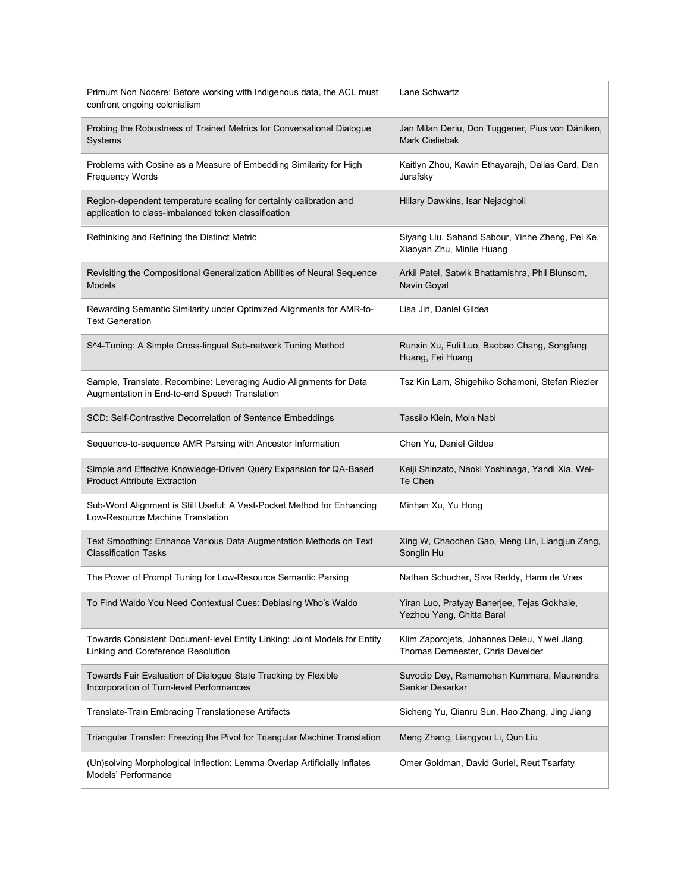| Primum Non Nocere: Before working with Indigenous data, the ACL must<br>confront ongoing colonialism                       | Lane Schwartz                                                                     |
|----------------------------------------------------------------------------------------------------------------------------|-----------------------------------------------------------------------------------|
| Probing the Robustness of Trained Metrics for Conversational Dialogue<br>Systems                                           | Jan Milan Deriu, Don Tuggener, Pius von Däniken,<br><b>Mark Cieliebak</b>         |
| Problems with Cosine as a Measure of Embedding Similarity for High<br><b>Frequency Words</b>                               | Kaitlyn Zhou, Kawin Ethayarajh, Dallas Card, Dan<br>Jurafsky                      |
| Region-dependent temperature scaling for certainty calibration and<br>application to class-imbalanced token classification | Hillary Dawkins, Isar Nejadgholi                                                  |
| Rethinking and Refining the Distinct Metric                                                                                | Siyang Liu, Sahand Sabour, Yinhe Zheng, Pei Ke,<br>Xiaoyan Zhu, Minlie Huang      |
| Revisiting the Compositional Generalization Abilities of Neural Sequence<br><b>Models</b>                                  | Arkil Patel, Satwik Bhattamishra, Phil Blunsom,<br>Navin Goyal                    |
| Rewarding Semantic Similarity under Optimized Alignments for AMR-to-<br><b>Text Generation</b>                             | Lisa Jin, Daniel Gildea                                                           |
| S^4-Tuning: A Simple Cross-lingual Sub-network Tuning Method                                                               | Runxin Xu, Fuli Luo, Baobao Chang, Songfang<br>Huang, Fei Huang                   |
| Sample, Translate, Recombine: Leveraging Audio Alignments for Data<br>Augmentation in End-to-end Speech Translation        | Tsz Kin Lam, Shigehiko Schamoni, Stefan Riezler                                   |
| SCD: Self-Contrastive Decorrelation of Sentence Embeddings                                                                 | Tassilo Klein, Moin Nabi                                                          |
| Sequence-to-sequence AMR Parsing with Ancestor Information                                                                 | Chen Yu, Daniel Gildea                                                            |
| Simple and Effective Knowledge-Driven Query Expansion for QA-Based<br><b>Product Attribute Extraction</b>                  | Keiji Shinzato, Naoki Yoshinaga, Yandi Xia, Wei-<br>Te Chen                       |
| Sub-Word Alignment is Still Useful: A Vest-Pocket Method for Enhancing<br>Low-Resource Machine Translation                 | Minhan Xu, Yu Hong                                                                |
| Text Smoothing: Enhance Various Data Augmentation Methods on Text<br><b>Classification Tasks</b>                           | Xing W, Chaochen Gao, Meng Lin, Liangjun Zang,<br>Songlin Hu                      |
| The Power of Prompt Tuning for Low-Resource Semantic Parsing                                                               | Nathan Schucher, Siva Reddy, Harm de Vries                                        |
| To Find Waldo You Need Contextual Cues: Debiasing Who's Waldo                                                              | Yiran Luo, Pratyay Banerjee, Tejas Gokhale,<br>Yezhou Yang, Chitta Baral          |
| Towards Consistent Document-level Entity Linking: Joint Models for Entity<br>Linking and Coreference Resolution            | Klim Zaporojets, Johannes Deleu, Yiwei Jiang,<br>Thomas Demeester, Chris Develder |
| Towards Fair Evaluation of Dialogue State Tracking by Flexible<br>Incorporation of Turn-level Performances                 | Suvodip Dey, Ramamohan Kummara, Maunendra<br>Sankar Desarkar                      |
| Translate-Train Embracing Translationese Artifacts                                                                         | Sicheng Yu, Qianru Sun, Hao Zhang, Jing Jiang                                     |
| Triangular Transfer: Freezing the Pivot for Triangular Machine Translation                                                 | Meng Zhang, Liangyou Li, Qun Liu                                                  |
| (Un)solving Morphological Inflection: Lemma Overlap Artificially Inflates<br>Models' Performance                           | Omer Goldman, David Guriel, Reut Tsarfaty                                         |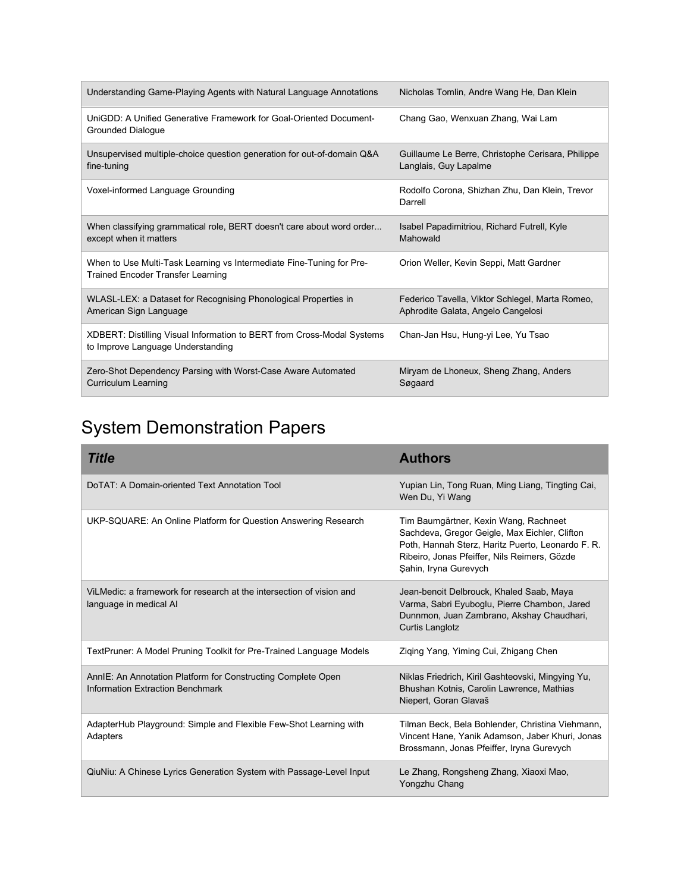| Understanding Game-Playing Agents with Natural Language Annotations                                              | Nicholas Tomlin, Andre Wang He, Dan Klein                                             |
|------------------------------------------------------------------------------------------------------------------|---------------------------------------------------------------------------------------|
| UniGDD: A Unified Generative Framework for Goal-Oriented Document-<br><b>Grounded Dialogue</b>                   | Chang Gao, Wenxuan Zhang, Wai Lam                                                     |
| Unsupervised multiple-choice question generation for out-of-domain Q&A<br>fine-tuning                            | Guillaume Le Berre, Christophe Cerisara, Philippe<br>Langlais, Guy Lapalme            |
| Voxel-informed Language Grounding                                                                                | Rodolfo Corona, Shizhan Zhu, Dan Klein, Trevor<br>Darrell                             |
| When classifying grammatical role, BERT doesn't care about word order<br>except when it matters                  | Isabel Papadimitriou, Richard Futrell, Kyle<br>Mahowald                               |
| When to Use Multi-Task Learning vs Intermediate Fine-Tuning for Pre-<br><b>Trained Encoder Transfer Learning</b> | Orion Weller, Kevin Seppi, Matt Gardner                                               |
| WLASL-LEX: a Dataset for Recognising Phonological Properties in<br>American Sign Language                        | Federico Tavella, Viktor Schlegel, Marta Romeo,<br>Aphrodite Galata, Angelo Cangelosi |
| XDBERT: Distilling Visual Information to BERT from Cross-Modal Systems<br>to Improve Language Understanding      | Chan-Jan Hsu, Hung-yi Lee, Yu Tsao                                                    |
| Zero-Shot Dependency Parsing with Worst-Case Aware Automated<br><b>Curriculum Learning</b>                       | Miryam de Lhoneux, Sheng Zhang, Anders<br>Søgaard                                     |

# System Demonstration Papers

| <b>Title</b>                                                                                            | <b>Authors</b>                                                                                                                                                                                                       |
|---------------------------------------------------------------------------------------------------------|----------------------------------------------------------------------------------------------------------------------------------------------------------------------------------------------------------------------|
| DoTAT: A Domain-oriented Text Annotation Tool                                                           | Yupian Lin, Tong Ruan, Ming Liang, Tingting Cai,<br>Wen Du, Yi Wang                                                                                                                                                  |
| UKP-SQUARE: An Online Platform for Question Answering Research                                          | Tim Baumgärtner, Kexin Wang, Rachneet<br>Sachdeva, Gregor Geigle, Max Eichler, Clifton<br>Poth, Hannah Sterz, Haritz Puerto, Leonardo F. R.<br>Ribeiro, Jonas Pfeiffer, Nils Reimers, Gözde<br>Sahin, Iryna Gurevych |
| Vil Medic: a framework for research at the intersection of vision and<br>language in medical Al         | Jean-benoit Delbrouck, Khaled Saab, Maya<br>Varma, Sabri Eyuboglu, Pierre Chambon, Jared<br>Dunnmon, Juan Zambrano, Akshay Chaudhari,<br><b>Curtis Langlotz</b>                                                      |
| TextPruner: A Model Pruning Toolkit for Pre-Trained Language Models                                     | Ziging Yang, Yiming Cui, Zhigang Chen                                                                                                                                                                                |
| AnnIE: An Annotation Platform for Constructing Complete Open<br><b>Information Extraction Benchmark</b> | Niklas Friedrich, Kiril Gashteovski, Mingying Yu,<br>Bhushan Kotnis, Carolin Lawrence, Mathias<br>Niepert, Goran Glavaš                                                                                              |
| AdapterHub Playground: Simple and Flexible Few-Shot Learning with<br>Adapters                           | Tilman Beck, Bela Bohlender, Christina Viehmann,<br>Vincent Hane, Yanik Adamson, Jaber Khuri, Jonas<br>Brossmann, Jonas Pfeiffer, Iryna Gurevych                                                                     |
| QiuNiu: A Chinese Lyrics Generation System with Passage-Level Input                                     | Le Zhang, Rongsheng Zhang, Xiaoxi Mao,<br>Yongzhu Chang                                                                                                                                                              |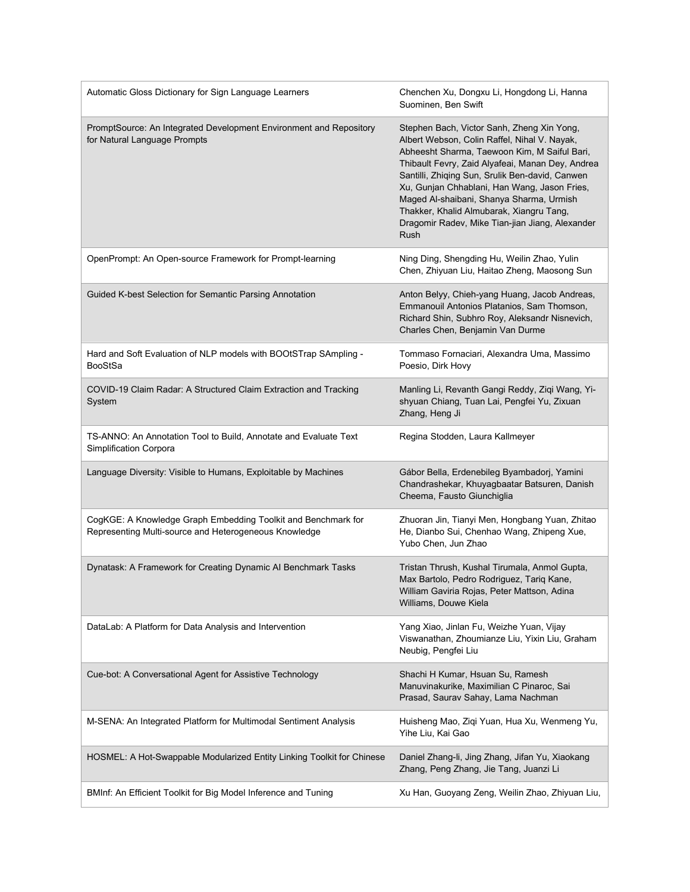| Automatic Gloss Dictionary for Sign Language Learners                                                                  | Chenchen Xu, Dongxu Li, Hongdong Li, Hanna<br>Suominen, Ben Swift                                                                                                                                                                                                                                                                                                                                                                                    |
|------------------------------------------------------------------------------------------------------------------------|------------------------------------------------------------------------------------------------------------------------------------------------------------------------------------------------------------------------------------------------------------------------------------------------------------------------------------------------------------------------------------------------------------------------------------------------------|
| PromptSource: An Integrated Development Environment and Repository<br>for Natural Language Prompts                     | Stephen Bach, Victor Sanh, Zheng Xin Yong,<br>Albert Webson, Colin Raffel, Nihal V. Nayak,<br>Abheesht Sharma, Taewoon Kim, M Saiful Bari,<br>Thibault Fevry, Zaid Alyafeai, Manan Dey, Andrea<br>Santilli, Zhiqing Sun, Srulik Ben-david, Canwen<br>Xu, Gunjan Chhablani, Han Wang, Jason Fries,<br>Maged Al-shaibani, Shanya Sharma, Urmish<br>Thakker, Khalid Almubarak, Xiangru Tang,<br>Dragomir Radev, Mike Tian-jian Jiang, Alexander<br>Rush |
| OpenPrompt: An Open-source Framework for Prompt-learning                                                               | Ning Ding, Shengding Hu, Weilin Zhao, Yulin<br>Chen, Zhiyuan Liu, Haitao Zheng, Maosong Sun                                                                                                                                                                                                                                                                                                                                                          |
| Guided K-best Selection for Semantic Parsing Annotation                                                                | Anton Belyy, Chieh-yang Huang, Jacob Andreas,<br>Emmanouil Antonios Platanios, Sam Thomson,<br>Richard Shin, Subhro Roy, Aleksandr Nisnevich,<br>Charles Chen, Benjamin Van Durme                                                                                                                                                                                                                                                                    |
| Hard and Soft Evaluation of NLP models with BOOtSTrap SAmpling -<br><b>BooStSa</b>                                     | Tommaso Fornaciari, Alexandra Uma, Massimo<br>Poesio, Dirk Hovy                                                                                                                                                                                                                                                                                                                                                                                      |
| COVID-19 Claim Radar: A Structured Claim Extraction and Tracking<br>System                                             | Manling Li, Revanth Gangi Reddy, Ziqi Wang, Yi-<br>shyuan Chiang, Tuan Lai, Pengfei Yu, Zixuan<br>Zhang, Heng Ji                                                                                                                                                                                                                                                                                                                                     |
| TS-ANNO: An Annotation Tool to Build, Annotate and Evaluate Text<br>Simplification Corpora                             | Regina Stodden, Laura Kallmeyer                                                                                                                                                                                                                                                                                                                                                                                                                      |
| Language Diversity: Visible to Humans, Exploitable by Machines                                                         | Gábor Bella, Erdenebileg Byambadorj, Yamini<br>Chandrashekar, Khuyagbaatar Batsuren, Danish<br>Cheema, Fausto Giunchiglia                                                                                                                                                                                                                                                                                                                            |
| CogKGE: A Knowledge Graph Embedding Toolkit and Benchmark for<br>Representing Multi-source and Heterogeneous Knowledge | Zhuoran Jin, Tianyi Men, Hongbang Yuan, Zhitao<br>He, Dianbo Sui, Chenhao Wang, Zhipeng Xue,<br>Yubo Chen, Jun Zhao                                                                                                                                                                                                                                                                                                                                  |
| Dynatask: A Framework for Creating Dynamic AI Benchmark Tasks                                                          | Tristan Thrush, Kushal Tirumala, Anmol Gupta,<br>Max Bartolo, Pedro Rodriguez, Tariq Kane,<br>William Gaviria Rojas, Peter Mattson, Adina<br>Williams, Douwe Kiela                                                                                                                                                                                                                                                                                   |
| DataLab: A Platform for Data Analysis and Intervention                                                                 | Yang Xiao, Jinlan Fu, Weizhe Yuan, Vijay<br>Viswanathan, Zhoumianze Liu, Yixin Liu, Graham<br>Neubig, Pengfei Liu                                                                                                                                                                                                                                                                                                                                    |
| Cue-bot: A Conversational Agent for Assistive Technology                                                               | Shachi H Kumar, Hsuan Su, Ramesh<br>Manuvinakurike, Maximilian C Pinaroc, Sai<br>Prasad, Saurav Sahay, Lama Nachman                                                                                                                                                                                                                                                                                                                                  |
| M-SENA: An Integrated Platform for Multimodal Sentiment Analysis                                                       | Huisheng Mao, Ziqi Yuan, Hua Xu, Wenmeng Yu,<br>Yihe Liu, Kai Gao                                                                                                                                                                                                                                                                                                                                                                                    |
| HOSMEL: A Hot-Swappable Modularized Entity Linking Toolkit for Chinese                                                 | Daniel Zhang-li, Jing Zhang, Jifan Yu, Xiaokang<br>Zhang, Peng Zhang, Jie Tang, Juanzi Li                                                                                                                                                                                                                                                                                                                                                            |
| BMInf: An Efficient Toolkit for Big Model Inference and Tuning                                                         | Xu Han, Guoyang Zeng, Weilin Zhao, Zhiyuan Liu,                                                                                                                                                                                                                                                                                                                                                                                                      |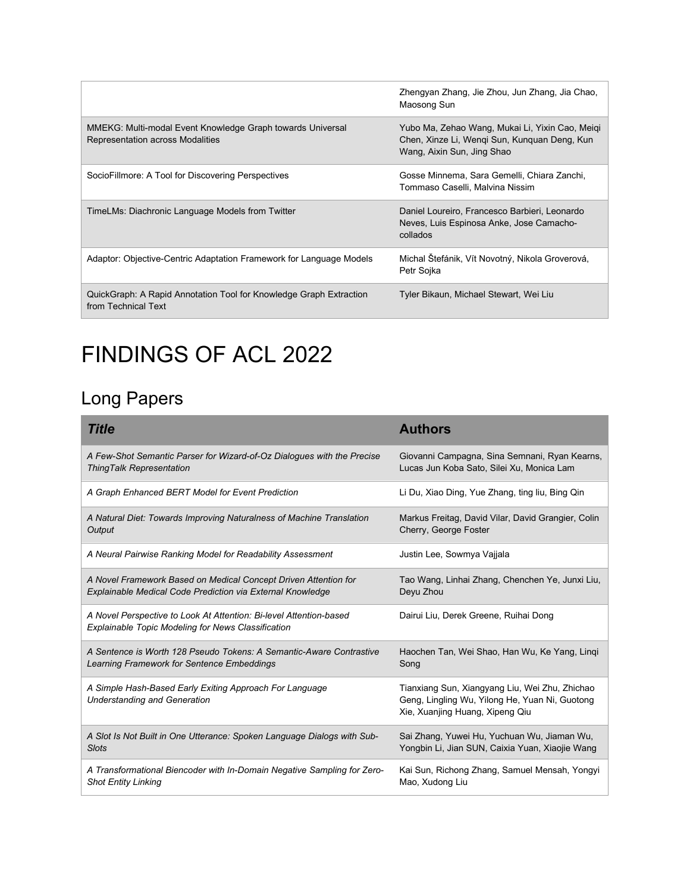|                                                                                                | Zhengyan Zhang, Jie Zhou, Jun Zhang, Jia Chao,<br>Maosong Sun                                                                 |
|------------------------------------------------------------------------------------------------|-------------------------------------------------------------------------------------------------------------------------------|
| MMEKG: Multi-modal Event Knowledge Graph towards Universal<br>Representation across Modalities | Yubo Ma, Zehao Wang, Mukai Li, Yixin Cao, Meiqi<br>Chen, Xinze Li, Wengi Sun, Kunguan Deng, Kun<br>Wang, Aixin Sun, Jing Shao |
| SocioFillmore: A Tool for Discovering Perspectives                                             | Gosse Minnema, Sara Gemelli, Chiara Zanchi,<br>Tommaso Caselli, Malvina Nissim                                                |
| TimeLMs: Diachronic Language Models from Twitter                                               | Daniel Loureiro, Francesco Barbieri, Leonardo<br>Neves, Luis Espinosa Anke, Jose Camacho-<br>collados                         |
| Adaptor: Objective-Centric Adaptation Framework for Language Models                            | Michal Štefánik, Vít Novotný, Nikola Groverová,<br>Petr Sojka                                                                 |
| QuickGraph: A Rapid Annotation Tool for Knowledge Graph Extraction<br>from Technical Text      | Tyler Bikaun, Michael Stewart, Wei Liu                                                                                        |

# <span id="page-38-1"></span>FINDINGS OF ACL 2022

### <span id="page-38-0"></span>Long Papers

| <b>Title</b>                                                                                                                    | <b>Authors</b>                                                                                                                      |
|---------------------------------------------------------------------------------------------------------------------------------|-------------------------------------------------------------------------------------------------------------------------------------|
| A Few-Shot Semantic Parser for Wizard-of-Oz Dialogues with the Precise                                                          | Giovanni Campagna, Sina Semnani, Ryan Kearns,                                                                                       |
| <b>ThingTalk Representation</b>                                                                                                 | Lucas Jun Koba Sato, Silei Xu, Monica Lam                                                                                           |
| A Graph Enhanced BERT Model for Event Prediction                                                                                | Li Du, Xiao Ding, Yue Zhang, ting liu, Bing Qin                                                                                     |
| A Natural Diet: Towards Improving Naturalness of Machine Translation                                                            | Markus Freitag, David Vilar, David Grangier, Colin                                                                                  |
| Output                                                                                                                          | Cherry, George Foster                                                                                                               |
| A Neural Pairwise Ranking Model for Readability Assessment                                                                      | Justin Lee, Sowmya Vajjala                                                                                                          |
| A Novel Framework Based on Medical Concept Driven Attention for                                                                 | Tao Wang, Linhai Zhang, Chenchen Ye, Junxi Liu,                                                                                     |
| Explainable Medical Code Prediction via External Knowledge                                                                      | Deyu Zhou                                                                                                                           |
| A Novel Perspective to Look At Attention: Bi-level Attention-based<br><b>Explainable Topic Modeling for News Classification</b> | Dairui Liu, Derek Greene, Ruihai Dong                                                                                               |
| A Sentence is Worth 128 Pseudo Tokens: A Semantic-Aware Contrastive                                                             | Haochen Tan, Wei Shao, Han Wu, Ke Yang, Lingi                                                                                       |
| Learning Framework for Sentence Embeddings                                                                                      | Song                                                                                                                                |
| A Simple Hash-Based Early Exiting Approach For Language<br><b>Understanding and Generation</b>                                  | Tianxiang Sun, Xiangyang Liu, Wei Zhu, Zhichao<br>Geng, Lingling Wu, Yilong He, Yuan Ni, Guotong<br>Xie, Xuanjing Huang, Xipeng Qiu |
| A Slot Is Not Built in One Utterance: Spoken Language Dialogs with Sub-                                                         | Sai Zhang, Yuwei Hu, Yuchuan Wu, Jiaman Wu,                                                                                         |
| <b>Slots</b>                                                                                                                    | Yongbin Li, Jian SUN, Caixia Yuan, Xiaojie Wang                                                                                     |
| A Transformational Biencoder with In-Domain Negative Sampling for Zero-                                                         | Kai Sun, Richong Zhang, Samuel Mensah, Yongyi                                                                                       |
| <b>Shot Entity Linking</b>                                                                                                      | Mao, Xudong Liu                                                                                                                     |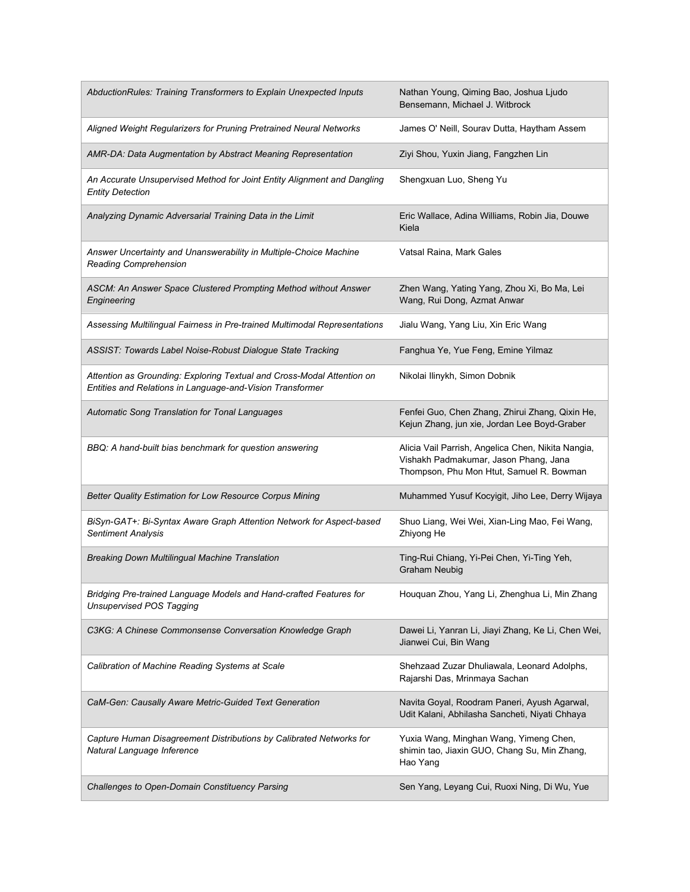| AbductionRules: Training Transformers to Explain Unexpected Inputs                                                                  | Nathan Young, Qiming Bao, Joshua Ljudo<br>Bensemann, Michael J. Witbrock                                                                |
|-------------------------------------------------------------------------------------------------------------------------------------|-----------------------------------------------------------------------------------------------------------------------------------------|
| Aligned Weight Regularizers for Pruning Pretrained Neural Networks                                                                  | James O' Neill, Sourav Dutta, Haytham Assem                                                                                             |
| AMR-DA: Data Augmentation by Abstract Meaning Representation                                                                        | Ziyi Shou, Yuxin Jiang, Fangzhen Lin                                                                                                    |
| An Accurate Unsupervised Method for Joint Entity Alignment and Dangling<br><b>Entity Detection</b>                                  | Shengxuan Luo, Sheng Yu                                                                                                                 |
| Analyzing Dynamic Adversarial Training Data in the Limit                                                                            | Eric Wallace, Adina Williams, Robin Jia, Douwe<br>Kiela                                                                                 |
| Answer Uncertainty and Unanswerability in Multiple-Choice Machine<br>Reading Comprehension                                          | Vatsal Raina, Mark Gales                                                                                                                |
| ASCM: An Answer Space Clustered Prompting Method without Answer<br>Engineering                                                      | Zhen Wang, Yating Yang, Zhou Xi, Bo Ma, Lei<br>Wang, Rui Dong, Azmat Anwar                                                              |
| Assessing Multilingual Fairness in Pre-trained Multimodal Representations                                                           | Jialu Wang, Yang Liu, Xin Eric Wang                                                                                                     |
| <b>ASSIST: Towards Label Noise-Robust Dialogue State Tracking</b>                                                                   | Fanghua Ye, Yue Feng, Emine Yilmaz                                                                                                      |
| Attention as Grounding: Exploring Textual and Cross-Modal Attention on<br>Entities and Relations in Language-and-Vision Transformer | Nikolai Ilinykh, Simon Dobnik                                                                                                           |
| Automatic Song Translation for Tonal Languages                                                                                      | Fenfei Guo, Chen Zhang, Zhirui Zhang, Qixin He,<br>Kejun Zhang, jun xie, Jordan Lee Boyd-Graber                                         |
| BBQ: A hand-built bias benchmark for question answering                                                                             | Alicia Vail Parrish, Angelica Chen, Nikita Nangia,<br>Vishakh Padmakumar, Jason Phang, Jana<br>Thompson, Phu Mon Htut, Samuel R. Bowman |
| Better Quality Estimation for Low Resource Corpus Mining                                                                            | Muhammed Yusuf Kocyigit, Jiho Lee, Derry Wijaya                                                                                         |
| BiSyn-GAT+: Bi-Syntax Aware Graph Attention Network for Aspect-based<br>Sentiment Analysis                                          | Shuo Liang, Wei Wei, Xian-Ling Mao, Fei Wang,<br>Zhiyong He                                                                             |
| <b>Breaking Down Multilingual Machine Translation</b>                                                                               |                                                                                                                                         |
|                                                                                                                                     | Ting-Rui Chiang, Yi-Pei Chen, Yi-Ting Yeh,<br><b>Graham Neubig</b>                                                                      |
| Bridging Pre-trained Language Models and Hand-crafted Features for<br><b>Unsupervised POS Tagging</b>                               | Houquan Zhou, Yang Li, Zhenghua Li, Min Zhang                                                                                           |
| C3KG: A Chinese Commonsense Conversation Knowledge Graph                                                                            | Dawei Li, Yanran Li, Jiayi Zhang, Ke Li, Chen Wei,<br>Jianwei Cui, Bin Wang                                                             |
| Calibration of Machine Reading Systems at Scale                                                                                     | Shehzaad Zuzar Dhuliawala, Leonard Adolphs,<br>Rajarshi Das, Mrinmaya Sachan                                                            |
| CaM-Gen: Causally Aware Metric-Guided Text Generation                                                                               | Navita Goyal, Roodram Paneri, Ayush Agarwal,<br>Udit Kalani, Abhilasha Sancheti, Niyati Chhaya                                          |
| Capture Human Disagreement Distributions by Calibrated Networks for<br>Natural Language Inference                                   | Yuxia Wang, Minghan Wang, Yimeng Chen,<br>shimin tao, Jiaxin GUO, Chang Su, Min Zhang,<br>Hao Yang                                      |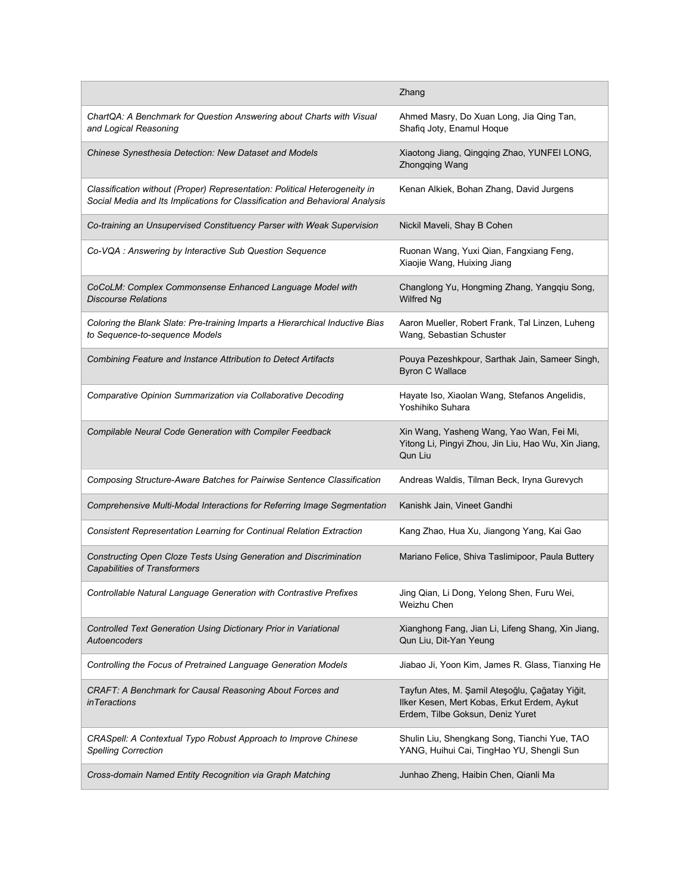|                                                                                                                                                            | Zhang                                                                                                                             |
|------------------------------------------------------------------------------------------------------------------------------------------------------------|-----------------------------------------------------------------------------------------------------------------------------------|
| ChartQA: A Benchmark for Question Answering about Charts with Visual<br>and Logical Reasoning                                                              | Ahmed Masry, Do Xuan Long, Jia Qing Tan,<br>Shafiq Joty, Enamul Hoque                                                             |
| Chinese Synesthesia Detection: New Dataset and Models                                                                                                      | Xiaotong Jiang, Qingqing Zhao, YUNFEI LONG,<br>Zhongqing Wang                                                                     |
| Classification without (Proper) Representation: Political Heterogeneity in<br>Social Media and Its Implications for Classification and Behavioral Analysis | Kenan Alkiek, Bohan Zhang, David Jurgens                                                                                          |
| Co-training an Unsupervised Constituency Parser with Weak Supervision                                                                                      | Nickil Maveli, Shay B Cohen                                                                                                       |
| Co-VQA : Answering by Interactive Sub Question Sequence                                                                                                    | Ruonan Wang, Yuxi Qian, Fangxiang Feng,<br>Xiaojie Wang, Huixing Jiang                                                            |
| CoCoLM: Complex Commonsense Enhanced Language Model with<br><b>Discourse Relations</b>                                                                     | Changlong Yu, Hongming Zhang, Yangqiu Song,<br><b>Wilfred Ng</b>                                                                  |
| Coloring the Blank Slate: Pre-training Imparts a Hierarchical Inductive Bias<br>to Sequence-to-sequence Models                                             | Aaron Mueller, Robert Frank, Tal Linzen, Luheng<br>Wang, Sebastian Schuster                                                       |
| Combining Feature and Instance Attribution to Detect Artifacts                                                                                             | Pouya Pezeshkpour, Sarthak Jain, Sameer Singh,<br><b>Byron C Wallace</b>                                                          |
| Comparative Opinion Summarization via Collaborative Decoding                                                                                               | Hayate Iso, Xiaolan Wang, Stefanos Angelidis,<br>Yoshihiko Suhara                                                                 |
| Compilable Neural Code Generation with Compiler Feedback                                                                                                   | Xin Wang, Yasheng Wang, Yao Wan, Fei Mi,<br>Yitong Li, Pingyi Zhou, Jin Liu, Hao Wu, Xin Jiang,<br>Qun Liu                        |
| Composing Structure-Aware Batches for Pairwise Sentence Classification                                                                                     | Andreas Waldis, Tilman Beck, Iryna Gurevych                                                                                       |
| Comprehensive Multi-Modal Interactions for Referring Image Segmentation                                                                                    | Kanishk Jain, Vineet Gandhi                                                                                                       |
| <b>Consistent Representation Learning for Continual Relation Extraction</b>                                                                                | Kang Zhao, Hua Xu, Jiangong Yang, Kai Gao                                                                                         |
| Constructing Open Cloze Tests Using Generation and Discrimination<br><b>Capabilities of Transformers</b>                                                   | Mariano Felice, Shiva Taslimipoor, Paula Buttery                                                                                  |
| Controllable Natural Language Generation with Contrastive Prefixes                                                                                         | Jing Qian, Li Dong, Yelong Shen, Furu Wei,<br>Weizhu Chen                                                                         |
| Controlled Text Generation Using Dictionary Prior in Variational<br>Autoencoders                                                                           | Xianghong Fang, Jian Li, Lifeng Shang, Xin Jiang,<br>Qun Liu, Dit-Yan Yeung                                                       |
| Controlling the Focus of Pretrained Language Generation Models                                                                                             | Jiabao Ji, Yoon Kim, James R. Glass, Tianxing He                                                                                  |
| CRAFT: A Benchmark for Causal Reasoning About Forces and<br><i>inTeractions</i>                                                                            | Tayfun Ates, M. Şamil Ateşoğlu, Çağatay Yiğit,<br>Ilker Kesen, Mert Kobas, Erkut Erdem, Aykut<br>Erdem, Tilbe Goksun, Deniz Yuret |
| CRASpell: A Contextual Typo Robust Approach to Improve Chinese<br><b>Spelling Correction</b>                                                               | Shulin Liu, Shengkang Song, Tianchi Yue, TAO<br>YANG, Huihui Cai, TingHao YU, Shengli Sun                                         |
| Cross-domain Named Entity Recognition via Graph Matching                                                                                                   | Junhao Zheng, Haibin Chen, Qianli Ma                                                                                              |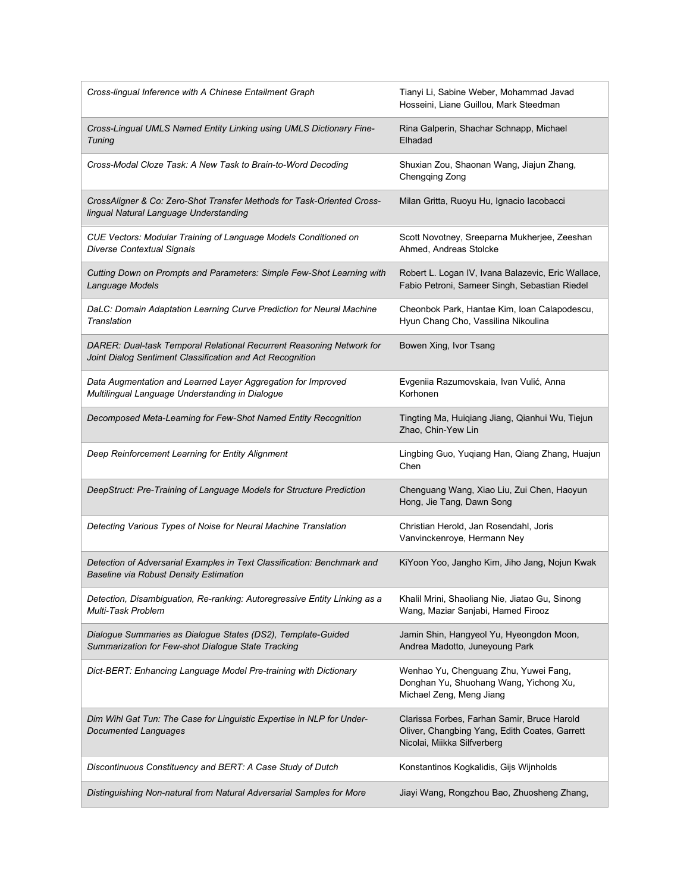| Cross-lingual Inference with A Chinese Entailment Graph                                                                           | Tianyi Li, Sabine Weber, Mohammad Javad<br>Hosseini, Liane Guillou, Mark Steedman                                           |
|-----------------------------------------------------------------------------------------------------------------------------------|-----------------------------------------------------------------------------------------------------------------------------|
| Cross-Lingual UMLS Named Entity Linking using UMLS Dictionary Fine-<br>Tuning                                                     | Rina Galperin, Shachar Schnapp, Michael<br>Elhadad                                                                          |
| Cross-Modal Cloze Task: A New Task to Brain-to-Word Decoding                                                                      | Shuxian Zou, Shaonan Wang, Jiajun Zhang,<br>Chengqing Zong                                                                  |
| CrossAligner & Co: Zero-Shot Transfer Methods for Task-Oriented Cross-<br>lingual Natural Language Understanding                  | Milan Gritta, Ruoyu Hu, Ignacio lacobacci                                                                                   |
| CUE Vectors: Modular Training of Language Models Conditioned on<br><b>Diverse Contextual Signals</b>                              | Scott Novotney, Sreeparna Mukherjee, Zeeshan<br>Ahmed, Andreas Stolcke                                                      |
| Cutting Down on Prompts and Parameters: Simple Few-Shot Learning with<br>Language Models                                          | Robert L. Logan IV, Ivana Balazevic, Eric Wallace,<br>Fabio Petroni, Sameer Singh, Sebastian Riedel                         |
| DaLC: Domain Adaptation Learning Curve Prediction for Neural Machine<br>Translation                                               | Cheonbok Park, Hantae Kim, Ioan Calapodescu,<br>Hyun Chang Cho, Vassilina Nikoulina                                         |
| DARER: Dual-task Temporal Relational Recurrent Reasoning Network for<br>Joint Dialog Sentiment Classification and Act Recognition | Bowen Xing, Ivor Tsang                                                                                                      |
| Data Augmentation and Learned Layer Aggregation for Improved<br>Multilingual Language Understanding in Dialogue                   | Evgeniia Razumovskaia, Ivan Vulić, Anna<br>Korhonen                                                                         |
| Decomposed Meta-Learning for Few-Shot Named Entity Recognition                                                                    | Tingting Ma, Huiqiang Jiang, Qianhui Wu, Tiejun<br>Zhao, Chin-Yew Lin                                                       |
|                                                                                                                                   |                                                                                                                             |
| Deep Reinforcement Learning for Entity Alignment                                                                                  | Lingbing Guo, Yuqiang Han, Qiang Zhang, Huajun<br>Chen                                                                      |
| DeepStruct: Pre-Training of Language Models for Structure Prediction                                                              | Chenguang Wang, Xiao Liu, Zui Chen, Haoyun<br>Hong, Jie Tang, Dawn Song                                                     |
| Detecting Various Types of Noise for Neural Machine Translation                                                                   | Christian Herold, Jan Rosendahl, Joris<br>Vanvinckenroye, Hermann Ney                                                       |
| Detection of Adversarial Examples in Text Classification: Benchmark and<br><b>Baseline via Robust Density Estimation</b>          | KiYoon Yoo, Jangho Kim, Jiho Jang, Nojun Kwak                                                                               |
| Detection, Disambiguation, Re-ranking: Autoregressive Entity Linking as a<br>Multi-Task Problem                                   | Khalil Mrini, Shaoliang Nie, Jiatao Gu, Sinong<br>Wang, Maziar Sanjabi, Hamed Firooz                                        |
| Dialogue Summaries as Dialogue States (DS2), Template-Guided<br>Summarization for Few-shot Dialogue State Tracking                | Jamin Shin, Hangyeol Yu, Hyeongdon Moon,<br>Andrea Madotto, Juneyoung Park                                                  |
| Dict-BERT: Enhancing Language Model Pre-training with Dictionary                                                                  | Wenhao Yu, Chenguang Zhu, Yuwei Fang,<br>Donghan Yu, Shuohang Wang, Yichong Xu,<br>Michael Zeng, Meng Jiang                 |
| Dim Wihl Gat Tun: The Case for Linguistic Expertise in NLP for Under-<br><b>Documented Languages</b>                              | Clarissa Forbes, Farhan Samir, Bruce Harold<br>Oliver, Changbing Yang, Edith Coates, Garrett<br>Nicolai, Miikka Silfverberg |
| Discontinuous Constituency and BERT: A Case Study of Dutch                                                                        | Konstantinos Kogkalidis, Gijs Wijnholds                                                                                     |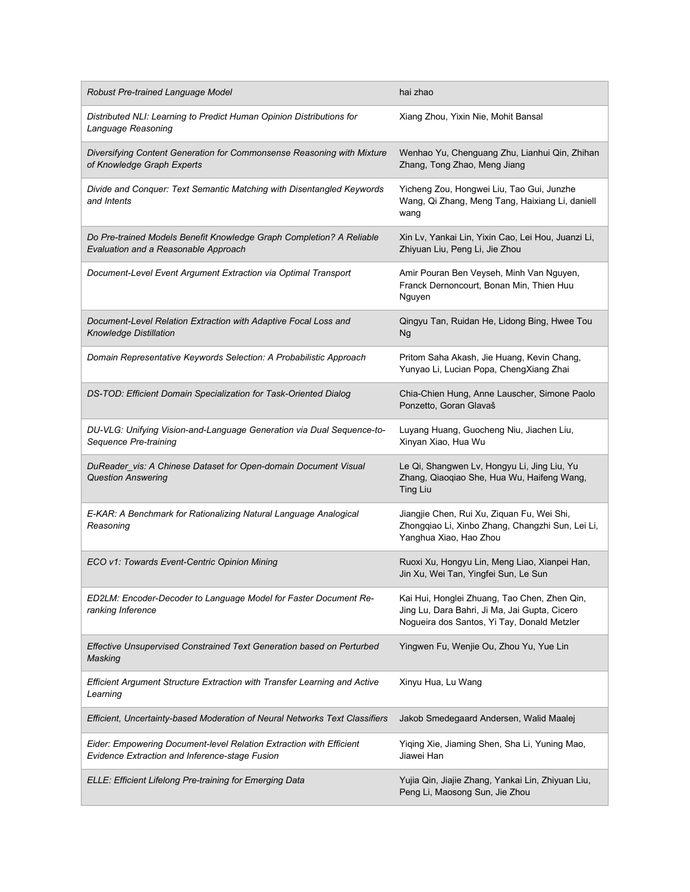| Robust Pre-trained Language Model                                                                                     | hai zhao                                                                                                                                     |
|-----------------------------------------------------------------------------------------------------------------------|----------------------------------------------------------------------------------------------------------------------------------------------|
| Distributed NLI: Learning to Predict Human Opinion Distributions for<br>Language Reasoning                            | Xiang Zhou, Yixin Nie, Mohit Bansal                                                                                                          |
| Diversifying Content Generation for Commonsense Reasoning with Mixture<br>of Knowledge Graph Experts                  | Wenhao Yu, Chenguang Zhu, Lianhui Qin, Zhihan<br>Zhang, Tong Zhao, Meng Jiang                                                                |
| Divide and Conquer: Text Semantic Matching with Disentangled Keywords<br>and Intents                                  | Yicheng Zou, Hongwei Liu, Tao Gui, Junzhe<br>Wang, Qi Zhang, Meng Tang, Haixiang Li, daniell<br>wang                                         |
| Do Pre-trained Models Benefit Knowledge Graph Completion? A Reliable<br>Evaluation and a Reasonable Approach          | Xin Lv, Yankai Lin, Yixin Cao, Lei Hou, Juanzi Li,<br>Zhiyuan Liu, Peng Li, Jie Zhou                                                         |
| Document-Level Event Argument Extraction via Optimal Transport                                                        | Amir Pouran Ben Veyseh, Minh Van Nguyen,<br>Franck Dernoncourt, Bonan Min, Thien Huu<br>Nguyen                                               |
| Document-Level Relation Extraction with Adaptive Focal Loss and<br>Knowledge Distillation                             | Qingyu Tan, Ruidan He, Lidong Bing, Hwee Tou<br>Ng                                                                                           |
| Domain Representative Keywords Selection: A Probabilistic Approach                                                    | Pritom Saha Akash, Jie Huang, Kevin Chang,<br>Yunyao Li, Lucian Popa, ChengXiang Zhai                                                        |
| DS-TOD: Efficient Domain Specialization for Task-Oriented Dialog                                                      | Chia-Chien Hung, Anne Lauscher, Simone Paolo<br>Ponzetto, Goran Glavaš                                                                       |
| DU-VLG: Unifying Vision-and-Language Generation via Dual Sequence-to-<br>Sequence Pre-training                        | Luyang Huang, Guocheng Niu, Jiachen Liu,<br>Xinyan Xiao, Hua Wu                                                                              |
| DuReader_vis: A Chinese Dataset for Open-domain Document Visual<br><b>Question Answering</b>                          | Le Qi, Shangwen Lv, Hongyu Li, Jing Liu, Yu<br>Zhang, Qiaoqiao She, Hua Wu, Haifeng Wang,<br><b>Ting Liu</b>                                 |
| E-KAR: A Benchmark for Rationalizing Natural Language Analogical<br>Reasoning                                         | Jiangjie Chen, Rui Xu, Ziquan Fu, Wei Shi,<br>Zhongqiao Li, Xinbo Zhang, Changzhi Sun, Lei Li,<br>Yanghua Xiao, Hao Zhou                     |
| ECO v1: Towards Event-Centric Opinion Mining                                                                          | Ruoxi Xu, Hongyu Lin, Meng Liao, Xianpei Han,<br>Jin Xu, Wei Tan, Yingfei Sun, Le Sun                                                        |
| ED2LM: Encoder-Decoder to Language Model for Faster Document Re-<br>ranking Inference                                 | Kai Hui, Honglei Zhuang, Tao Chen, Zhen Qin,<br>Jing Lu, Dara Bahri, Ji Ma, Jai Gupta, Cicero<br>Nogueira dos Santos, Yi Tay, Donald Metzler |
| Effective Unsupervised Constrained Text Generation based on Perturbed<br>Masking                                      | Yingwen Fu, Wenjie Ou, Zhou Yu, Yue Lin                                                                                                      |
| Efficient Argument Structure Extraction with Transfer Learning and Active<br>Learning                                 | Xinyu Hua, Lu Wang                                                                                                                           |
| Efficient, Uncertainty-based Moderation of Neural Networks Text Classifiers                                           | Jakob Smedegaard Andersen, Walid Maalej                                                                                                      |
| Eider: Empowering Document-level Relation Extraction with Efficient<br>Evidence Extraction and Inference-stage Fusion | Yiqing Xie, Jiaming Shen, Sha Li, Yuning Mao,<br>Jiawei Han                                                                                  |
| ELLE: Efficient Lifelong Pre-training for Emerging Data                                                               | Yujia Qin, Jiajie Zhang, Yankai Lin, Zhiyuan Liu,<br>Peng Li, Maosong Sun, Jie Zhou                                                          |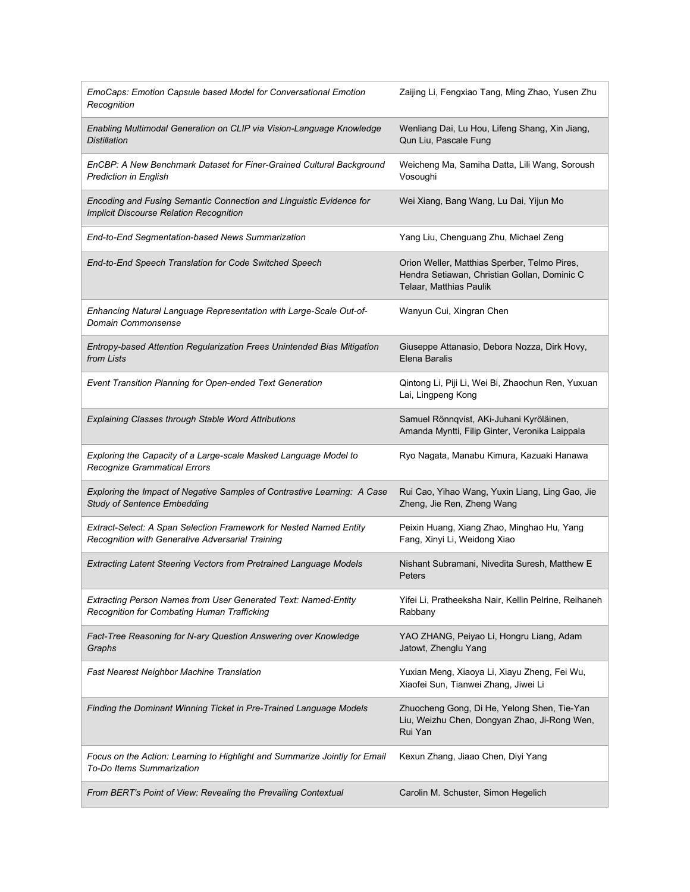| EmoCaps: Emotion Capsule based Model for Conversational Emotion<br>Recognition                                         | Zaijing Li, Fengxiao Tang, Ming Zhao, Yusen Zhu                                                                         |
|------------------------------------------------------------------------------------------------------------------------|-------------------------------------------------------------------------------------------------------------------------|
| Enabling Multimodal Generation on CLIP via Vision-Language Knowledge<br><b>Distillation</b>                            | Wenliang Dai, Lu Hou, Lifeng Shang, Xin Jiang,<br>Qun Liu, Pascale Fung                                                 |
| EnCBP: A New Benchmark Dataset for Finer-Grained Cultural Background<br><b>Prediction in English</b>                   | Weicheng Ma, Samiha Datta, Lili Wang, Soroush<br>Vosoughi                                                               |
| Encoding and Fusing Semantic Connection and Linguistic Evidence for<br>Implicit Discourse Relation Recognition         | Wei Xiang, Bang Wang, Lu Dai, Yijun Mo                                                                                  |
| End-to-End Segmentation-based News Summarization                                                                       | Yang Liu, Chenguang Zhu, Michael Zeng                                                                                   |
| End-to-End Speech Translation for Code Switched Speech                                                                 | Orion Weller, Matthias Sperber, Telmo Pires,<br>Hendra Setiawan, Christian Gollan, Dominic C<br>Telaar, Matthias Paulik |
| Enhancing Natural Language Representation with Large-Scale Out-of-<br>Domain Commonsense                               | Wanyun Cui, Xingran Chen                                                                                                |
| Entropy-based Attention Regularization Frees Unintended Bias Mitigation<br>from Lists                                  | Giuseppe Attanasio, Debora Nozza, Dirk Hovy,<br>Elena Baralis                                                           |
| Event Transition Planning for Open-ended Text Generation                                                               | Qintong Li, Piji Li, Wei Bi, Zhaochun Ren, Yuxuan<br>Lai, Lingpeng Kong                                                 |
| Explaining Classes through Stable Word Attributions                                                                    | Samuel Rönnqvist, AKi-Juhani Kyröläinen,<br>Amanda Myntti, Filip Ginter, Veronika Laippala                              |
| Exploring the Capacity of a Large-scale Masked Language Model to<br><b>Recognize Grammatical Errors</b>                | Ryo Nagata, Manabu Kimura, Kazuaki Hanawa                                                                               |
| Exploring the Impact of Negative Samples of Contrastive Learning: A Case<br>Study of Sentence Embedding                | Rui Cao, Yihao Wang, Yuxin Liang, Ling Gao, Jie<br>Zheng, Jie Ren, Zheng Wang                                           |
| Extract-Select: A Span Selection Framework for Nested Named Entity<br>Recognition with Generative Adversarial Training | Peixin Huang, Xiang Zhao, Minghao Hu, Yang<br>Fang, Xinyi Li, Weidong Xiao                                              |
| Extracting Latent Steering Vectors from Pretrained Language Models                                                     | Nishant Subramani, Nivedita Suresh, Matthew E<br>Peters                                                                 |
| <b>Extracting Person Names from User Generated Text: Named-Entity</b><br>Recognition for Combating Human Trafficking   | Yifei Li, Pratheeksha Nair, Kellin Pelrine, Reihaneh<br>Rabbany                                                         |
| Fact-Tree Reasoning for N-ary Question Answering over Knowledge<br>Graphs                                              | YAO ZHANG, Peiyao Li, Hongru Liang, Adam<br>Jatowt, Zhenglu Yang                                                        |
| Fast Nearest Neighbor Machine Translation                                                                              | Yuxian Meng, Xiaoya Li, Xiayu Zheng, Fei Wu,<br>Xiaofei Sun, Tianwei Zhang, Jiwei Li                                    |
| Finding the Dominant Winning Ticket in Pre-Trained Language Models                                                     | Zhuocheng Gong, Di He, Yelong Shen, Tie-Yan<br>Liu, Weizhu Chen, Dongyan Zhao, Ji-Rong Wen,<br>Rui Yan                  |
| Focus on the Action: Learning to Highlight and Summarize Jointly for Email<br>To-Do Items Summarization                | Kexun Zhang, Jiaao Chen, Diyi Yang                                                                                      |
| From BERT's Point of View: Revealing the Prevailing Contextual                                                         | Carolin M. Schuster, Simon Hegelich                                                                                     |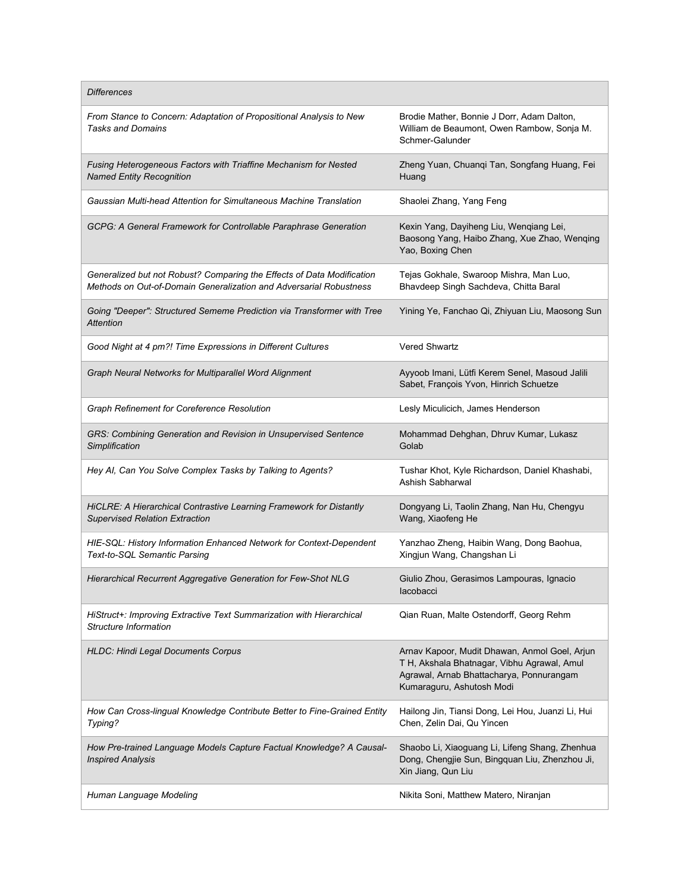| <b>Differences</b>                                                                                                                           |                                                                                                                                                                       |
|----------------------------------------------------------------------------------------------------------------------------------------------|-----------------------------------------------------------------------------------------------------------------------------------------------------------------------|
| From Stance to Concern: Adaptation of Propositional Analysis to New<br><b>Tasks and Domains</b>                                              | Brodie Mather, Bonnie J Dorr, Adam Dalton,<br>William de Beaumont, Owen Rambow, Sonja M.<br>Schmer-Galunder                                                           |
| Fusing Heterogeneous Factors with Triaffine Mechanism for Nested<br><b>Named Entity Recognition</b>                                          | Zheng Yuan, Chuanqi Tan, Songfang Huang, Fei<br>Huang                                                                                                                 |
| Gaussian Multi-head Attention for Simultaneous Machine Translation                                                                           | Shaolei Zhang, Yang Feng                                                                                                                                              |
| GCPG: A General Framework for Controllable Paraphrase Generation                                                                             | Kexin Yang, Dayiheng Liu, Wenqiang Lei,<br>Baosong Yang, Haibo Zhang, Xue Zhao, Wenqing<br>Yao, Boxing Chen                                                           |
| Generalized but not Robust? Comparing the Effects of Data Modification<br>Methods on Out-of-Domain Generalization and Adversarial Robustness | Tejas Gokhale, Swaroop Mishra, Man Luo,<br>Bhavdeep Singh Sachdeva, Chitta Baral                                                                                      |
| Going "Deeper": Structured Sememe Prediction via Transformer with Tree<br><b>Attention</b>                                                   | Yining Ye, Fanchao Qi, Zhiyuan Liu, Maosong Sun                                                                                                                       |
| Good Night at 4 pm?! Time Expressions in Different Cultures                                                                                  | <b>Vered Shwartz</b>                                                                                                                                                  |
| Graph Neural Networks for Multiparallel Word Alignment                                                                                       | Ayyoob Imani, Lütfi Kerem Senel, Masoud Jalili<br>Sabet, François Yvon, Hinrich Schuetze                                                                              |
| Graph Refinement for Coreference Resolution                                                                                                  | Lesly Miculicich, James Henderson                                                                                                                                     |
| GRS: Combining Generation and Revision in Unsupervised Sentence<br>Simplification                                                            | Mohammad Dehghan, Dhruv Kumar, Lukasz<br>Golab                                                                                                                        |
| Hey AI, Can You Solve Complex Tasks by Talking to Agents?                                                                                    | Tushar Khot, Kyle Richardson, Daniel Khashabi,<br>Ashish Sabharwal                                                                                                    |
| HiCLRE: A Hierarchical Contrastive Learning Framework for Distantly<br><b>Supervised Relation Extraction</b>                                 | Dongyang Li, Taolin Zhang, Nan Hu, Chengyu<br>Wang, Xiaofeng He                                                                                                       |
| HIE-SQL: History Information Enhanced Network for Context-Dependent<br>Text-to-SQL Semantic Parsing                                          | Yanzhao Zheng, Haibin Wang, Dong Baohua,<br>Xingjun Wang, Changshan Li                                                                                                |
| Hierarchical Recurrent Aggregative Generation for Few-Shot NLG                                                                               | Giulio Zhou, Gerasimos Lampouras, Ignacio<br>lacobacci                                                                                                                |
| HiStruct+: Improving Extractive Text Summarization with Hierarchical<br>Structure Information                                                | Qian Ruan, Malte Ostendorff, Georg Rehm                                                                                                                               |
| <b>HLDC: Hindi Legal Documents Corpus</b>                                                                                                    | Arnav Kapoor, Mudit Dhawan, Anmol Goel, Arjun<br>T H, Akshala Bhatnagar, Vibhu Agrawal, Amul<br>Agrawal, Arnab Bhattacharya, Ponnurangam<br>Kumaraguru, Ashutosh Modi |
| How Can Cross-lingual Knowledge Contribute Better to Fine-Grained Entity<br>Typing?                                                          | Hailong Jin, Tiansi Dong, Lei Hou, Juanzi Li, Hui<br>Chen, Zelin Dai, Qu Yincen                                                                                       |
| How Pre-trained Language Models Capture Factual Knowledge? A Causal-<br><b>Inspired Analysis</b>                                             | Shaobo Li, Xiaoguang Li, Lifeng Shang, Zhenhua<br>Dong, Chengjie Sun, Bingquan Liu, Zhenzhou Ji,<br>Xin Jiang, Qun Liu                                                |
| Human Language Modeling                                                                                                                      | Nikita Soni, Matthew Matero, Niranjan                                                                                                                                 |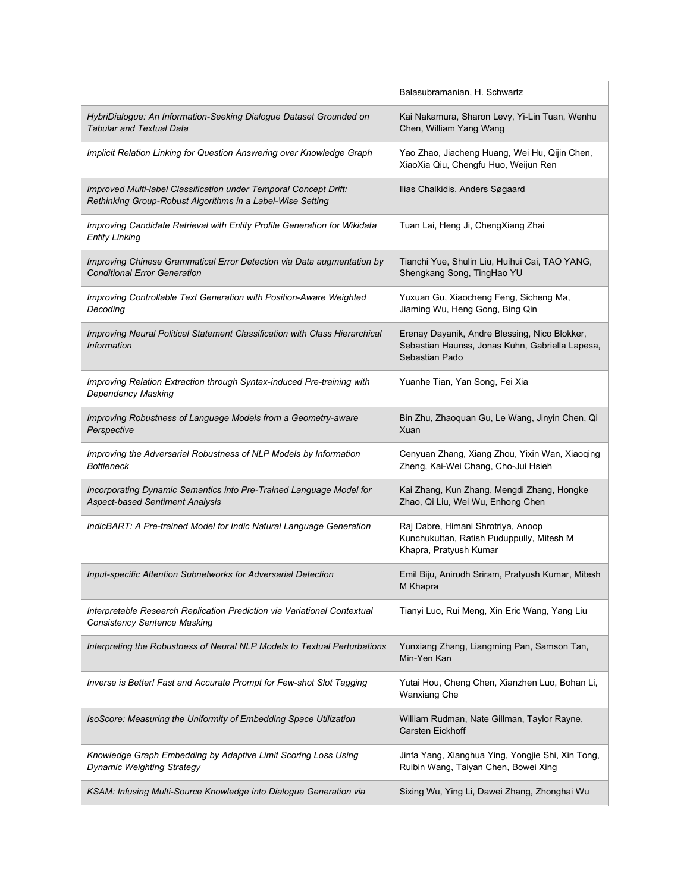|                                                                                                                                 | Balasubramanian, H. Schwartz                                                                                       |
|---------------------------------------------------------------------------------------------------------------------------------|--------------------------------------------------------------------------------------------------------------------|
| HybriDialogue: An Information-Seeking Dialogue Dataset Grounded on<br><b>Tabular and Textual Data</b>                           | Kai Nakamura, Sharon Levy, Yi-Lin Tuan, Wenhu<br>Chen, William Yang Wang                                           |
| Implicit Relation Linking for Question Answering over Knowledge Graph                                                           | Yao Zhao, Jiacheng Huang, Wei Hu, Qijin Chen,<br>XiaoXia Qiu, Chengfu Huo, Weijun Ren                              |
| Improved Multi-label Classification under Temporal Concept Drift:<br>Rethinking Group-Robust Algorithms in a Label-Wise Setting | Ilias Chalkidis, Anders Søgaard                                                                                    |
| Improving Candidate Retrieval with Entity Profile Generation for Wikidata<br><b>Entity Linking</b>                              | Tuan Lai, Heng Ji, ChengXiang Zhai                                                                                 |
| Improving Chinese Grammatical Error Detection via Data augmentation by<br><b>Conditional Error Generation</b>                   | Tianchi Yue, Shulin Liu, Huihui Cai, TAO YANG,<br>Shengkang Song, TingHao YU                                       |
| Improving Controllable Text Generation with Position-Aware Weighted<br>Decoding                                                 | Yuxuan Gu, Xiaocheng Feng, Sicheng Ma,<br>Jiaming Wu, Heng Gong, Bing Qin                                          |
| Improving Neural Political Statement Classification with Class Hierarchical<br><b>Information</b>                               | Erenay Dayanik, Andre Blessing, Nico Blokker,<br>Sebastian Haunss, Jonas Kuhn, Gabriella Lapesa,<br>Sebastian Pado |
| Improving Relation Extraction through Syntax-induced Pre-training with<br><b>Dependency Masking</b>                             | Yuanhe Tian, Yan Song, Fei Xia                                                                                     |
| Improving Robustness of Language Models from a Geometry-aware<br>Perspective                                                    | Bin Zhu, Zhaoquan Gu, Le Wang, Jinyin Chen, Qi<br>Xuan                                                             |
| Improving the Adversarial Robustness of NLP Models by Information<br><b>Bottleneck</b>                                          | Cenyuan Zhang, Xiang Zhou, Yixin Wan, Xiaoqing<br>Zheng, Kai-Wei Chang, Cho-Jui Hsieh                              |
| Incorporating Dynamic Semantics into Pre-Trained Language Model for<br><b>Aspect-based Sentiment Analysis</b>                   | Kai Zhang, Kun Zhang, Mengdi Zhang, Hongke<br>Zhao, Qi Liu, Wei Wu, Enhong Chen                                    |
| IndicBART: A Pre-trained Model for Indic Natural Language Generation                                                            | Raj Dabre, Himani Shrotriya, Anoop<br>Kunchukuttan, Ratish Puduppully, Mitesh M<br>Khapra, Pratyush Kumar          |
| Input-specific Attention Subnetworks for Adversarial Detection                                                                  | Emil Biju, Anirudh Sriram, Pratyush Kumar, Mitesh<br>M Khapra                                                      |
| Interpretable Research Replication Prediction via Variational Contextual<br><b>Consistency Sentence Masking</b>                 | Tianyi Luo, Rui Meng, Xin Eric Wang, Yang Liu                                                                      |
| Interpreting the Robustness of Neural NLP Models to Textual Perturbations                                                       | Yunxiang Zhang, Liangming Pan, Samson Tan,<br>Min-Yen Kan                                                          |
| Inverse is Better! Fast and Accurate Prompt for Few-shot Slot Tagging                                                           | Yutai Hou, Cheng Chen, Xianzhen Luo, Bohan Li,<br>Wanxiang Che                                                     |
| IsoScore: Measuring the Uniformity of Embedding Space Utilization                                                               | William Rudman, Nate Gillman, Taylor Rayne,<br>Carsten Eickhoff                                                    |
| Knowledge Graph Embedding by Adaptive Limit Scoring Loss Using<br>Dynamic Weighting Strategy                                    | Jinfa Yang, Xianghua Ying, Yongjie Shi, Xin Tong,<br>Ruibin Wang, Taiyan Chen, Bowei Xing                          |
| KSAM: Infusing Multi-Source Knowledge into Dialogue Generation via                                                              | Sixing Wu, Ying Li, Dawei Zhang, Zhonghai Wu                                                                       |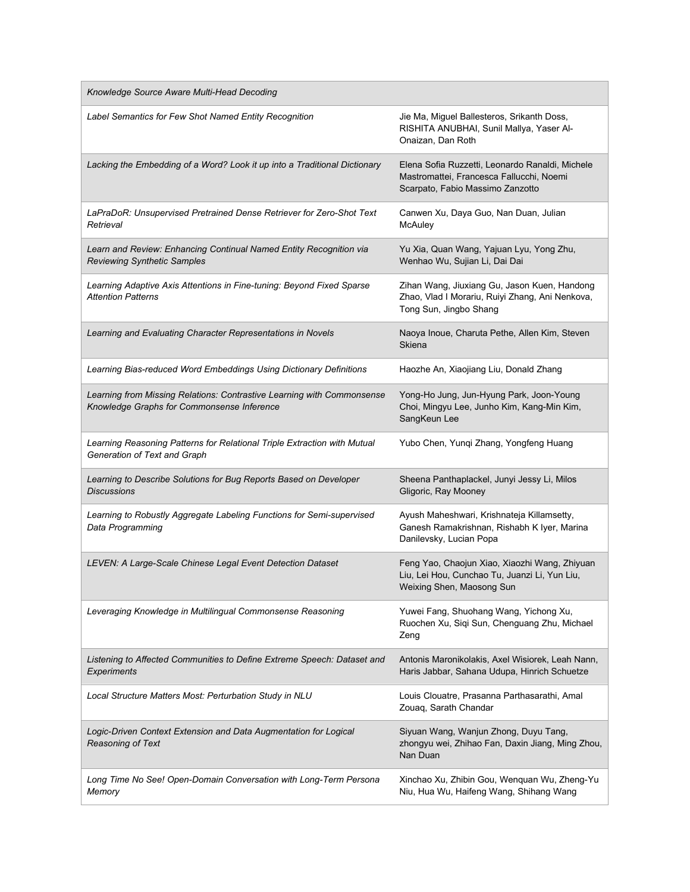| Knowledge Source Aware Multi-Head Decoding                                                                           |                                                                                                                                 |
|----------------------------------------------------------------------------------------------------------------------|---------------------------------------------------------------------------------------------------------------------------------|
| Label Semantics for Few Shot Named Entity Recognition                                                                | Jie Ma, Miguel Ballesteros, Srikanth Doss,<br>RISHITA ANUBHAI, Sunil Mallya, Yaser Al-<br>Onaizan, Dan Roth                     |
| Lacking the Embedding of a Word? Look it up into a Traditional Dictionary                                            | Elena Sofia Ruzzetti, Leonardo Ranaldi, Michele<br>Mastromattei, Francesca Fallucchi, Noemi<br>Scarpato, Fabio Massimo Zanzotto |
| LaPraDoR: Unsupervised Pretrained Dense Retriever for Zero-Shot Text<br>Retrieval                                    | Canwen Xu, Daya Guo, Nan Duan, Julian<br>McAuley                                                                                |
| Learn and Review: Enhancing Continual Named Entity Recognition via<br>Reviewing Synthetic Samples                    | Yu Xia, Quan Wang, Yajuan Lyu, Yong Zhu,<br>Wenhao Wu, Sujian Li, Dai Dai                                                       |
| Learning Adaptive Axis Attentions in Fine-tuning: Beyond Fixed Sparse<br><b>Attention Patterns</b>                   | Zihan Wang, Jiuxiang Gu, Jason Kuen, Handong<br>Zhao, Vlad I Morariu, Ruiyi Zhang, Ani Nenkova,<br>Tong Sun, Jingbo Shang       |
| Learning and Evaluating Character Representations in Novels                                                          | Naoya Inoue, Charuta Pethe, Allen Kim, Steven<br>Skiena                                                                         |
| Learning Bias-reduced Word Embeddings Using Dictionary Definitions                                                   | Haozhe An, Xiaojiang Liu, Donald Zhang                                                                                          |
| Learning from Missing Relations: Contrastive Learning with Commonsense<br>Knowledge Graphs for Commonsense Inference | Yong-Ho Jung, Jun-Hyung Park, Joon-Young<br>Choi, Mingyu Lee, Junho Kim, Kang-Min Kim,<br>SangKeun Lee                          |
| Learning Reasoning Patterns for Relational Triple Extraction with Mutual<br>Generation of Text and Graph             | Yubo Chen, Yunqi Zhang, Yongfeng Huang                                                                                          |
| Learning to Describe Solutions for Bug Reports Based on Developer<br><b>Discussions</b>                              | Sheena Panthaplackel, Junyi Jessy Li, Milos<br>Gligoric, Ray Mooney                                                             |
| Learning to Robustly Aggregate Labeling Functions for Semi-supervised<br>Data Programming                            | Ayush Maheshwari, Krishnateja Killamsetty,<br>Ganesh Ramakrishnan, Rishabh K Iyer, Marina<br>Danilevsky, Lucian Popa            |
| LEVEN: A Large-Scale Chinese Legal Event Detection Dataset                                                           | Feng Yao, Chaojun Xiao, Xiaozhi Wang, Zhiyuan<br>Liu, Lei Hou, Cunchao Tu, Juanzi Li, Yun Liu,<br>Weixing Shen, Maosong Sun     |
| Leveraging Knowledge in Multilingual Commonsense Reasoning                                                           | Yuwei Fang, Shuohang Wang, Yichong Xu,<br>Ruochen Xu, Siqi Sun, Chenguang Zhu, Michael<br>Zeng                                  |
| Listening to Affected Communities to Define Extreme Speech: Dataset and<br>Experiments                               | Antonis Maronikolakis, Axel Wisiorek, Leah Nann,<br>Haris Jabbar, Sahana Udupa, Hinrich Schuetze                                |
| Local Structure Matters Most: Perturbation Study in NLU                                                              | Louis Clouatre, Prasanna Parthasarathi, Amal<br>Zouaq, Sarath Chandar                                                           |
| Logic-Driven Context Extension and Data Augmentation for Logical<br>Reasoning of Text                                | Siyuan Wang, Wanjun Zhong, Duyu Tang,<br>zhongyu wei, Zhihao Fan, Daxin Jiang, Ming Zhou,<br>Nan Duan                           |
| Long Time No See! Open-Domain Conversation with Long-Term Persona<br>Memory                                          | Xinchao Xu, Zhibin Gou, Wenquan Wu, Zheng-Yu<br>Niu, Hua Wu, Haifeng Wang, Shihang Wang                                         |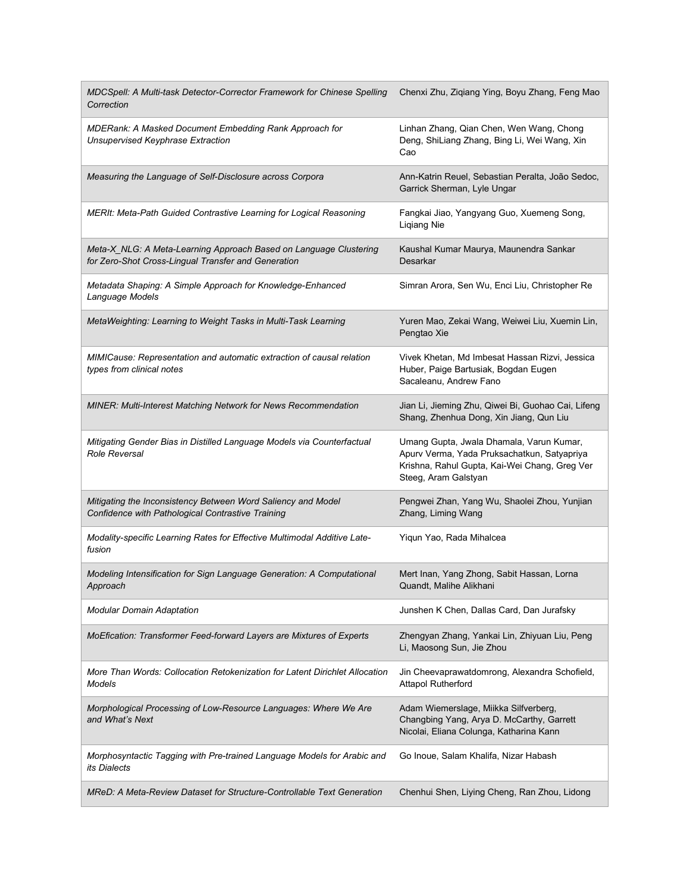| MDCSpell: A Multi-task Detector-Corrector Framework for Chinese Spelling<br>Correction                                   | Chenxi Zhu, Ziqiang Ying, Boyu Zhang, Feng Mao                                                                                                                   |
|--------------------------------------------------------------------------------------------------------------------------|------------------------------------------------------------------------------------------------------------------------------------------------------------------|
| MDERank: A Masked Document Embedding Rank Approach for<br>Unsupervised Keyphrase Extraction                              | Linhan Zhang, Qian Chen, Wen Wang, Chong<br>Deng, ShiLiang Zhang, Bing Li, Wei Wang, Xin<br>Cao                                                                  |
| Measuring the Language of Self-Disclosure across Corpora                                                                 | Ann-Katrin Reuel, Sebastian Peralta, João Sedoc,<br>Garrick Sherman, Lyle Ungar                                                                                  |
| MERIt: Meta-Path Guided Contrastive Learning for Logical Reasoning                                                       | Fangkai Jiao, Yangyang Guo, Xuemeng Song,<br>Liqiang Nie                                                                                                         |
| Meta-X_NLG: A Meta-Learning Approach Based on Language Clustering<br>for Zero-Shot Cross-Lingual Transfer and Generation | Kaushal Kumar Maurya, Maunendra Sankar<br>Desarkar                                                                                                               |
| Metadata Shaping: A Simple Approach for Knowledge-Enhanced<br>Language Models                                            | Simran Arora, Sen Wu, Enci Liu, Christopher Re                                                                                                                   |
| MetaWeighting: Learning to Weight Tasks in Multi-Task Learning                                                           | Yuren Mao, Zekai Wang, Weiwei Liu, Xuemin Lin,<br>Pengtao Xie                                                                                                    |
| MIMICause: Representation and automatic extraction of causal relation<br>types from clinical notes                       | Vivek Khetan, Md Imbesat Hassan Rizvi, Jessica<br>Huber, Paige Bartusiak, Bogdan Eugen<br>Sacaleanu, Andrew Fano                                                 |
| MINER: Multi-Interest Matching Network for News Recommendation                                                           | Jian Li, Jieming Zhu, Qiwei Bi, Guohao Cai, Lifeng<br>Shang, Zhenhua Dong, Xin Jiang, Qun Liu                                                                    |
| Mitigating Gender Bias in Distilled Language Models via Counterfactual<br><b>Role Reversal</b>                           | Umang Gupta, Jwala Dhamala, Varun Kumar,<br>Apurv Verma, Yada Pruksachatkun, Satyapriya<br>Krishna, Rahul Gupta, Kai-Wei Chang, Greg Ver<br>Steeg, Aram Galstyan |
| Mitigating the Inconsistency Between Word Saliency and Model<br>Confidence with Pathological Contrastive Training        | Pengwei Zhan, Yang Wu, Shaolei Zhou, Yunjian<br>Zhang, Liming Wang                                                                                               |
| Modality-specific Learning Rates for Effective Multimodal Additive Late-<br>fusion                                       | Yiqun Yao, Rada Mihalcea                                                                                                                                         |
| Modeling Intensification for Sign Language Generation: A Computational<br>Approach                                       | Mert Inan, Yang Zhong, Sabit Hassan, Lorna<br>Quandt, Malihe Alikhani                                                                                            |
| <b>Modular Domain Adaptation</b>                                                                                         | Junshen K Chen, Dallas Card, Dan Jurafsky                                                                                                                        |
| MoEfication: Transformer Feed-forward Layers are Mixtures of Experts                                                     | Zhengyan Zhang, Yankai Lin, Zhiyuan Liu, Peng<br>Li, Maosong Sun, Jie Zhou                                                                                       |
| More Than Words: Collocation Retokenization for Latent Dirichlet Allocation<br>Models                                    | Jin Cheevaprawatdomrong, Alexandra Schofield,<br><b>Attapol Rutherford</b>                                                                                       |
| Morphological Processing of Low-Resource Languages: Where We Are<br>and What's Next                                      | Adam Wiemerslage, Miikka Silfverberg,<br>Changbing Yang, Arya D. McCarthy, Garrett<br>Nicolai, Eliana Colunga, Katharina Kann                                    |
| Morphosyntactic Tagging with Pre-trained Language Models for Arabic and<br><i>its Dialects</i>                           | Go Inoue, Salam Khalifa, Nizar Habash                                                                                                                            |
| MReD: A Meta-Review Dataset for Structure-Controllable Text Generation                                                   | Chenhui Shen, Liying Cheng, Ran Zhou, Lidong                                                                                                                     |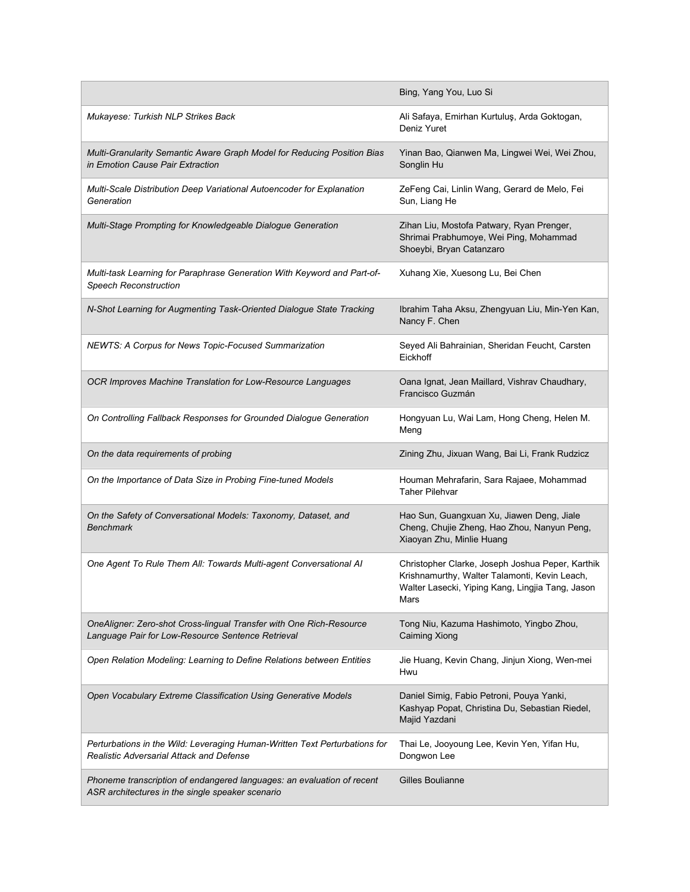|                                                                                                                               | Bing, Yang You, Luo Si                                                                                                                                        |
|-------------------------------------------------------------------------------------------------------------------------------|---------------------------------------------------------------------------------------------------------------------------------------------------------------|
| Mukayese: Turkish NLP Strikes Back                                                                                            | Ali Safaya, Emirhan Kurtuluş, Arda Goktogan,<br>Deniz Yuret                                                                                                   |
| Multi-Granularity Semantic Aware Graph Model for Reducing Position Bias<br>in Emotion Cause Pair Extraction                   | Yinan Bao, Qianwen Ma, Lingwei Wei, Wei Zhou,<br>Songlin Hu                                                                                                   |
| Multi-Scale Distribution Deep Variational Autoencoder for Explanation<br>Generation                                           | ZeFeng Cai, Linlin Wang, Gerard de Melo, Fei<br>Sun, Liang He                                                                                                 |
| Multi-Stage Prompting for Knowledgeable Dialogue Generation                                                                   | Zihan Liu, Mostofa Patwary, Ryan Prenger,<br>Shrimai Prabhumoye, Wei Ping, Mohammad<br>Shoeybi, Bryan Catanzaro                                               |
| Multi-task Learning for Paraphrase Generation With Keyword and Part-of-<br><b>Speech Reconstruction</b>                       | Xuhang Xie, Xuesong Lu, Bei Chen                                                                                                                              |
| N-Shot Learning for Augmenting Task-Oriented Dialogue State Tracking                                                          | Ibrahim Taha Aksu, Zhengyuan Liu, Min-Yen Kan,<br>Nancy F. Chen                                                                                               |
| NEWTS: A Corpus for News Topic-Focused Summarization                                                                          | Seyed Ali Bahrainian, Sheridan Feucht, Carsten<br>Eickhoff                                                                                                    |
| OCR Improves Machine Translation for Low-Resource Languages                                                                   | Oana Ignat, Jean Maillard, Vishrav Chaudhary,<br>Francisco Guzmán                                                                                             |
| On Controlling Fallback Responses for Grounded Dialogue Generation                                                            | Hongyuan Lu, Wai Lam, Hong Cheng, Helen M.<br>Meng                                                                                                            |
| On the data requirements of probing                                                                                           | Zining Zhu, Jixuan Wang, Bai Li, Frank Rudzicz                                                                                                                |
| On the Importance of Data Size in Probing Fine-tuned Models                                                                   | Houman Mehrafarin, Sara Rajaee, Mohammad<br><b>Taher Pilehvar</b>                                                                                             |
| On the Safety of Conversational Models: Taxonomy, Dataset, and<br>Benchmark                                                   | Hao Sun, Guangxuan Xu, Jiawen Deng, Jiale<br>Cheng, Chujie Zheng, Hao Zhou, Nanyun Peng,<br>Xiaoyan Zhu, Minlie Huang                                         |
| One Agent To Rule Them All: Towards Multi-agent Conversational Al                                                             | Christopher Clarke, Joseph Joshua Peper, Karthik<br>Krishnamurthy, Walter Talamonti, Kevin Leach,<br>Walter Lasecki, Yiping Kang, Lingjia Tang, Jason<br>Mars |
| OneAligner: Zero-shot Cross-lingual Transfer with One Rich-Resource<br>Language Pair for Low-Resource Sentence Retrieval      | Tong Niu, Kazuma Hashimoto, Yingbo Zhou,<br><b>Caiming Xiong</b>                                                                                              |
| Open Relation Modeling: Learning to Define Relations between Entities                                                         | Jie Huang, Kevin Chang, Jinjun Xiong, Wen-mei<br>Hwu                                                                                                          |
| Open Vocabulary Extreme Classification Using Generative Models                                                                | Daniel Simig, Fabio Petroni, Pouya Yanki,<br>Kashyap Popat, Christina Du, Sebastian Riedel,<br>Majid Yazdani                                                  |
| Perturbations in the Wild: Leveraging Human-Written Text Perturbations for<br><b>Realistic Adversarial Attack and Defense</b> | Thai Le, Jooyoung Lee, Kevin Yen, Yifan Hu,<br>Dongwon Lee                                                                                                    |
| Phoneme transcription of endangered languages: an evaluation of recent                                                        |                                                                                                                                                               |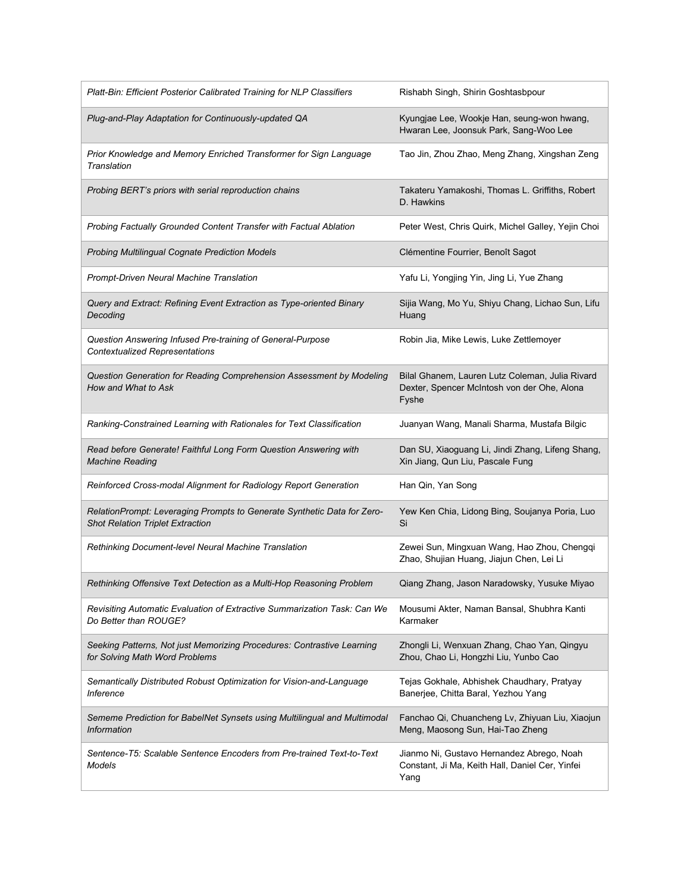| Platt-Bin: Efficient Posterior Calibrated Training for NLP Classifiers                                             | Rishabh Singh, Shirin Goshtasbpour                                                                      |
|--------------------------------------------------------------------------------------------------------------------|---------------------------------------------------------------------------------------------------------|
| Plug-and-Play Adaptation for Continuously-updated QA                                                               | Kyungjae Lee, Wookje Han, seung-won hwang,<br>Hwaran Lee, Joonsuk Park, Sang-Woo Lee                    |
| Prior Knowledge and Memory Enriched Transformer for Sign Language<br>Translation                                   | Tao Jin, Zhou Zhao, Meng Zhang, Xingshan Zeng                                                           |
| Probing BERT's priors with serial reproduction chains                                                              | Takateru Yamakoshi, Thomas L. Griffiths, Robert<br>D. Hawkins                                           |
| Probing Factually Grounded Content Transfer with Factual Ablation                                                  | Peter West, Chris Quirk, Michel Galley, Yejin Choi                                                      |
| <b>Probing Multilingual Cognate Prediction Models</b>                                                              | Clémentine Fourrier, Benoît Sagot                                                                       |
| Prompt-Driven Neural Machine Translation                                                                           | Yafu Li, Yongjing Yin, Jing Li, Yue Zhang                                                               |
| Query and Extract: Refining Event Extraction as Type-oriented Binary<br>Decoding                                   | Sijia Wang, Mo Yu, Shiyu Chang, Lichao Sun, Lifu<br>Huang                                               |
| Question Answering Infused Pre-training of General-Purpose<br><b>Contextualized Representations</b>                | Robin Jia, Mike Lewis, Luke Zettlemoyer                                                                 |
| Question Generation for Reading Comprehension Assessment by Modeling<br>How and What to Ask                        | Bilal Ghanem, Lauren Lutz Coleman, Julia Rivard<br>Dexter, Spencer McIntosh von der Ohe, Alona<br>Fyshe |
| Ranking-Constrained Learning with Rationales for Text Classification                                               | Juanyan Wang, Manali Sharma, Mustafa Bilgic                                                             |
| Read before Generate! Faithful Long Form Question Answering with<br><b>Machine Reading</b>                         | Dan SU, Xiaoguang Li, Jindi Zhang, Lifeng Shang,<br>Xin Jiang, Qun Liu, Pascale Fung                    |
| Reinforced Cross-modal Alignment for Radiology Report Generation                                                   | Han Qin, Yan Song                                                                                       |
| RelationPrompt: Leveraging Prompts to Generate Synthetic Data for Zero-<br><b>Shot Relation Triplet Extraction</b> | Yew Ken Chia, Lidong Bing, Soujanya Poria, Luo<br>Si                                                    |
| Rethinking Document-level Neural Machine Translation                                                               | Zewei Sun, Mingxuan Wang, Hao Zhou, Chengqi<br>Zhao, Shujian Huang, Jiajun Chen, Lei Li                 |
| Rethinking Offensive Text Detection as a Multi-Hop Reasoning Problem                                               | Qiang Zhang, Jason Naradowsky, Yusuke Miyao                                                             |
| Revisiting Automatic Evaluation of Extractive Summarization Task: Can We<br>Do Better than ROUGE?                  | Mousumi Akter, Naman Bansal, Shubhra Kanti<br>Karmaker                                                  |
| Seeking Patterns, Not just Memorizing Procedures: Contrastive Learning<br>for Solving Math Word Problems           | Zhongli Li, Wenxuan Zhang, Chao Yan, Qingyu<br>Zhou, Chao Li, Hongzhi Liu, Yunbo Cao                    |
| Semantically Distributed Robust Optimization for Vision-and-Language<br><b>Inference</b>                           | Tejas Gokhale, Abhishek Chaudhary, Pratyay<br>Banerjee, Chitta Baral, Yezhou Yang                       |
| Sememe Prediction for BabelNet Synsets using Multilingual and Multimodal<br>Information                            | Fanchao Qi, Chuancheng Lv, Zhiyuan Liu, Xiaojun<br>Meng, Maosong Sun, Hai-Tao Zheng                     |
| Sentence-T5: Scalable Sentence Encoders from Pre-trained Text-to-Text<br><b>Models</b>                             | Jianmo Ni, Gustavo Hernandez Abrego, Noah<br>Constant, Ji Ma, Keith Hall, Daniel Cer, Yinfei<br>Yang    |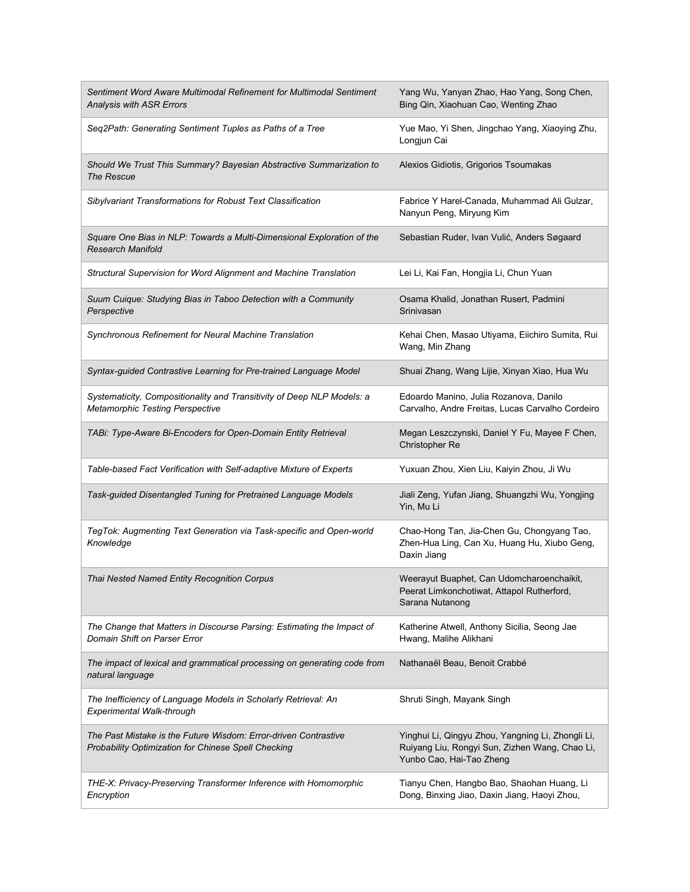| Sentiment Word Aware Multimodal Refinement for Multimodal Sentiment<br><b>Analysis with ASR Errors</b>                 | Yang Wu, Yanyan Zhao, Hao Yang, Song Chen,<br>Bing Qin, Xiaohuan Cao, Wenting Zhao                                              |
|------------------------------------------------------------------------------------------------------------------------|---------------------------------------------------------------------------------------------------------------------------------|
| Seq2Path: Generating Sentiment Tuples as Paths of a Tree                                                               | Yue Mao, Yi Shen, Jingchao Yang, Xiaoying Zhu,<br>Longjun Cai                                                                   |
| Should We Trust This Summary? Bayesian Abstractive Summarization to<br><b>The Rescue</b>                               | Alexios Gidiotis, Grigorios Tsoumakas                                                                                           |
| Sibylvariant Transformations for Robust Text Classification                                                            | Fabrice Y Harel-Canada, Muhammad Ali Gulzar,<br>Nanyun Peng, Miryung Kim                                                        |
| Square One Bias in NLP: Towards a Multi-Dimensional Exploration of the<br><b>Research Manifold</b>                     | Sebastian Ruder, Ivan Vulić, Anders Søgaard                                                                                     |
| Structural Supervision for Word Alignment and Machine Translation                                                      | Lei Li, Kai Fan, Hongjia Li, Chun Yuan                                                                                          |
| Suum Cuique: Studying Bias in Taboo Detection with a Community<br>Perspective                                          | Osama Khalid, Jonathan Rusert, Padmini<br>Srinivasan                                                                            |
| Synchronous Refinement for Neural Machine Translation                                                                  | Kehai Chen, Masao Utiyama, Eiichiro Sumita, Rui<br>Wang, Min Zhang                                                              |
| Syntax-guided Contrastive Learning for Pre-trained Language Model                                                      | Shuai Zhang, Wang Lijie, Xinyan Xiao, Hua Wu                                                                                    |
| Systematicity, Compositionality and Transitivity of Deep NLP Models: a<br><b>Metamorphic Testing Perspective</b>       | Edoardo Manino, Julia Rozanova, Danilo<br>Carvalho, Andre Freitas, Lucas Carvalho Cordeiro                                      |
| TABi: Type-Aware Bi-Encoders for Open-Domain Entity Retrieval                                                          | Megan Leszczynski, Daniel Y Fu, Mayee F Chen,<br>Christopher Re                                                                 |
| Table-based Fact Verification with Self-adaptive Mixture of Experts                                                    | Yuxuan Zhou, Xien Liu, Kaiyin Zhou, Ji Wu                                                                                       |
| Task-guided Disentangled Tuning for Pretrained Language Models                                                         | Jiali Zeng, Yufan Jiang, Shuangzhi Wu, Yongjing<br>Yin, Mu Li                                                                   |
| TegTok: Augmenting Text Generation via Task-specific and Open-world<br>Knowledge                                       | Chao-Hong Tan, Jia-Chen Gu, Chongyang Tao,<br>Zhen-Hua Ling, Can Xu, Huang Hu, Xiubo Geng,<br>Daxin Jiang                       |
| Thai Nested Named Entity Recognition Corpus                                                                            | Weerayut Buaphet, Can Udomcharoenchaikit,<br>Peerat Limkonchotiwat, Attapol Rutherford,<br>Sarana Nutanong                      |
| The Change that Matters in Discourse Parsing: Estimating the Impact of<br>Domain Shift on Parser Error                 | Katherine Atwell, Anthony Sicilia, Seong Jae<br>Hwang, Malihe Alikhani                                                          |
| The impact of lexical and grammatical processing on generating code from<br>natural language                           | Nathanaël Beau, Benoit Crabbé                                                                                                   |
| The Inefficiency of Language Models in Scholarly Retrieval: An<br><b>Experimental Walk-through</b>                     | Shruti Singh, Mayank Singh                                                                                                      |
| The Past Mistake is the Future Wisdom: Error-driven Contrastive<br>Probability Optimization for Chinese Spell Checking | Yinghui Li, Qingyu Zhou, Yangning Li, Zhongli Li,<br>Ruiyang Liu, Rongyi Sun, Zizhen Wang, Chao Li,<br>Yunbo Cao, Hai-Tao Zheng |
| THE-X: Privacy-Preserving Transformer Inference with Homomorphic<br>Encryption                                         | Tianyu Chen, Hangbo Bao, Shaohan Huang, Li<br>Dong, Binxing Jiao, Daxin Jiang, Haoyi Zhou,                                      |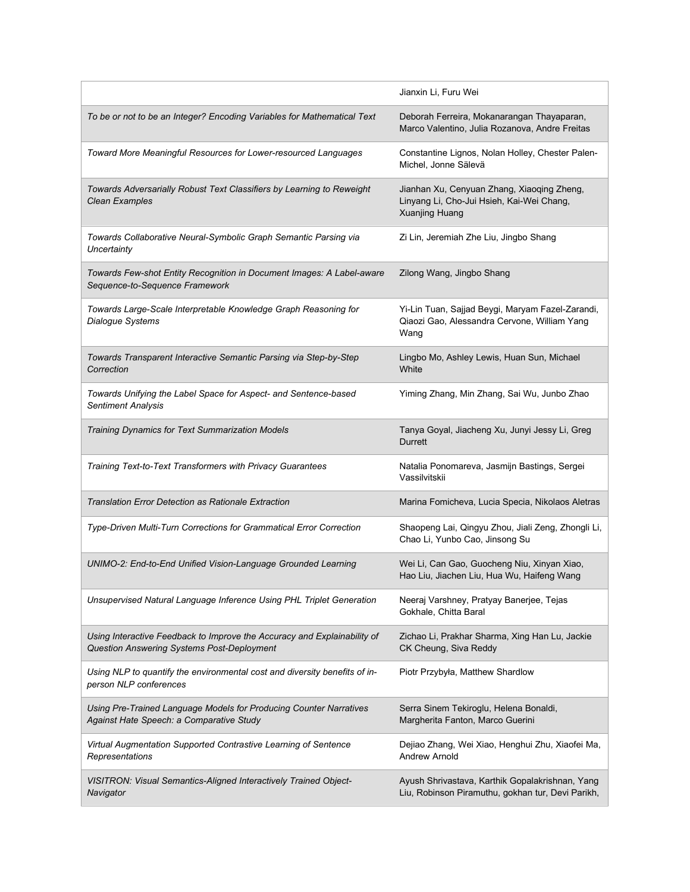|                                                                                                                        | Jianxin Li, Furu Wei                                                                                      |
|------------------------------------------------------------------------------------------------------------------------|-----------------------------------------------------------------------------------------------------------|
| To be or not to be an Integer? Encoding Variables for Mathematical Text                                                | Deborah Ferreira, Mokanarangan Thayaparan,<br>Marco Valentino, Julia Rozanova, Andre Freitas              |
| Toward More Meaningful Resources for Lower-resourced Languages                                                         | Constantine Lignos, Nolan Holley, Chester Palen-<br>Michel, Jonne Sälevä                                  |
| Towards Adversarially Robust Text Classifiers by Learning to Reweight<br>Clean Examples                                | Jianhan Xu, Cenyuan Zhang, Xiaoqing Zheng,<br>Linyang Li, Cho-Jui Hsieh, Kai-Wei Chang,<br>Xuanjing Huang |
| Towards Collaborative Neural-Symbolic Graph Semantic Parsing via<br>Uncertainty                                        | Zi Lin, Jeremiah Zhe Liu, Jingbo Shang                                                                    |
| Towards Few-shot Entity Recognition in Document Images: A Label-aware<br>Sequence-to-Sequence Framework                | Zilong Wang, Jingbo Shang                                                                                 |
| Towards Large-Scale Interpretable Knowledge Graph Reasoning for<br>Dialogue Systems                                    | Yi-Lin Tuan, Sajjad Beygi, Maryam Fazel-Zarandi,<br>Qiaozi Gao, Alessandra Cervone, William Yang<br>Wang  |
| Towards Transparent Interactive Semantic Parsing via Step-by-Step<br>Correction                                        | Lingbo Mo, Ashley Lewis, Huan Sun, Michael<br>White                                                       |
| Towards Unifying the Label Space for Aspect- and Sentence-based<br><b>Sentiment Analysis</b>                           | Yiming Zhang, Min Zhang, Sai Wu, Junbo Zhao                                                               |
| Training Dynamics for Text Summarization Models                                                                        | Tanya Goyal, Jiacheng Xu, Junyi Jessy Li, Greg<br><b>Durrett</b>                                          |
| Training Text-to-Text Transformers with Privacy Guarantees                                                             | Natalia Ponomareva, Jasmijn Bastings, Sergei<br>Vassilvitskii                                             |
| Translation Error Detection as Rationale Extraction                                                                    | Marina Fomicheva, Lucia Specia, Nikolaos Aletras                                                          |
| Type-Driven Multi-Turn Corrections for Grammatical Error Correction                                                    | Shaopeng Lai, Qingyu Zhou, Jiali Zeng, Zhongli Li,<br>Chao Li, Yunbo Cao, Jinsong Su                      |
| UNIMO-2: End-to-End Unified Vision-Language Grounded Learning                                                          | Wei Li, Can Gao, Guocheng Niu, Xinyan Xiao,<br>Hao Liu, Jiachen Liu, Hua Wu, Haifeng Wang                 |
| Unsupervised Natural Language Inference Using PHL Triplet Generation                                                   | Neeraj Varshney, Pratyay Banerjee, Tejas<br>Gokhale, Chitta Baral                                         |
| Using Interactive Feedback to Improve the Accuracy and Explainability of<br>Question Answering Systems Post-Deployment | Zichao Li, Prakhar Sharma, Xing Han Lu, Jackie<br>CK Cheung, Siva Reddy                                   |
| Using NLP to quantify the environmental cost and diversity benefits of in-<br>person NLP conferences                   | Piotr Przybyła, Matthew Shardlow                                                                          |
| Using Pre-Trained Language Models for Producing Counter Narratives<br>Against Hate Speech: a Comparative Study         | Serra Sinem Tekiroglu, Helena Bonaldi,<br>Margherita Fanton, Marco Guerini                                |
| Virtual Augmentation Supported Contrastive Learning of Sentence<br>Representations                                     | Dejiao Zhang, Wei Xiao, Henghui Zhu, Xiaofei Ma,<br><b>Andrew Arnold</b>                                  |
| VISITRON: Visual Semantics-Aligned Interactively Trained Object-<br>Navigator                                          | Ayush Shrivastava, Karthik Gopalakrishnan, Yang<br>Liu, Robinson Piramuthu, gokhan tur, Devi Parikh,      |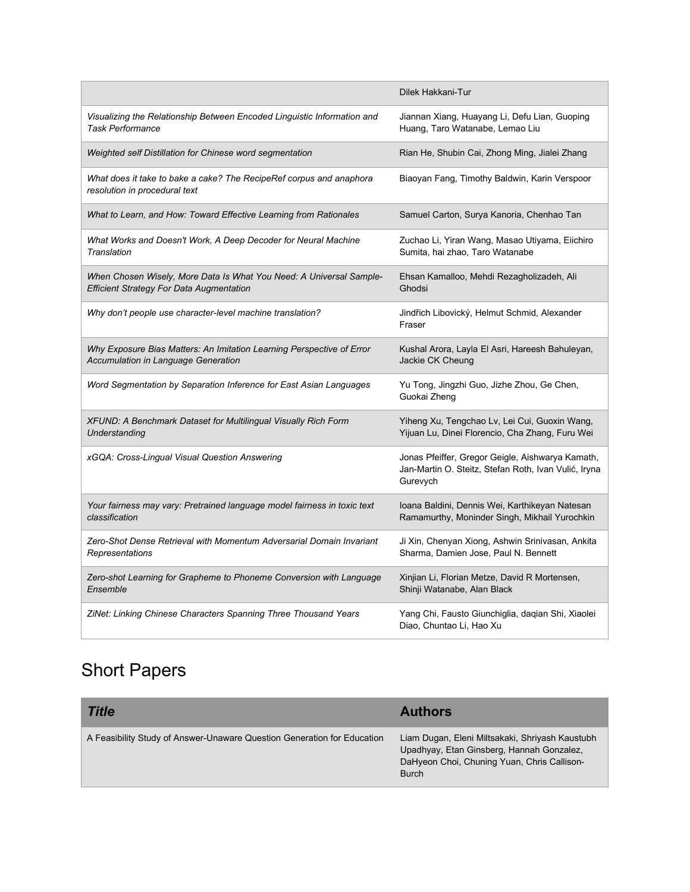|                                                                                                      | Dilek Hakkani-Tur                                                                                                    |
|------------------------------------------------------------------------------------------------------|----------------------------------------------------------------------------------------------------------------------|
| Visualizing the Relationship Between Encoded Linguistic Information and                              | Jiannan Xiang, Huayang Li, Defu Lian, Guoping                                                                        |
| <b>Task Performance</b>                                                                              | Huang, Taro Watanabe, Lemao Liu                                                                                      |
| Weighted self Distillation for Chinese word segmentation                                             | Rian He, Shubin Cai, Zhong Ming, Jialei Zhang                                                                        |
| What does it take to bake a cake? The RecipeRef corpus and anaphora<br>resolution in procedural text | Biaoyan Fang, Timothy Baldwin, Karin Verspoor                                                                        |
| What to Learn, and How: Toward Effective Learning from Rationales                                    | Samuel Carton, Surya Kanoria, Chenhao Tan                                                                            |
| What Works and Doesn't Work, A Deep Decoder for Neural Machine                                       | Zuchao Li, Yiran Wang, Masao Utiyama, Eiichiro                                                                       |
| Translation                                                                                          | Sumita, hai zhao, Taro Watanabe                                                                                      |
| When Chosen Wisely, More Data Is What You Need: A Universal Sample-                                  | Ehsan Kamalloo, Mehdi Rezagholizadeh, Ali                                                                            |
| <b>Efficient Strategy For Data Augmentation</b>                                                      | Ghodsi                                                                                                               |
| Why don't people use character-level machine translation?                                            | Jindřich Libovický, Helmut Schmid, Alexander<br>Fraser                                                               |
| Why Exposure Bias Matters: An Imitation Learning Perspective of Error                                | Kushal Arora, Layla El Asri, Hareesh Bahuleyan,                                                                      |
| Accumulation in Language Generation                                                                  | Jackie CK Cheung                                                                                                     |
| Word Segmentation by Separation Inference for East Asian Languages                                   | Yu Tong, Jingzhi Guo, Jizhe Zhou, Ge Chen,<br>Guokai Zheng                                                           |
| XFUND: A Benchmark Dataset for Multilingual Visually Rich Form                                       | Yiheng Xu, Tengchao Lv, Lei Cui, Guoxin Wang,                                                                        |
| Understanding                                                                                        | Yijuan Lu, Dinei Florencio, Cha Zhang, Furu Wei                                                                      |
| xGQA: Cross-Lingual Visual Question Answering                                                        | Jonas Pfeiffer, Gregor Geigle, Aishwarya Kamath,<br>Jan-Martin O. Steitz, Stefan Roth, Ivan Vulić, Iryna<br>Gurevych |
| Your fairness may vary: Pretrained language model fairness in toxic text                             | Ioana Baldini, Dennis Wei, Karthikeyan Natesan                                                                       |
| classification                                                                                       | Ramamurthy, Moninder Singh, Mikhail Yurochkin                                                                        |
| Zero-Shot Dense Retrieval with Momentum Adversarial Domain Invariant                                 | Ji Xin, Chenyan Xiong, Ashwin Srinivasan, Ankita                                                                     |
| Representations                                                                                      | Sharma, Damien Jose, Paul N. Bennett                                                                                 |
| Zero-shot Learning for Grapheme to Phoneme Conversion with Language                                  | Xinjian Li, Florian Metze, David R Mortensen,                                                                        |
| Ensemble                                                                                             | Shinji Watanabe, Alan Black                                                                                          |
| ZiNet: Linking Chinese Characters Spanning Three Thousand Years                                      | Yang Chi, Fausto Giunchiglia, daqian Shi, Xiaolei<br>Diao, Chuntao Li, Hao Xu                                        |

#### <span id="page-52-0"></span>Short Papers

| <b>Title</b>                                                            | <b>Authors</b>                                                                                                                                              |
|-------------------------------------------------------------------------|-------------------------------------------------------------------------------------------------------------------------------------------------------------|
| A Feasibility Study of Answer-Unaware Question Generation for Education | Liam Dugan, Eleni Miltsakaki, Shriyash Kaustubh<br>Upadhyay, Etan Ginsberg, Hannah Gonzalez,<br>DaHyeon Choi, Chuning Yuan, Chris Callison-<br><b>Burch</b> |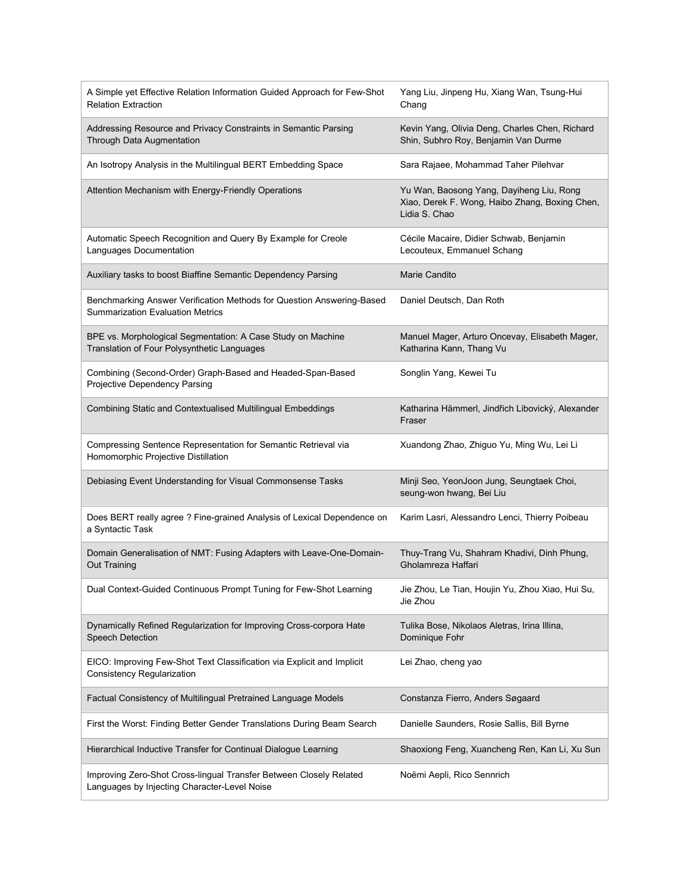| A Simple yet Effective Relation Information Guided Approach for Few-Shot<br><b>Relation Extraction</b>             | Yang Liu, Jinpeng Hu, Xiang Wan, Tsung-Hui<br>Chang                                                         |
|--------------------------------------------------------------------------------------------------------------------|-------------------------------------------------------------------------------------------------------------|
| Addressing Resource and Privacy Constraints in Semantic Parsing<br>Through Data Augmentation                       | Kevin Yang, Olivia Deng, Charles Chen, Richard<br>Shin, Subhro Roy, Benjamin Van Durme                      |
| An Isotropy Analysis in the Multilingual BERT Embedding Space                                                      | Sara Rajaee, Mohammad Taher Pilehvar                                                                        |
| Attention Mechanism with Energy-Friendly Operations                                                                | Yu Wan, Baosong Yang, Dayiheng Liu, Rong<br>Xiao, Derek F. Wong, Haibo Zhang, Boxing Chen,<br>Lidia S. Chao |
| Automatic Speech Recognition and Query By Example for Creole<br>Languages Documentation                            | Cécile Macaire, Didier Schwab, Benjamin<br>Lecouteux, Emmanuel Schang                                       |
| Auxiliary tasks to boost Biaffine Semantic Dependency Parsing                                                      | <b>Marie Candito</b>                                                                                        |
| Benchmarking Answer Verification Methods for Question Answering-Based<br><b>Summarization Evaluation Metrics</b>   | Daniel Deutsch, Dan Roth                                                                                    |
| BPE vs. Morphological Segmentation: A Case Study on Machine<br>Translation of Four Polysynthetic Languages         | Manuel Mager, Arturo Oncevay, Elisabeth Mager,<br>Katharina Kann, Thang Vu                                  |
| Combining (Second-Order) Graph-Based and Headed-Span-Based<br>Projective Dependency Parsing                        | Songlin Yang, Kewei Tu                                                                                      |
| Combining Static and Contextualised Multilingual Embeddings                                                        | Katharina Hämmerl, Jindřich Libovický, Alexander<br>Fraser                                                  |
| Compressing Sentence Representation for Semantic Retrieval via<br>Homomorphic Projective Distillation              | Xuandong Zhao, Zhiguo Yu, Ming Wu, Lei Li                                                                   |
| Debiasing Event Understanding for Visual Commonsense Tasks                                                         | Minji Seo, YeonJoon Jung, Seungtaek Choi,<br>seung-won hwang, Bei Liu                                       |
| Does BERT really agree ? Fine-grained Analysis of Lexical Dependence on<br>a Syntactic Task                        | Karim Lasri, Alessandro Lenci, Thierry Poibeau                                                              |
| Domain Generalisation of NMT: Fusing Adapters with Leave-One-Domain-<br>Out Training                               | Thuy-Trang Vu, Shahram Khadivi, Dinh Phung,<br>Gholamreza Haffari                                           |
| Dual Context-Guided Continuous Prompt Tuning for Few-Shot Learning                                                 | Jie Zhou, Le Tian, Houjin Yu, Zhou Xiao, Hui Su,<br>Jie Zhou                                                |
| Dynamically Refined Regularization for Improving Cross-corpora Hate<br><b>Speech Detection</b>                     | Tulika Bose, Nikolaos Aletras, Irina Illina,<br>Dominique Fohr                                              |
| EICO: Improving Few-Shot Text Classification via Explicit and Implicit<br><b>Consistency Regularization</b>        | Lei Zhao, cheng yao                                                                                         |
| Factual Consistency of Multilingual Pretrained Language Models                                                     | Constanza Fierro, Anders Søgaard                                                                            |
| First the Worst: Finding Better Gender Translations During Beam Search                                             | Danielle Saunders, Rosie Sallis, Bill Byrne                                                                 |
| Hierarchical Inductive Transfer for Continual Dialogue Learning                                                    | Shaoxiong Feng, Xuancheng Ren, Kan Li, Xu Sun                                                               |
| Improving Zero-Shot Cross-lingual Transfer Between Closely Related<br>Languages by Injecting Character-Level Noise | Noëmi Aepli, Rico Sennrich                                                                                  |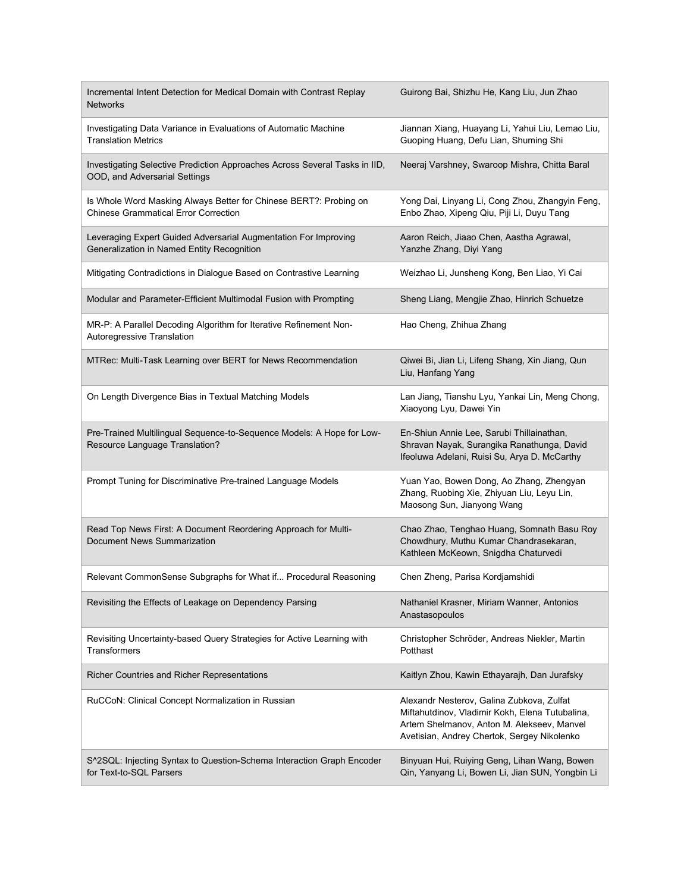| Incremental Intent Detection for Medical Domain with Contrast Replay<br><b>Networks</b>                          | Guirong Bai, Shizhu He, Kang Liu, Jun Zhao                                                                                                                                                |
|------------------------------------------------------------------------------------------------------------------|-------------------------------------------------------------------------------------------------------------------------------------------------------------------------------------------|
| Investigating Data Variance in Evaluations of Automatic Machine<br><b>Translation Metrics</b>                    | Jiannan Xiang, Huayang Li, Yahui Liu, Lemao Liu,<br>Guoping Huang, Defu Lian, Shuming Shi                                                                                                 |
| Investigating Selective Prediction Approaches Across Several Tasks in IID,<br>OOD, and Adversarial Settings      | Neeraj Varshney, Swaroop Mishra, Chitta Baral                                                                                                                                             |
| Is Whole Word Masking Always Better for Chinese BERT?: Probing on<br><b>Chinese Grammatical Error Correction</b> | Yong Dai, Linyang Li, Cong Zhou, Zhangyin Feng,<br>Enbo Zhao, Xipeng Qiu, Piji Li, Duyu Tang                                                                                              |
| Leveraging Expert Guided Adversarial Augmentation For Improving<br>Generalization in Named Entity Recognition    | Aaron Reich, Jiaao Chen, Aastha Agrawal,<br>Yanzhe Zhang, Diyi Yang                                                                                                                       |
| Mitigating Contradictions in Dialogue Based on Contrastive Learning                                              | Weizhao Li, Junsheng Kong, Ben Liao, Yi Cai                                                                                                                                               |
| Modular and Parameter-Efficient Multimodal Fusion with Prompting                                                 | Sheng Liang, Mengjie Zhao, Hinrich Schuetze                                                                                                                                               |
| MR-P: A Parallel Decoding Algorithm for Iterative Refinement Non-<br>Autoregressive Translation                  | Hao Cheng, Zhihua Zhang                                                                                                                                                                   |
| MTRec: Multi-Task Learning over BERT for News Recommendation                                                     | Qiwei Bi, Jian Li, Lifeng Shang, Xin Jiang, Qun<br>Liu, Hanfang Yang                                                                                                                      |
| On Length Divergence Bias in Textual Matching Models                                                             | Lan Jiang, Tianshu Lyu, Yankai Lin, Meng Chong,<br>Xiaoyong Lyu, Dawei Yin                                                                                                                |
| Pre-Trained Multilingual Sequence-to-Sequence Models: A Hope for Low-<br>Resource Language Translation?          | En-Shiun Annie Lee, Sarubi Thillainathan,<br>Shravan Nayak, Surangika Ranathunga, David<br>Ifeoluwa Adelani, Ruisi Su, Arya D. McCarthy                                                   |
| Prompt Tuning for Discriminative Pre-trained Language Models                                                     | Yuan Yao, Bowen Dong, Ao Zhang, Zhengyan<br>Zhang, Ruobing Xie, Zhiyuan Liu, Leyu Lin,<br>Maosong Sun, Jianyong Wang                                                                      |
| Read Top News First: A Document Reordering Approach for Multi-<br>Document News Summarization                    | Chao Zhao, Tenghao Huang, Somnath Basu Roy<br>Chowdhury, Muthu Kumar Chandrasekaran,<br>Kathleen McKeown, Snigdha Chaturvedi                                                              |
| Relevant CommonSense Subgraphs for What if Procedural Reasoning                                                  | Chen Zheng, Parisa Kordjamshidi                                                                                                                                                           |
| Revisiting the Effects of Leakage on Dependency Parsing                                                          | Nathaniel Krasner, Miriam Wanner, Antonios<br>Anastasopoulos                                                                                                                              |
| Revisiting Uncertainty-based Query Strategies for Active Learning with<br>Transformers                           | Christopher Schröder, Andreas Niekler, Martin<br>Potthast                                                                                                                                 |
| <b>Richer Countries and Richer Representations</b>                                                               | Kaitlyn Zhou, Kawin Ethayarajh, Dan Jurafsky                                                                                                                                              |
| RuCCoN: Clinical Concept Normalization in Russian                                                                | Alexandr Nesterov, Galina Zubkova, Zulfat<br>Miftahutdinov, Vladimir Kokh, Elena Tutubalina,<br>Artem Shelmanov, Anton M. Alekseev, Manvel<br>Avetisian, Andrey Chertok, Sergey Nikolenko |
| S^2SQL: Injecting Syntax to Question-Schema Interaction Graph Encoder<br>for Text-to-SQL Parsers                 | Binyuan Hui, Ruiying Geng, Lihan Wang, Bowen<br>Qin, Yanyang Li, Bowen Li, Jian SUN, Yongbin Li                                                                                           |